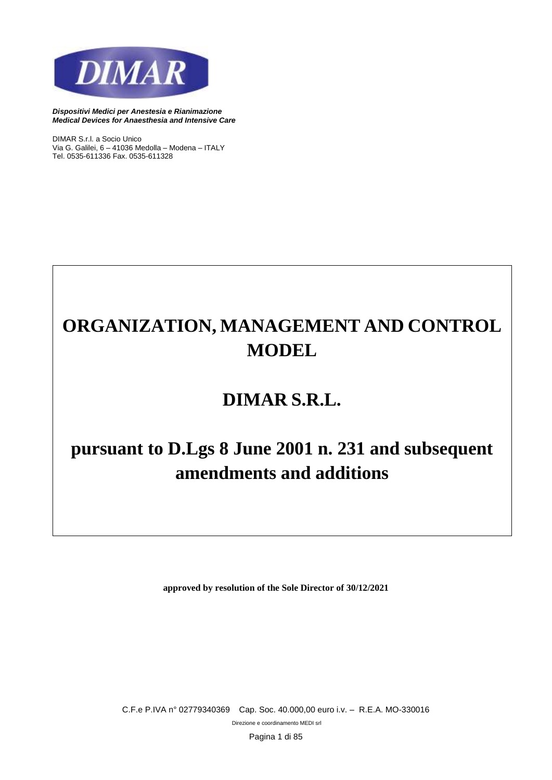

*DIMAR S.r.l. a Socio Unico Via G. Galilei, 6 – 41036 Medolla – Modena – ITALY Tel. 0535-611336 Fax. 0535-611328*

# **ORGANIZATION, MANAGEMENT AND CONTROL MODEL**

## **DIMAR S.R.L.**

## **pursuant to D.Lgs 8 June 2001 n. 231 and subsequent amendments and additions**

**approved by resolution of the Sole Director of 30/12/2021**

*C.F.e P.IVA n° 02779340369 Cap. Soc. 40.000,00 euro i.v. – R.E.A. MO-330016*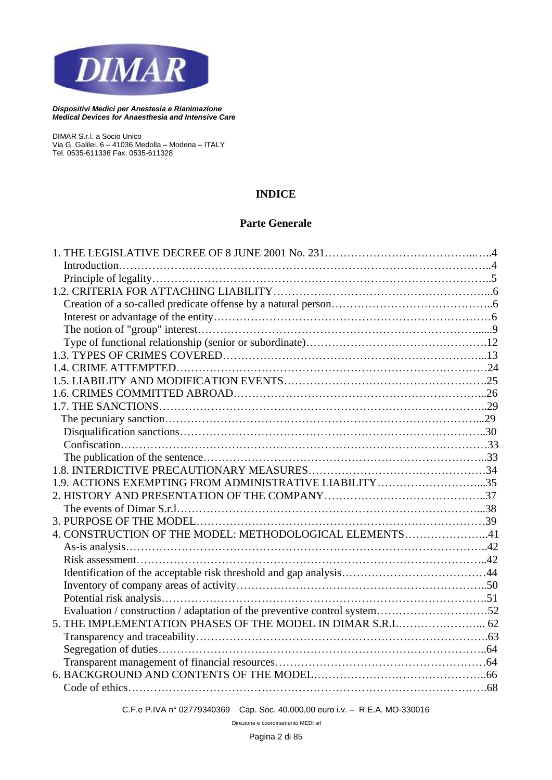

*DIMAR S.r.l. a Socio Unico Via G. Galilei, 6 – 41036 Medolla – Modena – ITALY Tel. 0535-611336 Fax. 0535-611328*

## **INDICE**

## **Parte Generale**

| 1.9. ACTIONS EXEMPTING FROM ADMINISTRATIVE LIABILITY 35                   |  |
|---------------------------------------------------------------------------|--|
|                                                                           |  |
|                                                                           |  |
|                                                                           |  |
| 4. CONSTRUCTION OF THE MODEL: METHODOLOGICAL ELEMENTS41                   |  |
|                                                                           |  |
|                                                                           |  |
|                                                                           |  |
|                                                                           |  |
|                                                                           |  |
| Evaluation / construction / adaptation of the preventive control system52 |  |
| 5. THE IMPLEMENTATION PHASES OF THE MODEL IN DIMAR S.R.L 62               |  |
|                                                                           |  |
|                                                                           |  |
|                                                                           |  |
|                                                                           |  |
|                                                                           |  |
|                                                                           |  |

*C.F.e P.IVA n° 02779340369 Cap. Soc. 40.000,00 euro i.v. – R.E.A. MO-330016*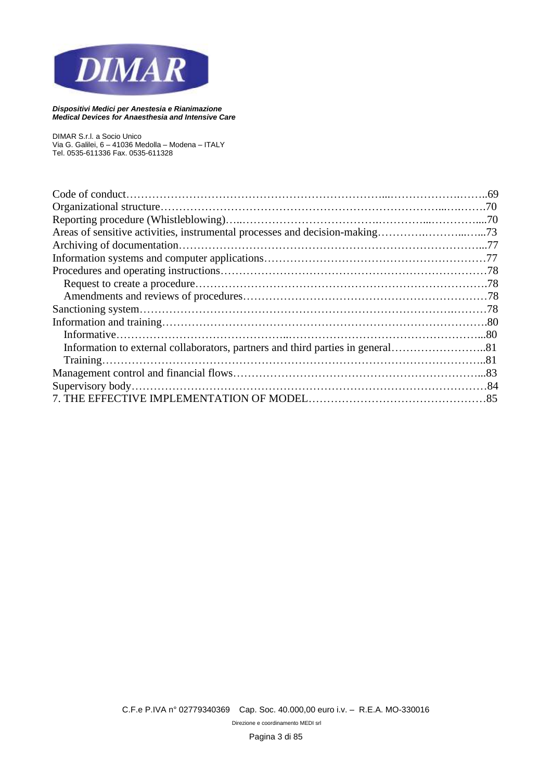

*DIMAR S.r.l. a Socio Unico Via G. Galilei, 6 – 41036 Medolla – Modena – ITALY Tel. 0535-611336 Fax. 0535-611328*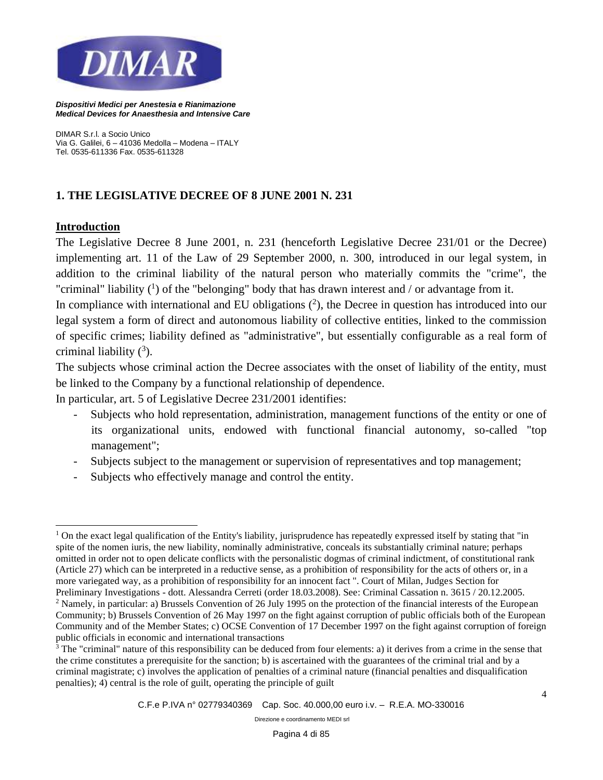

*DIMAR S.r.l. a Socio Unico Via G. Galilei, 6 – 41036 Medolla – Modena – ITALY Tel. 0535-611336 Fax. 0535-611328*

## **1. THE LEGISLATIVE DECREE OF 8 JUNE 2001 N. 231**

#### **Introduction**

The Legislative Decree 8 June 2001, n. 231 (henceforth Legislative Decree 231/01 or the Decree) implementing art. 11 of the Law of 29 September 2000, n. 300, introduced in our legal system, in addition to the criminal liability of the natural person who materially commits the "crime", the "criminal" liability  $(1)$  of the "belonging" body that has drawn interest and / or advantage from it.

In compliance with international and EU obligations  $(2)$ , the Decree in question has introduced into our legal system a form of direct and autonomous liability of collective entities, linked to the commission of specific crimes; liability defined as "administrative", but essentially configurable as a real form of criminal liability  $(^3)$ .

The subjects whose criminal action the Decree associates with the onset of liability of the entity, must be linked to the Company by a functional relationship of dependence.

In particular, art. 5 of Legislative Decree 231/2001 identifies:

- Subjects who hold representation, administration, management functions of the entity or one of its organizational units, endowed with functional financial autonomy, so-called "top management";
- Subjects subject to the management or supervision of representatives and top management;
- Subjects who effectively manage and control the entity.

 $1$  On the exact legal qualification of the Entity's liability, jurisprudence has repeatedly expressed itself by stating that "in spite of the nomen iuris, the new liability, nominally administrative, conceals its substantially criminal nature; perhaps omitted in order not to open delicate conflicts with the personalistic dogmas of criminal indictment, of constitutional rank (Article 27) which can be interpreted in a reductive sense, as a prohibition of responsibility for the acts of others or, in a more variegated way, as a prohibition of responsibility for an innocent fact ". Court of Milan, Judges Section for Preliminary Investigations - dott. Alessandra Cerreti (order 18.03.2008). See: Criminal Cassation n. 3615 / 20.12.2005.

<sup>&</sup>lt;sup>2</sup> Namely, in particular: a) Brussels Convention of 26 July 1995 on the protection of the financial interests of the European Community; b) Brussels Convention of 26 May 1997 on the fight against corruption of public officials both of the European Community and of the Member States; c) OCSE Convention of 17 December 1997 on the fight against corruption of foreign public officials in economic and international transactions

<sup>&</sup>lt;sup>3</sup> The "criminal" nature of this responsibility can be deduced from four elements: a) it derives from a crime in the sense that the crime constitutes a prerequisite for the sanction; b) is ascertained with the guarantees of the criminal trial and by a criminal magistrate; c) involves the application of penalties of a criminal nature (financial penalties and disqualification penalties); 4) central is the role of guilt, operating the principle of guilt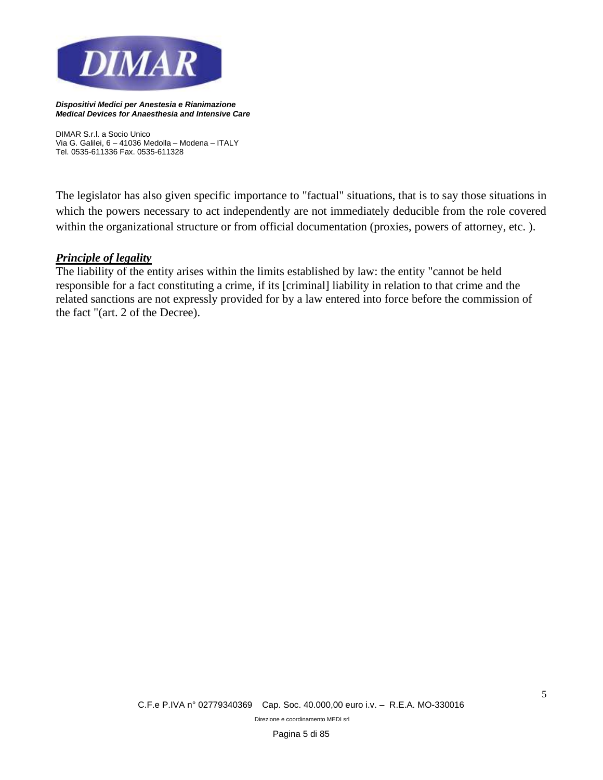

*DIMAR S.r.l. a Socio Unico Via G. Galilei, 6 – 41036 Medolla – Modena – ITALY Tel. 0535-611336 Fax. 0535-611328*

The legislator has also given specific importance to "factual" situations, that is to say those situations in which the powers necessary to act independently are not immediately deducible from the role covered within the organizational structure or from official documentation (proxies, powers of attorney, etc.).

#### *Principle of legality*

The liability of the entity arises within the limits established by law: the entity "cannot be held responsible for a fact constituting a crime, if its [criminal] liability in relation to that crime and the related sanctions are not expressly provided for by a law entered into force before the commission of the fact "(art. 2 of the Decree).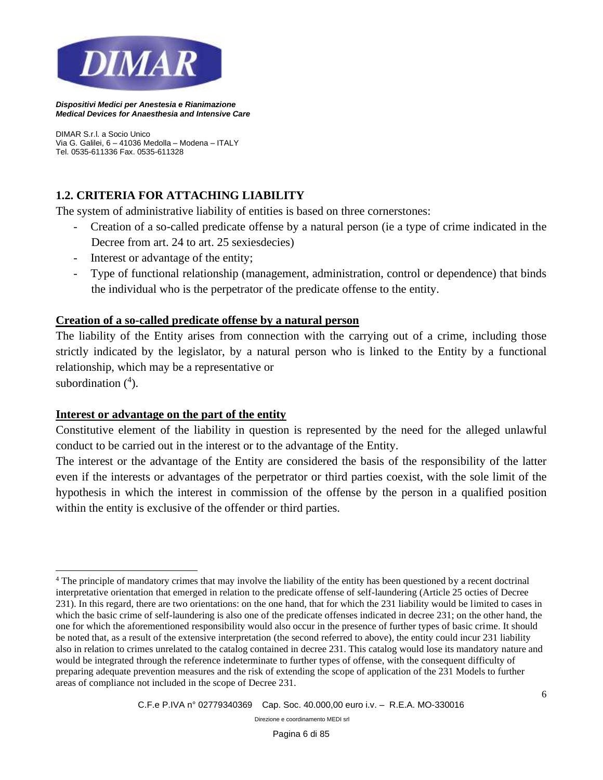

*DIMAR S.r.l. a Socio Unico Via G. Galilei, 6 – 41036 Medolla – Modena – ITALY Tel. 0535-611336 Fax. 0535-611328*

## **1.2. CRITERIA FOR ATTACHING LIABILITY**

The system of administrative liability of entities is based on three cornerstones:

- Creation of a so-called predicate offense by a natural person (ie a type of crime indicated in the Decree from art. 24 to art. 25 sexiesdecies)
- Interest or advantage of the entity;
- Type of functional relationship (management, administration, control or dependence) that binds the individual who is the perpetrator of the predicate offense to the entity.

#### **Creation of a so-called predicate offense by a natural person**

The liability of the Entity arises from connection with the carrying out of a crime, including those strictly indicated by the legislator, by a natural person who is linked to the Entity by a functional relationship, which may be a representative or

subordination  $(^4)$ .

#### **Interest or advantage on the part of the entity**

Constitutive element of the liability in question is represented by the need for the alleged unlawful conduct to be carried out in the interest or to the advantage of the Entity.

The interest or the advantage of the Entity are considered the basis of the responsibility of the latter even if the interests or advantages of the perpetrator or third parties coexist, with the sole limit of the hypothesis in which the interest in commission of the offense by the person in a qualified position within the entity is exclusive of the offender or third parties.

<sup>4</sup> The principle of mandatory crimes that may involve the liability of the entity has been questioned by a recent doctrinal interpretative orientation that emerged in relation to the predicate offense of self-laundering (Article 25 octies of Decree 231). In this regard, there are two orientations: on the one hand, that for which the 231 liability would be limited to cases in which the basic crime of self-laundering is also one of the predicate offenses indicated in decree 231; on the other hand, the one for which the aforementioned responsibility would also occur in the presence of further types of basic crime. It should be noted that, as a result of the extensive interpretation (the second referred to above), the entity could incur 231 liability also in relation to crimes unrelated to the catalog contained in decree 231. This catalog would lose its mandatory nature and would be integrated through the reference indeterminate to further types of offense, with the consequent difficulty of preparing adequate prevention measures and the risk of extending the scope of application of the 231 Models to further areas of compliance not included in the scope of Decree 231.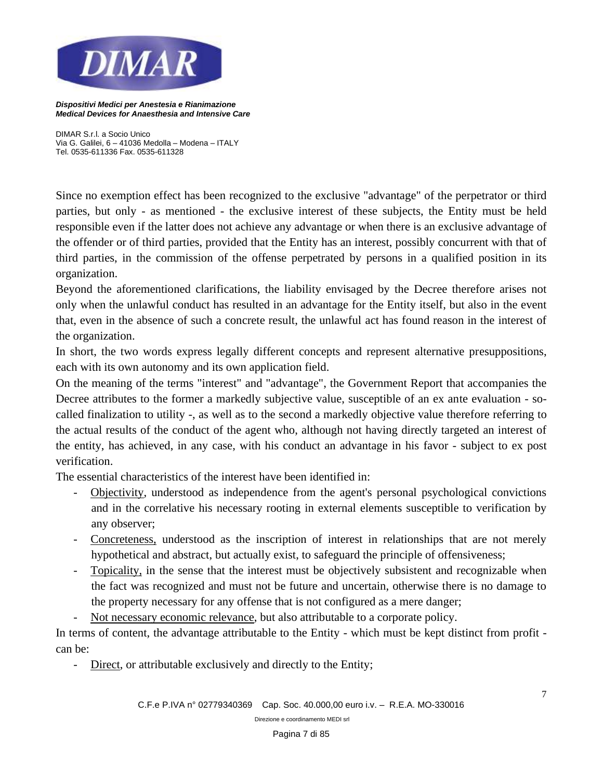

*DIMAR S.r.l. a Socio Unico Via G. Galilei, 6 – 41036 Medolla – Modena – ITALY Tel. 0535-611336 Fax. 0535-611328*

Since no exemption effect has been recognized to the exclusive "advantage" of the perpetrator or third parties, but only - as mentioned - the exclusive interest of these subjects, the Entity must be held responsible even if the latter does not achieve any advantage or when there is an exclusive advantage of the offender or of third parties, provided that the Entity has an interest, possibly concurrent with that of third parties, in the commission of the offense perpetrated by persons in a qualified position in its organization.

Beyond the aforementioned clarifications, the liability envisaged by the Decree therefore arises not only when the unlawful conduct has resulted in an advantage for the Entity itself, but also in the event that, even in the absence of such a concrete result, the unlawful act has found reason in the interest of the organization.

In short, the two words express legally different concepts and represent alternative presuppositions, each with its own autonomy and its own application field.

On the meaning of the terms "interest" and "advantage", the Government Report that accompanies the Decree attributes to the former a markedly subjective value, susceptible of an ex ante evaluation - socalled finalization to utility -, as well as to the second a markedly objective value therefore referring to the actual results of the conduct of the agent who, although not having directly targeted an interest of the entity, has achieved, in any case, with his conduct an advantage in his favor - subject to ex post verification.

The essential characteristics of the interest have been identified in:

- Objectivity, understood as independence from the agent's personal psychological convictions and in the correlative his necessary rooting in external elements susceptible to verification by any observer;
- Concreteness, understood as the inscription of interest in relationships that are not merely hypothetical and abstract, but actually exist, to safeguard the principle of offensiveness;
- Topicality, in the sense that the interest must be objectively subsistent and recognizable when the fact was recognized and must not be future and uncertain, otherwise there is no damage to the property necessary for any offense that is not configured as a mere danger;
	- Not necessary economic relevance, but also attributable to a corporate policy.

In terms of content, the advantage attributable to the Entity - which must be kept distinct from profit can be:

Direct, or attributable exclusively and directly to the Entity;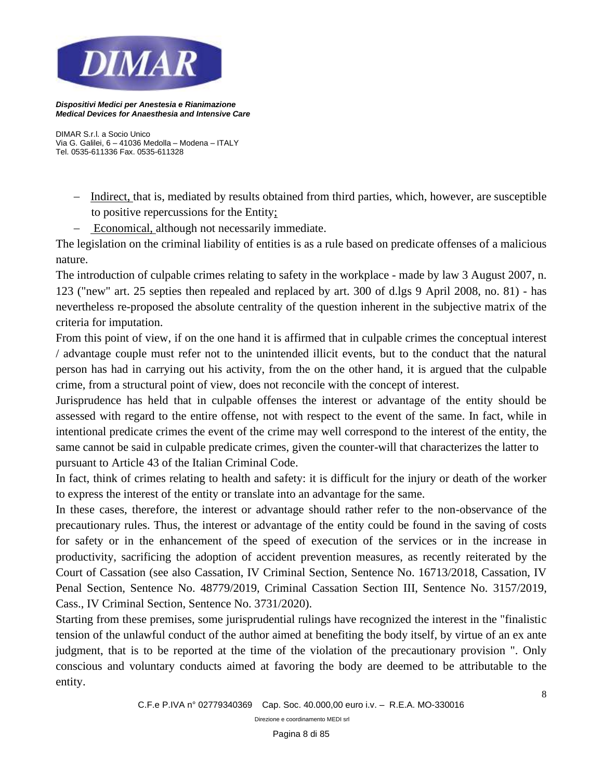

*DIMAR S.r.l. a Socio Unico Via G. Galilei, 6 – 41036 Medolla – Modena – ITALY Tel. 0535-611336 Fax. 0535-611328*

- − Indirect, that is, mediated by results obtained from third parties, which, however, are susceptible to positive repercussions for the Entity;
- − Economical, although not necessarily immediate.

The legislation on the criminal liability of entities is as a rule based on predicate offenses of a malicious nature.

The introduction of culpable crimes relating to safety in the workplace - made by law 3 August 2007, n. 123 ("new" art. 25 septies then repealed and replaced by art. 300 of d.lgs 9 April 2008, no. 81) - has nevertheless re-proposed the absolute centrality of the question inherent in the subjective matrix of the criteria for imputation.

From this point of view, if on the one hand it is affirmed that in culpable crimes the conceptual interest / advantage couple must refer not to the unintended illicit events, but to the conduct that the natural person has had in carrying out his activity, from the on the other hand, it is argued that the culpable crime, from a structural point of view, does not reconcile with the concept of interest.

Jurisprudence has held that in culpable offenses the interest or advantage of the entity should be assessed with regard to the entire offense, not with respect to the event of the same. In fact, while in intentional predicate crimes the event of the crime may well correspond to the interest of the entity, the same cannot be said in culpable predicate crimes, given the counter-will that characterizes the latter to pursuant to Article 43 of the Italian Criminal Code.

In fact, think of crimes relating to health and safety: it is difficult for the injury or death of the worker to express the interest of the entity or translate into an advantage for the same.

In these cases, therefore, the interest or advantage should rather refer to the non-observance of the precautionary rules. Thus, the interest or advantage of the entity could be found in the saving of costs for safety or in the enhancement of the speed of execution of the services or in the increase in productivity, sacrificing the adoption of accident prevention measures, as recently reiterated by the Court of Cassation (see also Cassation, IV Criminal Section, Sentence No. 16713/2018, Cassation, IV Penal Section, Sentence No. 48779/2019, Criminal Cassation Section III, Sentence No. 3157/2019, Cass., IV Criminal Section, Sentence No. 3731/2020).

Starting from these premises, some jurisprudential rulings have recognized the interest in the "finalistic tension of the unlawful conduct of the author aimed at benefiting the body itself, by virtue of an ex ante judgment, that is to be reported at the time of the violation of the precautionary provision ". Only conscious and voluntary conducts aimed at favoring the body are deemed to be attributable to the entity.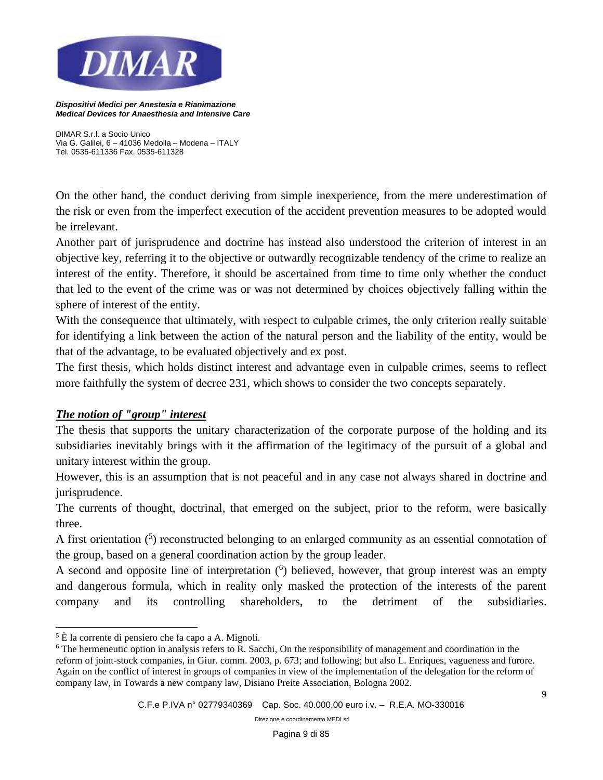

*DIMAR S.r.l. a Socio Unico Via G. Galilei, 6 – 41036 Medolla – Modena – ITALY Tel. 0535-611336 Fax. 0535-611328*

On the other hand, the conduct deriving from simple inexperience, from the mere underestimation of the risk or even from the imperfect execution of the accident prevention measures to be adopted would be irrelevant.

Another part of jurisprudence and doctrine has instead also understood the criterion of interest in an objective key, referring it to the objective or outwardly recognizable tendency of the crime to realize an interest of the entity. Therefore, it should be ascertained from time to time only whether the conduct that led to the event of the crime was or was not determined by choices objectively falling within the sphere of interest of the entity.

With the consequence that ultimately, with respect to culpable crimes, the only criterion really suitable for identifying a link between the action of the natural person and the liability of the entity, would be that of the advantage, to be evaluated objectively and ex post.

The first thesis, which holds distinct interest and advantage even in culpable crimes, seems to reflect more faithfully the system of decree 231, which shows to consider the two concepts separately.

#### *The notion of "group" interest*

The thesis that supports the unitary characterization of the corporate purpose of the holding and its subsidiaries inevitably brings with it the affirmation of the legitimacy of the pursuit of a global and unitary interest within the group.

However, this is an assumption that is not peaceful and in any case not always shared in doctrine and jurisprudence.

The currents of thought, doctrinal, that emerged on the subject, prior to the reform, were basically three.

A first orientation  $(5)$  reconstructed belonging to an enlarged community as an essential connotation of the group, based on a general coordination action by the group leader.

A second and opposite line of interpretation  $(6)$  believed, however, that group interest was an empty and dangerous formula, which in reality only masked the protection of the interests of the parent company and its controlling shareholders, to the detriment of the subsidiaries.

 $5 \hat{E}$  la corrente di pensiero che fa capo a A. Mignoli.

<sup>6</sup> The hermeneutic option in analysis refers to R. Sacchi, On the responsibility of management and coordination in the reform of joint-stock companies, in Giur. comm. 2003, p. 673; and following; but also L. Enriques, vagueness and furore. Again on the conflict of interest in groups of companies in view of the implementation of the delegation for the reform of company law, in Towards a new company law, Disiano Preite Association, Bologna 2002.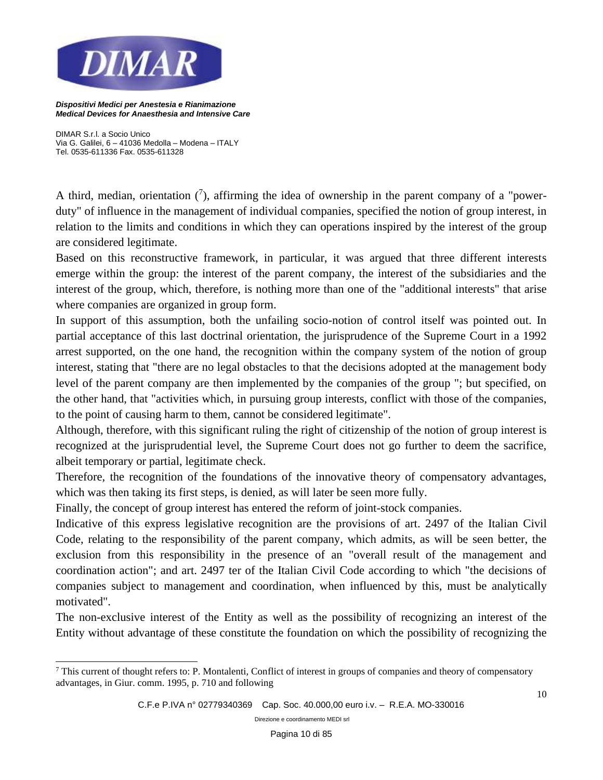

*DIMAR S.r.l. a Socio Unico Via G. Galilei, 6 – 41036 Medolla – Modena – ITALY Tel. 0535-611336 Fax. 0535-611328*

A third, median, orientation  $(7)$ , affirming the idea of ownership in the parent company of a "powerduty" of influence in the management of individual companies, specified the notion of group interest, in relation to the limits and conditions in which they can operations inspired by the interest of the group are considered legitimate.

Based on this reconstructive framework, in particular, it was argued that three different interests emerge within the group: the interest of the parent company, the interest of the subsidiaries and the interest of the group, which, therefore, is nothing more than one of the "additional interests" that arise where companies are organized in group form.

In support of this assumption, both the unfailing socio-notion of control itself was pointed out. In partial acceptance of this last doctrinal orientation, the jurisprudence of the Supreme Court in a 1992 arrest supported, on the one hand, the recognition within the company system of the notion of group interest, stating that "there are no legal obstacles to that the decisions adopted at the management body level of the parent company are then implemented by the companies of the group "; but specified, on the other hand, that "activities which, in pursuing group interests, conflict with those of the companies, to the point of causing harm to them, cannot be considered legitimate".

Although, therefore, with this significant ruling the right of citizenship of the notion of group interest is recognized at the jurisprudential level, the Supreme Court does not go further to deem the sacrifice, albeit temporary or partial, legitimate check.

Therefore, the recognition of the foundations of the innovative theory of compensatory advantages, which was then taking its first steps, is denied, as will later be seen more fully.

Finally, the concept of group interest has entered the reform of joint-stock companies.

Indicative of this express legislative recognition are the provisions of art. 2497 of the Italian Civil Code, relating to the responsibility of the parent company, which admits, as will be seen better, the exclusion from this responsibility in the presence of an "overall result of the management and coordination action"; and art. 2497 ter of the Italian Civil Code according to which "the decisions of companies subject to management and coordination, when influenced by this, must be analytically motivated".

The non-exclusive interest of the Entity as well as the possibility of recognizing an interest of the Entity without advantage of these constitute the foundation on which the possibility of recognizing the

<sup>7</sup> This current of thought refers to: P. Montalenti, Conflict of interest in groups of companies and theory of compensatory advantages, in Giur. comm. 1995, p. 710 and following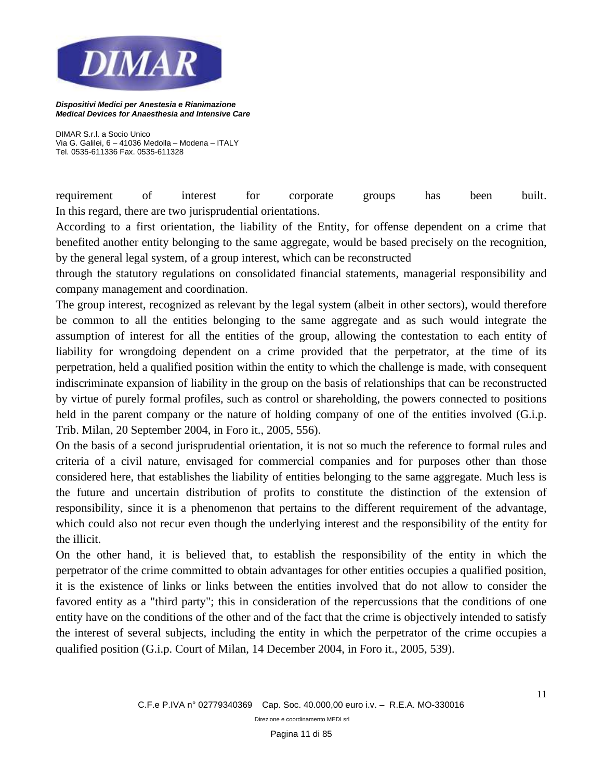

*DIMAR S.r.l. a Socio Unico Via G. Galilei, 6 – 41036 Medolla – Modena – ITALY Tel. 0535-611336 Fax. 0535-611328*

requirement of interest for corporate groups has been built. In this regard, there are two jurisprudential orientations.

According to a first orientation, the liability of the Entity, for offense dependent on a crime that benefited another entity belonging to the same aggregate, would be based precisely on the recognition, by the general legal system, of a group interest, which can be reconstructed

through the statutory regulations on consolidated financial statements, managerial responsibility and company management and coordination.

The group interest, recognized as relevant by the legal system (albeit in other sectors), would therefore be common to all the entities belonging to the same aggregate and as such would integrate the assumption of interest for all the entities of the group, allowing the contestation to each entity of liability for wrongdoing dependent on a crime provided that the perpetrator, at the time of its perpetration, held a qualified position within the entity to which the challenge is made, with consequent indiscriminate expansion of liability in the group on the basis of relationships that can be reconstructed by virtue of purely formal profiles, such as control or shareholding, the powers connected to positions held in the parent company or the nature of holding company of one of the entities involved (G.i.p. Trib. Milan, 20 September 2004, in Foro it., 2005, 556).

On the basis of a second jurisprudential orientation, it is not so much the reference to formal rules and criteria of a civil nature, envisaged for commercial companies and for purposes other than those considered here, that establishes the liability of entities belonging to the same aggregate. Much less is the future and uncertain distribution of profits to constitute the distinction of the extension of responsibility, since it is a phenomenon that pertains to the different requirement of the advantage, which could also not recur even though the underlying interest and the responsibility of the entity for the illicit.

On the other hand, it is believed that, to establish the responsibility of the entity in which the perpetrator of the crime committed to obtain advantages for other entities occupies a qualified position, it is the existence of links or links between the entities involved that do not allow to consider the favored entity as a "third party"; this in consideration of the repercussions that the conditions of one entity have on the conditions of the other and of the fact that the crime is objectively intended to satisfy the interest of several subjects, including the entity in which the perpetrator of the crime occupies a qualified position (G.i.p. Court of Milan, 14 December 2004, in Foro it., 2005, 539).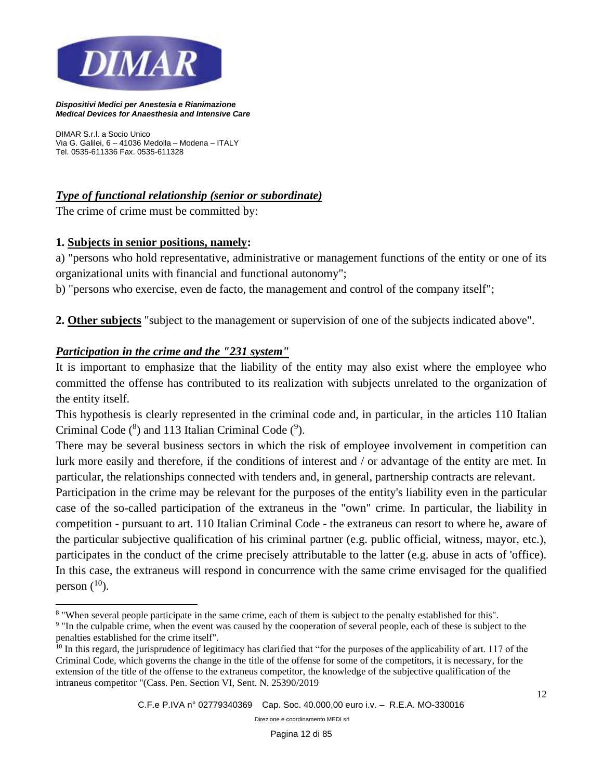

*DIMAR S.r.l. a Socio Unico Via G. Galilei, 6 – 41036 Medolla – Modena – ITALY Tel. 0535-611336 Fax. 0535-611328*

## *Type of functional relationship (senior or subordinate)*

The crime of crime must be committed by:

#### **1. Subjects in senior positions, namely:**

a) "persons who hold representative, administrative or management functions of the entity or one of its organizational units with financial and functional autonomy";

b) "persons who exercise, even de facto, the management and control of the company itself";

**2. Other subjects** "subject to the management or supervision of one of the subjects indicated above".

#### *Participation in the crime and the "231 system"*

It is important to emphasize that the liability of the entity may also exist where the employee who committed the offense has contributed to its realization with subjects unrelated to the organization of the entity itself.

This hypothesis is clearly represented in the criminal code and, in particular, in the articles 110 Italian Criminal Code  $(^{8})$  and 113 Italian Criminal Code  $(^{9})$ .

There may be several business sectors in which the risk of employee involvement in competition can lurk more easily and therefore, if the conditions of interest and / or advantage of the entity are met. In particular, the relationships connected with tenders and, in general, partnership contracts are relevant.

Participation in the crime may be relevant for the purposes of the entity's liability even in the particular case of the so-called participation of the extraneus in the "own" crime. In particular, the liability in competition - pursuant to art. 110 Italian Criminal Code - the extraneus can resort to where he, aware of the particular subjective qualification of his criminal partner (e.g. public official, witness, mayor, etc.), participates in the conduct of the crime precisely attributable to the latter (e.g. abuse in acts of 'office). In this case, the extraneus will respond in concurrence with the same crime envisaged for the qualified person  $(^{10})$ .

<sup>&</sup>lt;sup>8</sup> "When several people participate in the same crime, each of them is subject to the penalty established for this".

<sup>&</sup>lt;sup>9</sup> "In the culpable crime, when the event was caused by the cooperation of several people, each of these is subject to the penalties established for the crime itself".

<sup>&</sup>lt;sup>10</sup> In this regard, the jurisprudence of legitimacy has clarified that "for the purposes of the applicability of art. 117 of the Criminal Code, which governs the change in the title of the offense for some of the competitors, it is necessary, for the extension of the title of the offense to the extraneus competitor, the knowledge of the subjective qualification of the intraneus competitor "(Cass. Pen. Section VI, Sent. N. 25390/2019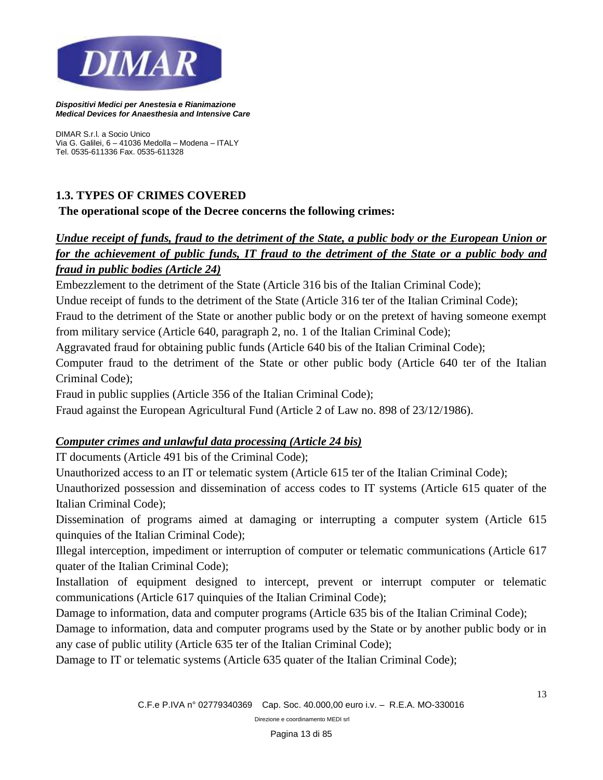

*DIMAR S.r.l. a Socio Unico Via G. Galilei, 6 – 41036 Medolla – Modena – ITALY Tel. 0535-611336 Fax. 0535-611328*

## **1.3. TYPES OF CRIMES COVERED**

**The operational scope of the Decree concerns the following crimes:**

## *Undue receipt of funds, fraud to the detriment of the State, a public body or the European Union or for the achievement of public funds, IT fraud to the detriment of the State or a public body and fraud in public bodies (Article 24)*

Embezzlement to the detriment of the State (Article 316 bis of the Italian Criminal Code);

Undue receipt of funds to the detriment of the State (Article 316 ter of the Italian Criminal Code);

Fraud to the detriment of the State or another public body or on the pretext of having someone exempt from military service (Article 640, paragraph 2, no. 1 of the Italian Criminal Code);

Aggravated fraud for obtaining public funds (Article 640 bis of the Italian Criminal Code);

Computer fraud to the detriment of the State or other public body (Article 640 ter of the Italian Criminal Code);

Fraud in public supplies (Article 356 of the Italian Criminal Code);

Fraud against the European Agricultural Fund (Article 2 of Law no. 898 of 23/12/1986).

## *Computer crimes and unlawful data processing (Article 24 bis)*

IT documents (Article 491 bis of the Criminal Code);

Unauthorized access to an IT or telematic system (Article 615 ter of the Italian Criminal Code);

Unauthorized possession and dissemination of access codes to IT systems (Article 615 quater of the Italian Criminal Code);

Dissemination of programs aimed at damaging or interrupting a computer system (Article 615 quinquies of the Italian Criminal Code);

Illegal interception, impediment or interruption of computer or telematic communications (Article 617 quater of the Italian Criminal Code);

Installation of equipment designed to intercept, prevent or interrupt computer or telematic communications (Article 617 quinquies of the Italian Criminal Code);

Damage to information, data and computer programs (Article 635 bis of the Italian Criminal Code);

Damage to information, data and computer programs used by the State or by another public body or in any case of public utility (Article 635 ter of the Italian Criminal Code);

Damage to IT or telematic systems (Article 635 quater of the Italian Criminal Code);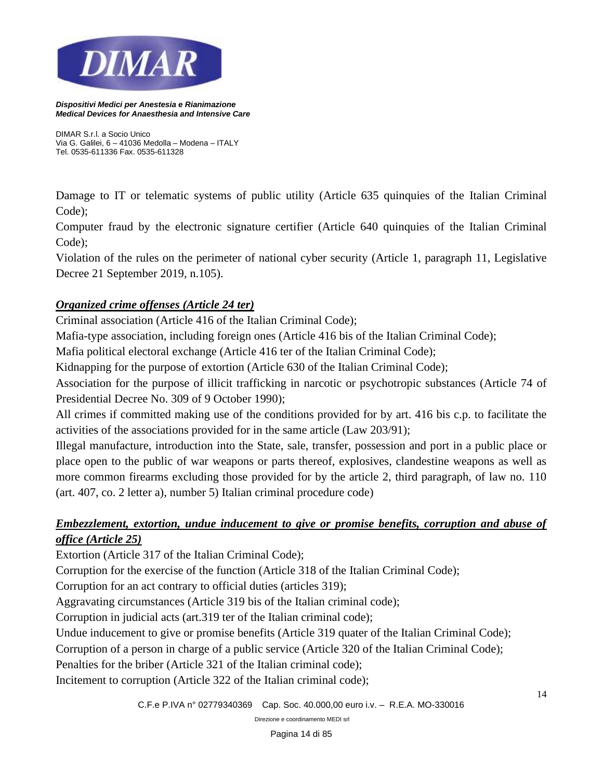

*DIMAR S.r.l. a Socio Unico Via G. Galilei, 6 – 41036 Medolla – Modena – ITALY Tel. 0535-611336 Fax. 0535-611328*

Damage to IT or telematic systems of public utility (Article 635 quinquies of the Italian Criminal Code);

Computer fraud by the electronic signature certifier (Article 640 quinquies of the Italian Criminal Code);

Violation of the rules on the perimeter of national cyber security (Article 1, paragraph 11, Legislative Decree 21 September 2019, n.105).

## *Organized crime offenses (Article 24 ter)*

Criminal association (Article 416 of the Italian Criminal Code);

Mafia-type association, including foreign ones (Article 416 bis of the Italian Criminal Code);

Mafia political electoral exchange (Article 416 ter of the Italian Criminal Code);

Kidnapping for the purpose of extortion (Article 630 of the Italian Criminal Code);

Association for the purpose of illicit trafficking in narcotic or psychotropic substances (Article 74 of Presidential Decree No. 309 of 9 October 1990);

All crimes if committed making use of the conditions provided for by art. 416 bis c.p. to facilitate the activities of the associations provided for in the same article (Law 203/91);

Illegal manufacture, introduction into the State, sale, transfer, possession and port in a public place or place open to the public of war weapons or parts thereof, explosives, clandestine weapons as well as more common firearms excluding those provided for by the article 2, third paragraph, of law no. 110 (art. 407, co. 2 letter a), number 5) Italian criminal procedure code)

## *Embezzlement, extortion, undue inducement to give or promise benefits, corruption and abuse of office (Article 25)*

Extortion (Article 317 of the Italian Criminal Code);

Corruption for the exercise of the function (Article 318 of the Italian Criminal Code);

Corruption for an act contrary to official duties (articles 319);

Aggravating circumstances (Article 319 bis of the Italian criminal code);

Corruption in judicial acts (art.319 ter of the Italian criminal code);

Undue inducement to give or promise benefits (Article 319 quater of the Italian Criminal Code);

Corruption of a person in charge of a public service (Article 320 of the Italian Criminal Code);

Penalties for the briber (Article 321 of the Italian criminal code);

Incitement to corruption (Article 322 of the Italian criminal code);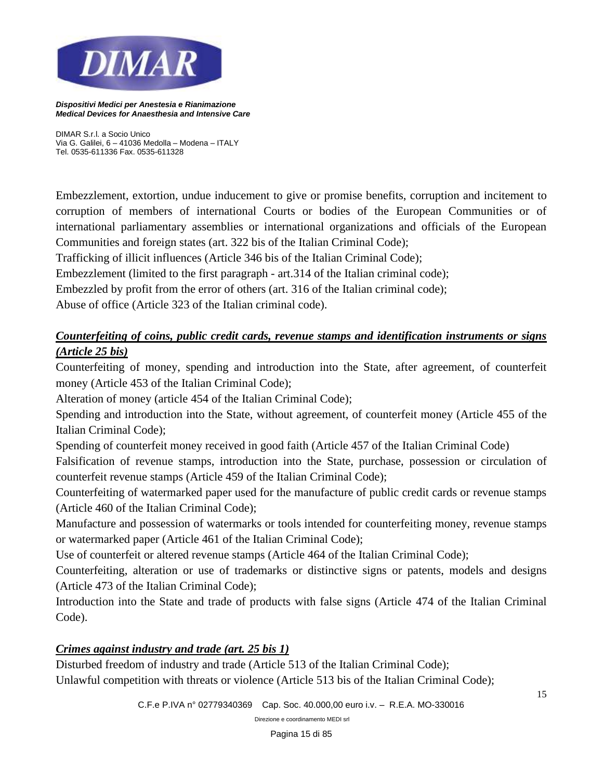

*DIMAR S.r.l. a Socio Unico Via G. Galilei, 6 – 41036 Medolla – Modena – ITALY Tel. 0535-611336 Fax. 0535-611328*

Embezzlement, extortion, undue inducement to give or promise benefits, corruption and incitement to corruption of members of international Courts or bodies of the European Communities or of international parliamentary assemblies or international organizations and officials of the European Communities and foreign states (art. 322 bis of the Italian Criminal Code);

Trafficking of illicit influences (Article 346 bis of the Italian Criminal Code);

Embezzlement (limited to the first paragraph - art.314 of the Italian criminal code);

Embezzled by profit from the error of others (art. 316 of the Italian criminal code);

Abuse of office (Article 323 of the Italian criminal code).

## *Counterfeiting of coins, public credit cards, revenue stamps and identification instruments or signs (Article 25 bis)*

Counterfeiting of money, spending and introduction into the State, after agreement, of counterfeit money (Article 453 of the Italian Criminal Code);

Alteration of money (article 454 of the Italian Criminal Code);

Spending and introduction into the State, without agreement, of counterfeit money (Article 455 of the Italian Criminal Code);

Spending of counterfeit money received in good faith (Article 457 of the Italian Criminal Code)

Falsification of revenue stamps, introduction into the State, purchase, possession or circulation of counterfeit revenue stamps (Article 459 of the Italian Criminal Code);

Counterfeiting of watermarked paper used for the manufacture of public credit cards or revenue stamps (Article 460 of the Italian Criminal Code);

Manufacture and possession of watermarks or tools intended for counterfeiting money, revenue stamps or watermarked paper (Article 461 of the Italian Criminal Code);

Use of counterfeit or altered revenue stamps (Article 464 of the Italian Criminal Code);

Counterfeiting, alteration or use of trademarks or distinctive signs or patents, models and designs (Article 473 of the Italian Criminal Code);

Introduction into the State and trade of products with false signs (Article 474 of the Italian Criminal Code).

#### *Crimes against industry and trade (art. 25 bis 1)*

Disturbed freedom of industry and trade (Article 513 of the Italian Criminal Code); Unlawful competition with threats or violence (Article 513 bis of the Italian Criminal Code);

*C.F.e P.IVA n° 02779340369 Cap. Soc. 40.000,00 euro i.v. – R.E.A. MO-330016*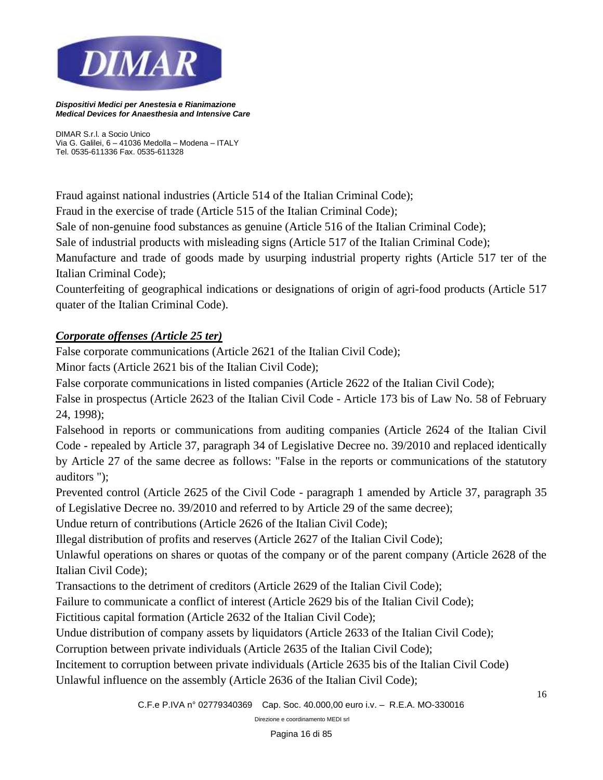

*DIMAR S.r.l. a Socio Unico Via G. Galilei, 6 – 41036 Medolla – Modena – ITALY Tel. 0535-611336 Fax. 0535-611328*

Fraud against national industries (Article 514 of the Italian Criminal Code);

Fraud in the exercise of trade (Article 515 of the Italian Criminal Code);

Sale of non-genuine food substances as genuine (Article 516 of the Italian Criminal Code);

Sale of industrial products with misleading signs (Article 517 of the Italian Criminal Code);

Manufacture and trade of goods made by usurping industrial property rights (Article 517 ter of the Italian Criminal Code);

Counterfeiting of geographical indications or designations of origin of agri-food products (Article 517 quater of the Italian Criminal Code).

## *Corporate offenses (Article 25 ter)*

False corporate communications (Article 2621 of the Italian Civil Code);

Minor facts (Article 2621 bis of the Italian Civil Code);

False corporate communications in listed companies (Article 2622 of the Italian Civil Code);

False in prospectus (Article 2623 of the Italian Civil Code - Article 173 bis of Law No. 58 of February 24, 1998);

Falsehood in reports or communications from auditing companies (Article 2624 of the Italian Civil Code - repealed by Article 37, paragraph 34 of Legislative Decree no. 39/2010 and replaced identically by Article 27 of the same decree as follows: "False in the reports or communications of the statutory auditors ");

Prevented control (Article 2625 of the Civil Code - paragraph 1 amended by Article 37, paragraph 35 of Legislative Decree no. 39/2010 and referred to by Article 29 of the same decree);

Undue return of contributions (Article 2626 of the Italian Civil Code);

Illegal distribution of profits and reserves (Article 2627 of the Italian Civil Code);

Unlawful operations on shares or quotas of the company or of the parent company (Article 2628 of the Italian Civil Code);

Transactions to the detriment of creditors (Article 2629 of the Italian Civil Code);

Failure to communicate a conflict of interest (Article 2629 bis of the Italian Civil Code);

Fictitious capital formation (Article 2632 of the Italian Civil Code);

Undue distribution of company assets by liquidators (Article 2633 of the Italian Civil Code);

Corruption between private individuals (Article 2635 of the Italian Civil Code);

Incitement to corruption between private individuals (Article 2635 bis of the Italian Civil Code) Unlawful influence on the assembly (Article 2636 of the Italian Civil Code);

*C.F.e P.IVA n° 02779340369 Cap. Soc. 40.000,00 euro i.v. – R.E.A. MO-330016*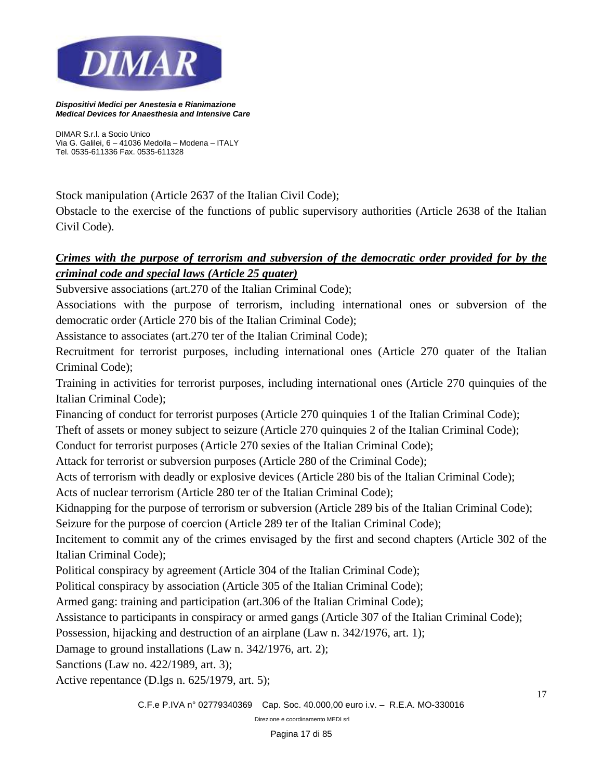

*DIMAR S.r.l. a Socio Unico Via G. Galilei, 6 – 41036 Medolla – Modena – ITALY Tel. 0535-611336 Fax. 0535-611328*

Stock manipulation (Article 2637 of the Italian Civil Code);

Obstacle to the exercise of the functions of public supervisory authorities (Article 2638 of the Italian Civil Code).

## *Crimes with the purpose of terrorism and subversion of the democratic order provided for by the criminal code and special laws (Article 25 quater)*

Subversive associations (art.270 of the Italian Criminal Code);

Associations with the purpose of terrorism, including international ones or subversion of the democratic order (Article 270 bis of the Italian Criminal Code);

Assistance to associates (art.270 ter of the Italian Criminal Code);

Recruitment for terrorist purposes, including international ones (Article 270 quater of the Italian Criminal Code);

Training in activities for terrorist purposes, including international ones (Article 270 quinquies of the Italian Criminal Code);

Financing of conduct for terrorist purposes (Article 270 quinquies 1 of the Italian Criminal Code);

Theft of assets or money subject to seizure (Article 270 quinquies 2 of the Italian Criminal Code);

Conduct for terrorist purposes (Article 270 sexies of the Italian Criminal Code);

Attack for terrorist or subversion purposes (Article 280 of the Criminal Code);

Acts of terrorism with deadly or explosive devices (Article 280 bis of the Italian Criminal Code);

Acts of nuclear terrorism (Article 280 ter of the Italian Criminal Code);

Kidnapping for the purpose of terrorism or subversion (Article 289 bis of the Italian Criminal Code);

Seizure for the purpose of coercion (Article 289 ter of the Italian Criminal Code);

Incitement to commit any of the crimes envisaged by the first and second chapters (Article 302 of the Italian Criminal Code);

Political conspiracy by agreement (Article 304 of the Italian Criminal Code);

Political conspiracy by association (Article 305 of the Italian Criminal Code);

Armed gang: training and participation (art.306 of the Italian Criminal Code);

Assistance to participants in conspiracy or armed gangs (Article 307 of the Italian Criminal Code);

Possession, hijacking and destruction of an airplane (Law n. 342/1976, art. 1);

Damage to ground installations (Law n. 342/1976, art. 2);

Sanctions (Law no. 422/1989, art. 3);

Active repentance (D.lgs n. 625/1979, art. 5);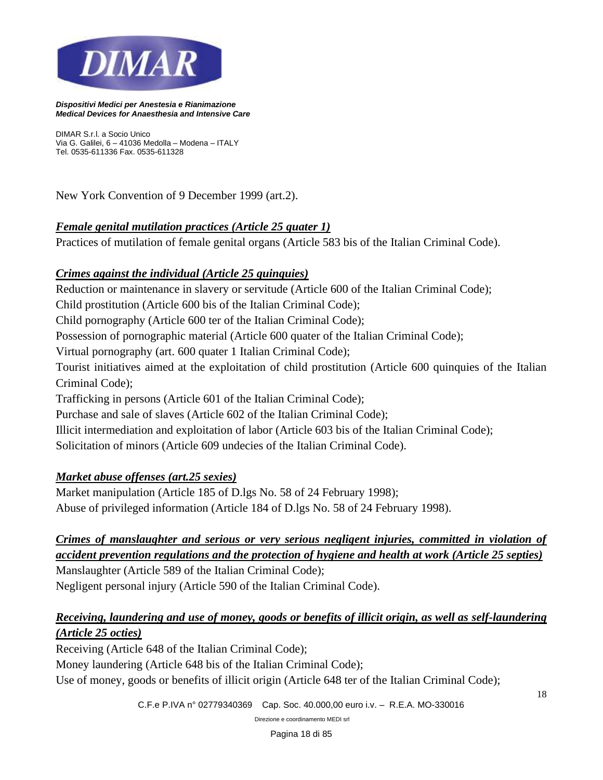

*DIMAR S.r.l. a Socio Unico Via G. Galilei, 6 – 41036 Medolla – Modena – ITALY Tel. 0535-611336 Fax. 0535-611328*

New York Convention of 9 December 1999 (art.2).

#### *Female genital mutilation practices (Article 25 quater 1)*

Practices of mutilation of female genital organs (Article 583 bis of the Italian Criminal Code).

#### *Crimes against the individual (Article 25 quinquies)*

Reduction or maintenance in slavery or servitude (Article 600 of the Italian Criminal Code); Child prostitution (Article 600 bis of the Italian Criminal Code); Child pornography (Article 600 ter of the Italian Criminal Code); Possession of pornographic material (Article 600 quater of the Italian Criminal Code); Virtual pornography (art. 600 quater 1 Italian Criminal Code); Tourist initiatives aimed at the exploitation of child prostitution (Article 600 quinquies of the Italian Criminal Code); Trafficking in persons (Article 601 of the Italian Criminal Code); Purchase and sale of slaves (Article 602 of the Italian Criminal Code); Illicit intermediation and exploitation of labor (Article 603 bis of the Italian Criminal Code); Solicitation of minors (Article 609 undecies of the Italian Criminal Code).

## *Market abuse offenses (art.25 sexies)*

Market manipulation (Article 185 of D.lgs No. 58 of 24 February 1998); Abuse of privileged information (Article 184 of D.lgs No. 58 of 24 February 1998).

## *Crimes of manslaughter and serious or very serious negligent injuries, committed in violation of accident prevention regulations and the protection of hygiene and health at work (Article 25 septies)*

Manslaughter (Article 589 of the Italian Criminal Code); Negligent personal injury (Article 590 of the Italian Criminal Code).

## *Receiving, laundering and use of money, goods or benefits of illicit origin, as well as self-laundering (Article 25 octies)*

Receiving (Article 648 of the Italian Criminal Code);

Money laundering (Article 648 bis of the Italian Criminal Code);

Use of money, goods or benefits of illicit origin (Article 648 ter of the Italian Criminal Code);

*C.F.e P.IVA n° 02779340369 Cap. Soc. 40.000,00 euro i.v. – R.E.A. MO-330016*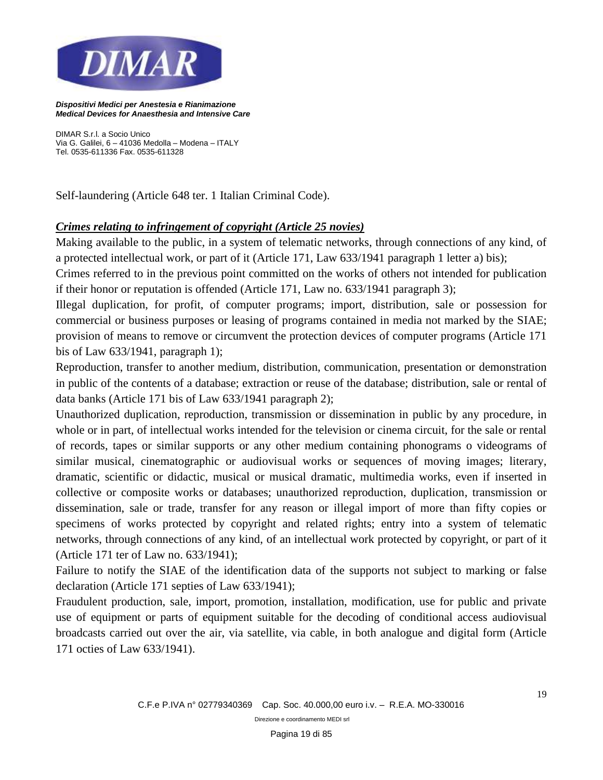

*DIMAR S.r.l. a Socio Unico Via G. Galilei, 6 – 41036 Medolla – Modena – ITALY Tel. 0535-611336 Fax. 0535-611328*

Self-laundering (Article 648 ter. 1 Italian Criminal Code).

#### *Crimes relating to infringement of copyright (Article 25 novies)*

Making available to the public, in a system of telematic networks, through connections of any kind, of a protected intellectual work, or part of it (Article 171, Law 633/1941 paragraph 1 letter a) bis);

Crimes referred to in the previous point committed on the works of others not intended for publication if their honor or reputation is offended (Article 171, Law no. 633/1941 paragraph 3);

Illegal duplication, for profit, of computer programs; import, distribution, sale or possession for commercial or business purposes or leasing of programs contained in media not marked by the SIAE; provision of means to remove or circumvent the protection devices of computer programs (Article 171 bis of Law 633/1941, paragraph 1);

Reproduction, transfer to another medium, distribution, communication, presentation or demonstration in public of the contents of a database; extraction or reuse of the database; distribution, sale or rental of data banks (Article 171 bis of Law 633/1941 paragraph 2);

Unauthorized duplication, reproduction, transmission or dissemination in public by any procedure, in whole or in part, of intellectual works intended for the television or cinema circuit, for the sale or rental of records, tapes or similar supports or any other medium containing phonograms o videograms of similar musical, cinematographic or audiovisual works or sequences of moving images; literary, dramatic, scientific or didactic, musical or musical dramatic, multimedia works, even if inserted in collective or composite works or databases; unauthorized reproduction, duplication, transmission or dissemination, sale or trade, transfer for any reason or illegal import of more than fifty copies or specimens of works protected by copyright and related rights; entry into a system of telematic networks, through connections of any kind, of an intellectual work protected by copyright, or part of it (Article 171 ter of Law no. 633/1941);

Failure to notify the SIAE of the identification data of the supports not subject to marking or false declaration (Article 171 septies of Law 633/1941);

Fraudulent production, sale, import, promotion, installation, modification, use for public and private use of equipment or parts of equipment suitable for the decoding of conditional access audiovisual broadcasts carried out over the air, via satellite, via cable, in both analogue and digital form (Article 171 octies of Law 633/1941).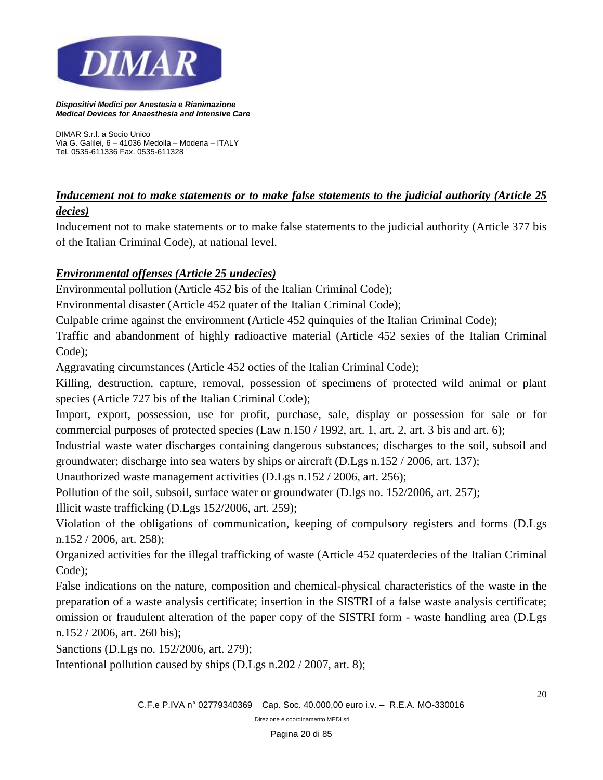

*DIMAR S.r.l. a Socio Unico Via G. Galilei, 6 – 41036 Medolla – Modena – ITALY Tel. 0535-611336 Fax. 0535-611328*

## *Inducement not to make statements or to make false statements to the judicial authority (Article 25 decies)*

Inducement not to make statements or to make false statements to the judicial authority (Article 377 bis of the Italian Criminal Code), at national level.

## *Environmental offenses (Article 25 undecies)*

Environmental pollution (Article 452 bis of the Italian Criminal Code);

Environmental disaster (Article 452 quater of the Italian Criminal Code);

Culpable crime against the environment (Article 452 quinquies of the Italian Criminal Code);

Traffic and abandonment of highly radioactive material (Article 452 sexies of the Italian Criminal Code);

Aggravating circumstances (Article 452 octies of the Italian Criminal Code);

Killing, destruction, capture, removal, possession of specimens of protected wild animal or plant species (Article 727 bis of the Italian Criminal Code);

Import, export, possession, use for profit, purchase, sale, display or possession for sale or for commercial purposes of protected species (Law n.150 / 1992, art. 1, art. 2, art. 3 bis and art. 6);

Industrial waste water discharges containing dangerous substances; discharges to the soil, subsoil and groundwater; discharge into sea waters by ships or aircraft (D.Lgs n.152 / 2006, art. 137);

Unauthorized waste management activities (D.Lgs n.152 / 2006, art. 256);

Pollution of the soil, subsoil, surface water or groundwater (D.lgs no. 152/2006, art. 257);

Illicit waste trafficking (D.Lgs 152/2006, art. 259);

Violation of the obligations of communication, keeping of compulsory registers and forms (D.Lgs n.152 / 2006, art. 258);

Organized activities for the illegal trafficking of waste (Article 452 quaterdecies of the Italian Criminal Code);

False indications on the nature, composition and chemical-physical characteristics of the waste in the preparation of a waste analysis certificate; insertion in the SISTRI of a false waste analysis certificate; omission or fraudulent alteration of the paper copy of the SISTRI form - waste handling area (D.Lgs n.152 / 2006, art. 260 bis);

Sanctions (D.Lgs no. 152/2006, art. 279);

Intentional pollution caused by ships (D.Lgs n.202 / 2007, art. 8);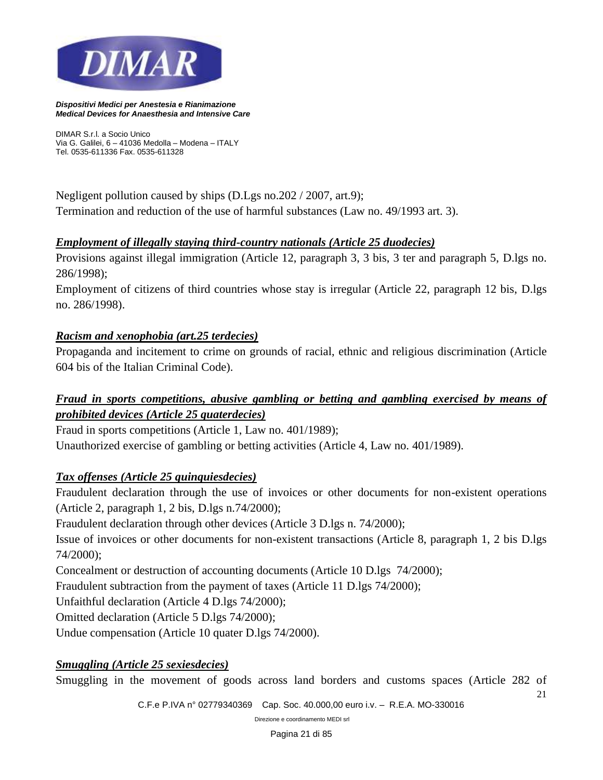

*DIMAR S.r.l. a Socio Unico Via G. Galilei, 6 – 41036 Medolla – Modena – ITALY Tel. 0535-611336 Fax. 0535-611328*

Negligent pollution caused by ships (D.Lgs no.202 / 2007, art.9); Termination and reduction of the use of harmful substances (Law no. 49/1993 art. 3).

#### *Employment of illegally staying third-country nationals (Article 25 duodecies)*

Provisions against illegal immigration (Article 12, paragraph 3, 3 bis, 3 ter and paragraph 5, D.lgs no. 286/1998);

Employment of citizens of third countries whose stay is irregular (Article 22, paragraph 12 bis, D.lgs no. 286/1998).

#### *Racism and xenophobia (art.25 terdecies)*

Propaganda and incitement to crime on grounds of racial, ethnic and religious discrimination (Article 604 bis of the Italian Criminal Code).

## *Fraud in sports competitions, abusive gambling or betting and gambling exercised by means of prohibited devices (Article 25 quaterdecies)*

Fraud in sports competitions (Article 1, Law no. 401/1989);

Unauthorized exercise of gambling or betting activities (Article 4, Law no. 401/1989).

#### *Tax offenses (Article 25 quinquiesdecies)*

Fraudulent declaration through the use of invoices or other documents for non-existent operations (Article 2, paragraph 1, 2 bis, D.lgs n.74/2000);

Fraudulent declaration through other devices (Article 3 D.lgs n. 74/2000);

Issue of invoices or other documents for non-existent transactions (Article 8, paragraph 1, 2 bis D.lgs 74/2000);

Concealment or destruction of accounting documents (Article 10 D.lgs 74/2000);

Fraudulent subtraction from the payment of taxes (Article 11 D.lgs 74/2000);

Unfaithful declaration (Article 4 D.lgs 74/2000);

Omitted declaration (Article 5 D.lgs 74/2000);

Undue compensation (Article 10 quater D.lgs 74/2000).

#### *Smuggling (Article 25 sexiesdecies)*

Smuggling in the movement of goods across land borders and customs spaces (Article 282 of

21

*C.F.e P.IVA n° 02779340369 Cap. Soc. 40.000,00 euro i.v. – R.E.A. MO-330016*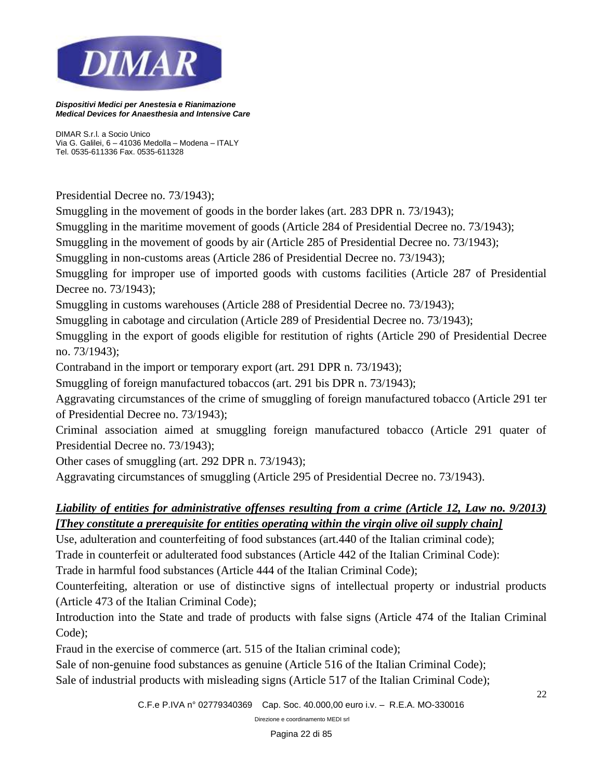

*DIMAR S.r.l. a Socio Unico Via G. Galilei, 6 – 41036 Medolla – Modena – ITALY Tel. 0535-611336 Fax. 0535-611328*

Presidential Decree no. 73/1943);

Smuggling in the movement of goods in the border lakes (art. 283 DPR n. 73/1943);

Smuggling in the maritime movement of goods (Article 284 of Presidential Decree no. 73/1943);

Smuggling in the movement of goods by air (Article 285 of Presidential Decree no. 73/1943);

Smuggling in non-customs areas (Article 286 of Presidential Decree no. 73/1943);

Smuggling for improper use of imported goods with customs facilities (Article 287 of Presidential Decree no. 73/1943);

Smuggling in customs warehouses (Article 288 of Presidential Decree no. 73/1943);

Smuggling in cabotage and circulation (Article 289 of Presidential Decree no. 73/1943);

Smuggling in the export of goods eligible for restitution of rights (Article 290 of Presidential Decree no. 73/1943);

Contraband in the import or temporary export (art. 291 DPR n. 73/1943);

Smuggling of foreign manufactured tobaccos (art. 291 bis DPR n. 73/1943);

Aggravating circumstances of the crime of smuggling of foreign manufactured tobacco (Article 291 ter of Presidential Decree no. 73/1943);

Criminal association aimed at smuggling foreign manufactured tobacco (Article 291 quater of Presidential Decree no. 73/1943);

Other cases of smuggling (art. 292 DPR n. 73/1943);

Aggravating circumstances of smuggling (Article 295 of Presidential Decree no. 73/1943).

## *Liability of entities for administrative offenses resulting from a crime (Article 12, Law no. 9/2013) [They constitute a prerequisite for entities operating within the virgin olive oil supply chain]*

Use, adulteration and counterfeiting of food substances (art.440 of the Italian criminal code);

Trade in counterfeit or adulterated food substances (Article 442 of the Italian Criminal Code):

Trade in harmful food substances (Article 444 of the Italian Criminal Code);

Counterfeiting, alteration or use of distinctive signs of intellectual property or industrial products (Article 473 of the Italian Criminal Code);

Introduction into the State and trade of products with false signs (Article 474 of the Italian Criminal Code);

Fraud in the exercise of commerce (art. 515 of the Italian criminal code);

Sale of non-genuine food substances as genuine (Article 516 of the Italian Criminal Code);

Sale of industrial products with misleading signs (Article 517 of the Italian Criminal Code);

*C.F.e P.IVA n° 02779340369 Cap. Soc. 40.000,00 euro i.v. – R.E.A. MO-330016*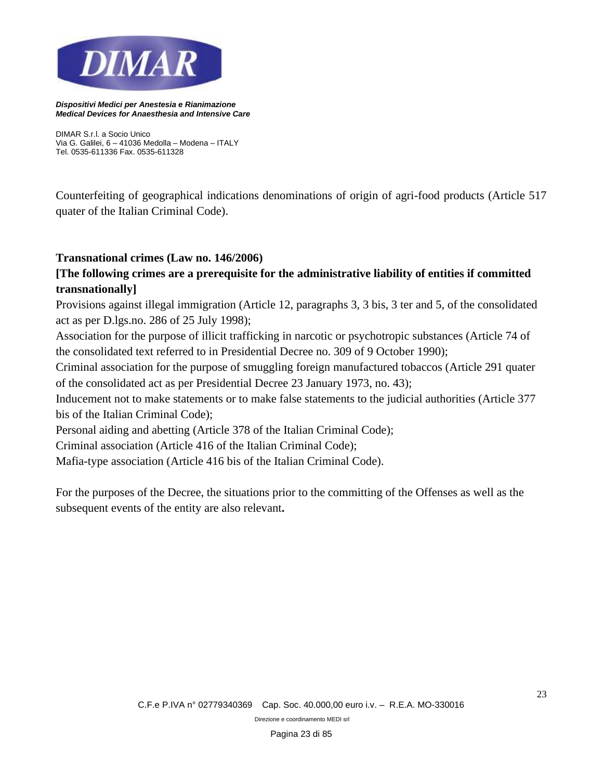

*DIMAR S.r.l. a Socio Unico Via G. Galilei, 6 – 41036 Medolla – Modena – ITALY Tel. 0535-611336 Fax. 0535-611328*

Counterfeiting of geographical indications denominations of origin of agri-food products (Article 517 quater of the Italian Criminal Code).

#### **Transnational crimes (Law no. 146/2006)**

## **[The following crimes are a prerequisite for the administrative liability of entities if committed transnationally]**

Provisions against illegal immigration (Article 12, paragraphs 3, 3 bis, 3 ter and 5, of the consolidated act as per D.lgs.no. 286 of 25 July 1998);

Association for the purpose of illicit trafficking in narcotic or psychotropic substances (Article 74 of the consolidated text referred to in Presidential Decree no. 309 of 9 October 1990);

Criminal association for the purpose of smuggling foreign manufactured tobaccos (Article 291 quater of the consolidated act as per Presidential Decree 23 January 1973, no. 43);

Inducement not to make statements or to make false statements to the judicial authorities (Article 377 bis of the Italian Criminal Code);

Personal aiding and abetting (Article 378 of the Italian Criminal Code);

Criminal association (Article 416 of the Italian Criminal Code);

Mafia-type association (Article 416 bis of the Italian Criminal Code).

For the purposes of the Decree, the situations prior to the committing of the Offenses as well as the subsequent events of the entity are also relevant**.**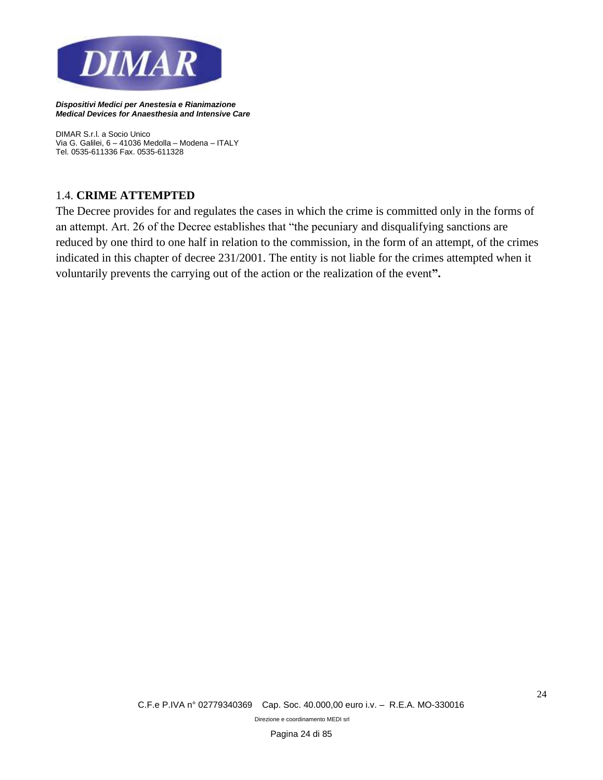

*DIMAR S.r.l. a Socio Unico Via G. Galilei, 6 – 41036 Medolla – Modena – ITALY Tel. 0535-611336 Fax. 0535-611328*

#### 1.4. **CRIME ATTEMPTED**

The Decree provides for and regulates the cases in which the crime is committed only in the forms of an attempt. Art. 26 of the Decree establishes that "the pecuniary and disqualifying sanctions are reduced by one third to one half in relation to the commission, in the form of an attempt, of the crimes indicated in this chapter of decree 231/2001. The entity is not liable for the crimes attempted when it voluntarily prevents the carrying out of the action or the realization of the event**".**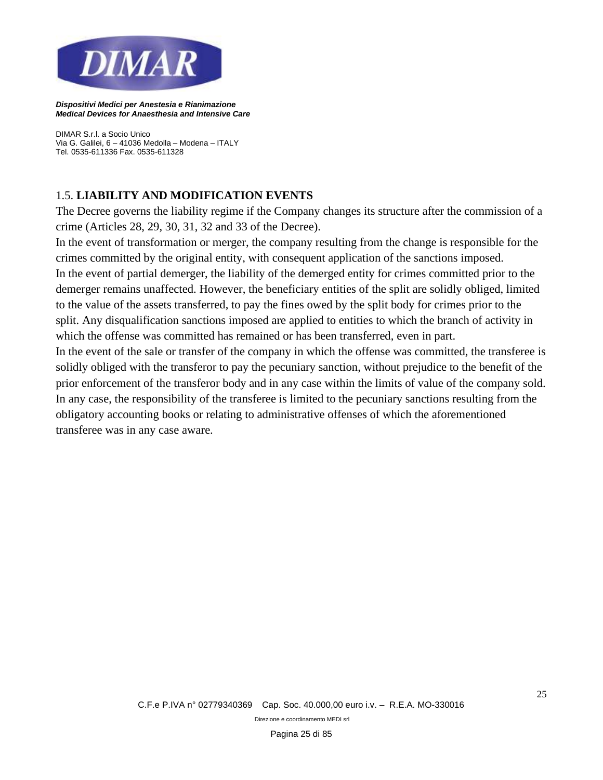

*DIMAR S.r.l. a Socio Unico Via G. Galilei, 6 – 41036 Medolla – Modena – ITALY Tel. 0535-611336 Fax. 0535-611328*

#### 1.5. **LIABILITY AND MODIFICATION EVENTS**

The Decree governs the liability regime if the Company changes its structure after the commission of a crime (Articles 28, 29, 30, 31, 32 and 33 of the Decree).

In the event of transformation or merger, the company resulting from the change is responsible for the crimes committed by the original entity, with consequent application of the sanctions imposed. In the event of partial demerger, the liability of the demerged entity for crimes committed prior to the demerger remains unaffected. However, the beneficiary entities of the split are solidly obliged, limited to the value of the assets transferred, to pay the fines owed by the split body for crimes prior to the split. Any disqualification sanctions imposed are applied to entities to which the branch of activity in which the offense was committed has remained or has been transferred, even in part.

In the event of the sale or transfer of the company in which the offense was committed, the transferee is solidly obliged with the transferor to pay the pecuniary sanction, without prejudice to the benefit of the prior enforcement of the transferor body and in any case within the limits of value of the company sold. In any case, the responsibility of the transferee is limited to the pecuniary sanctions resulting from the obligatory accounting books or relating to administrative offenses of which the aforementioned transferee was in any case aware.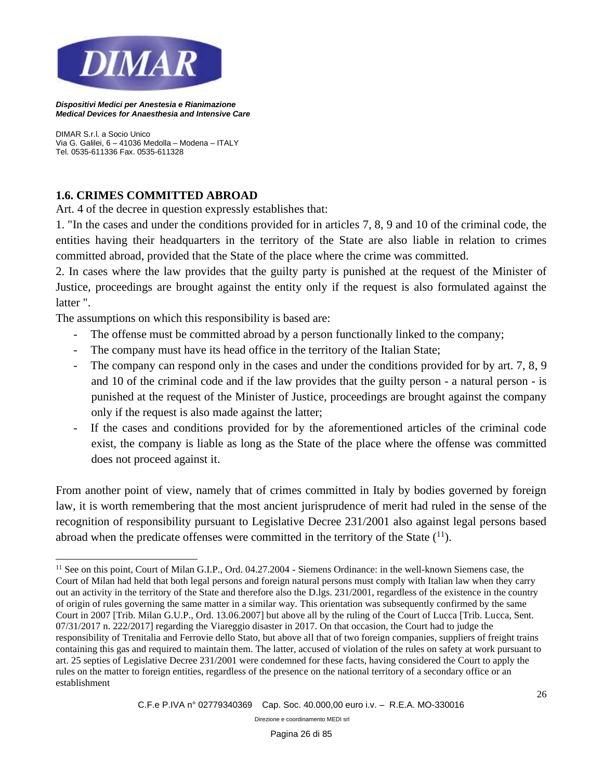

*DIMAR S.r.l. a Socio Unico Via G. Galilei, 6 – 41036 Medolla – Modena – ITALY Tel. 0535-611336 Fax. 0535-611328*

## **1.6. CRIMES COMMITTED ABROAD**

Art. 4 of the decree in question expressly establishes that:

1. "In the cases and under the conditions provided for in articles 7, 8, 9 and 10 of the criminal code, the entities having their headquarters in the territory of the State are also liable in relation to crimes committed abroad, provided that the State of the place where the crime was committed.

2. In cases where the law provides that the guilty party is punished at the request of the Minister of Justice, proceedings are brought against the entity only if the request is also formulated against the latter ".

The assumptions on which this responsibility is based are:

- The offense must be committed abroad by a person functionally linked to the company;
- The company must have its head office in the territory of the Italian State;
- The company can respond only in the cases and under the conditions provided for by art. 7, 8, 9 and 10 of the criminal code and if the law provides that the guilty person - a natural person - is punished at the request of the Minister of Justice, proceedings are brought against the company only if the request is also made against the latter;
- If the cases and conditions provided for by the aforementioned articles of the criminal code exist, the company is liable as long as the State of the place where the offense was committed does not proceed against it.

From another point of view, namely that of crimes committed in Italy by bodies governed by foreign law, it is worth remembering that the most ancient jurisprudence of merit had ruled in the sense of the recognition of responsibility pursuant to Legislative Decree 231/2001 also against legal persons based abroad when the predicate offenses were committed in the territory of the State  $(1)$ .

<sup>&</sup>lt;sup>11</sup> See on this point, Court of Milan G.I.P., Ord. 04.27.2004 - Siemens Ordinance: in the well-known Siemens case, the Court of Milan had held that both legal persons and foreign natural persons must comply with Italian law when they carry out an activity in the territory of the State and therefore also the D.lgs. 231/2001, regardless of the existence in the country of origin of rules governing the same matter in a similar way. This orientation was subsequently confirmed by the same Court in 2007 [Trib. Milan G.U.P., Ord. 13.06.2007] but above all by the ruling of the Court of Lucca [Trib. Lucca, Sent. 07/31/2017 n. 222/2017] regarding the Viareggio disaster in 2017. On that occasion, the Court had to judge the responsibility of Trenitalia and Ferrovie dello Stato, but above all that of two foreign companies, suppliers of freight trains containing this gas and required to maintain them. The latter, accused of violation of the rules on safety at work pursuant to art. 25 septies of Legislative Decree 231/2001 were condemned for these facts, having considered the Court to apply the rules on the matter to foreign entities, regardless of the presence on the national territory of a secondary office or an establishment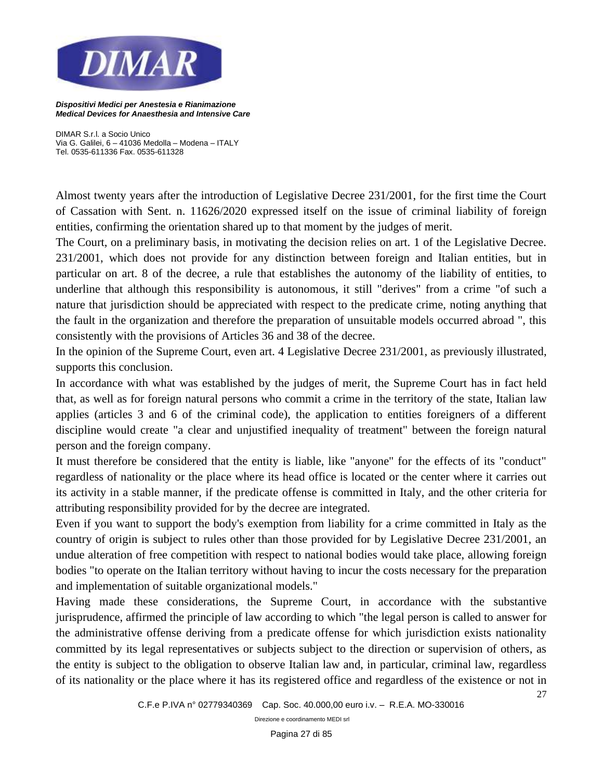

*DIMAR S.r.l. a Socio Unico Via G. Galilei, 6 – 41036 Medolla – Modena – ITALY Tel. 0535-611336 Fax. 0535-611328*

Almost twenty years after the introduction of Legislative Decree 231/2001, for the first time the Court of Cassation with Sent. n. 11626/2020 expressed itself on the issue of criminal liability of foreign entities, confirming the orientation shared up to that moment by the judges of merit.

The Court, on a preliminary basis, in motivating the decision relies on art. 1 of the Legislative Decree. 231/2001, which does not provide for any distinction between foreign and Italian entities, but in particular on art. 8 of the decree, a rule that establishes the autonomy of the liability of entities, to underline that although this responsibility is autonomous, it still "derives" from a crime "of such a nature that jurisdiction should be appreciated with respect to the predicate crime, noting anything that the fault in the organization and therefore the preparation of unsuitable models occurred abroad ", this consistently with the provisions of Articles 36 and 38 of the decree.

In the opinion of the Supreme Court, even art. 4 Legislative Decree 231/2001, as previously illustrated, supports this conclusion.

In accordance with what was established by the judges of merit, the Supreme Court has in fact held that, as well as for foreign natural persons who commit a crime in the territory of the state, Italian law applies (articles 3 and 6 of the criminal code), the application to entities foreigners of a different discipline would create "a clear and unjustified inequality of treatment" between the foreign natural person and the foreign company.

It must therefore be considered that the entity is liable, like "anyone" for the effects of its "conduct" regardless of nationality or the place where its head office is located or the center where it carries out its activity in a stable manner, if the predicate offense is committed in Italy, and the other criteria for attributing responsibility provided for by the decree are integrated.

Even if you want to support the body's exemption from liability for a crime committed in Italy as the country of origin is subject to rules other than those provided for by Legislative Decree 231/2001, an undue alteration of free competition with respect to national bodies would take place, allowing foreign bodies "to operate on the Italian territory without having to incur the costs necessary for the preparation and implementation of suitable organizational models."

Having made these considerations, the Supreme Court, in accordance with the substantive jurisprudence, affirmed the principle of law according to which "the legal person is called to answer for the administrative offense deriving from a predicate offense for which jurisdiction exists nationality committed by its legal representatives or subjects subject to the direction or supervision of others, as the entity is subject to the obligation to observe Italian law and, in particular, criminal law, regardless of its nationality or the place where it has its registered office and regardless of the existence or not in

27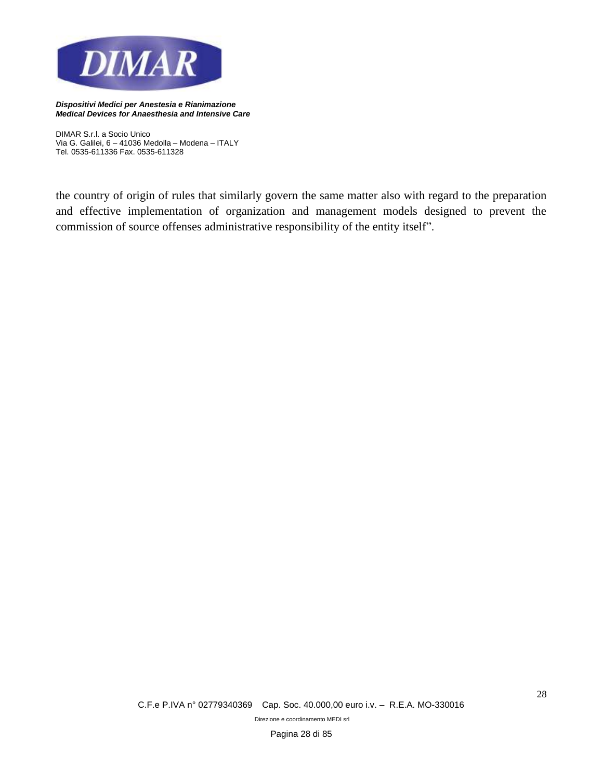

*DIMAR S.r.l. a Socio Unico Via G. Galilei, 6 – 41036 Medolla – Modena – ITALY Tel. 0535-611336 Fax. 0535-611328*

the country of origin of rules that similarly govern the same matter also with regard to the preparation and effective implementation of organization and management models designed to prevent the commission of source offenses administrative responsibility of the entity itself".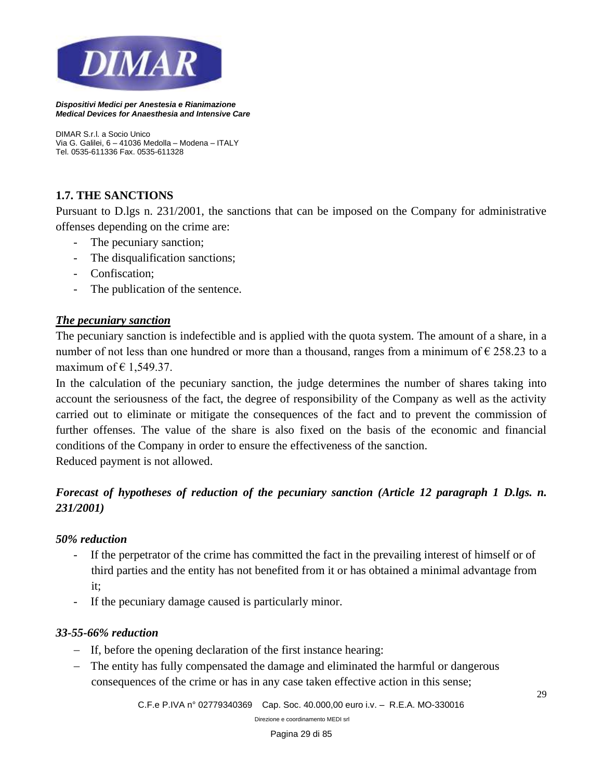

*DIMAR S.r.l. a Socio Unico Via G. Galilei, 6 – 41036 Medolla – Modena – ITALY Tel. 0535-611336 Fax. 0535-611328*

#### **1.7. THE SANCTIONS**

Pursuant to D.lgs n. 231/2001, the sanctions that can be imposed on the Company for administrative offenses depending on the crime are:

- The pecuniary sanction;
- The disqualification sanctions;
- Confiscation;
- The publication of the sentence.

#### *The pecuniary sanction*

The pecuniary sanction is indefectible and is applied with the quota system. The amount of a share, in a number of not less than one hundred or more than a thousand, ranges from a minimum of  $\epsilon$  258.23 to a maximum of  $\in$  1,549.37.

In the calculation of the pecuniary sanction, the judge determines the number of shares taking into account the seriousness of the fact, the degree of responsibility of the Company as well as the activity carried out to eliminate or mitigate the consequences of the fact and to prevent the commission of further offenses. The value of the share is also fixed on the basis of the economic and financial conditions of the Company in order to ensure the effectiveness of the sanction.

Reduced payment is not allowed.

## *Forecast of hypotheses of reduction of the pecuniary sanction (Article 12 paragraph 1 D.lgs. n. 231/2001)*

#### *50% reduction*

- If the perpetrator of the crime has committed the fact in the prevailing interest of himself or of third parties and the entity has not benefited from it or has obtained a minimal advantage from it;
- If the pecuniary damage caused is particularly minor.

#### *33-55-66% reduction*

- − If, before the opening declaration of the first instance hearing:
- − The entity has fully compensated the damage and eliminated the harmful or dangerous consequences of the crime or has in any case taken effective action in this sense;

*C.F.e P.IVA n° 02779340369 Cap. Soc. 40.000,00 euro i.v. – R.E.A. MO-330016*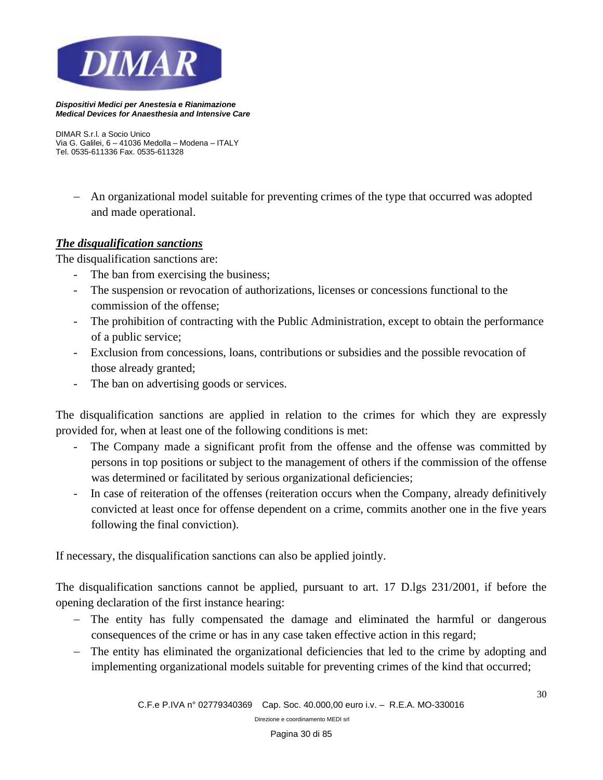

*DIMAR S.r.l. a Socio Unico Via G. Galilei, 6 – 41036 Medolla – Modena – ITALY Tel. 0535-611336 Fax. 0535-611328*

− An organizational model suitable for preventing crimes of the type that occurred was adopted and made operational.

#### *The disqualification sanctions*

The disqualification sanctions are:

- The ban from exercising the business;
- The suspension or revocation of authorizations, licenses or concessions functional to the commission of the offense;
- The prohibition of contracting with the Public Administration, except to obtain the performance of a public service;
- Exclusion from concessions, loans, contributions or subsidies and the possible revocation of those already granted;
- The ban on advertising goods or services.

The disqualification sanctions are applied in relation to the crimes for which they are expressly provided for, when at least one of the following conditions is met:

- The Company made a significant profit from the offense and the offense was committed by persons in top positions or subject to the management of others if the commission of the offense was determined or facilitated by serious organizational deficiencies;
- In case of reiteration of the offenses (reiteration occurs when the Company, already definitively convicted at least once for offense dependent on a crime, commits another one in the five years following the final conviction).

If necessary, the disqualification sanctions can also be applied jointly.

The disqualification sanctions cannot be applied, pursuant to art. 17 D.lgs 231/2001, if before the opening declaration of the first instance hearing:

- − The entity has fully compensated the damage and eliminated the harmful or dangerous consequences of the crime or has in any case taken effective action in this regard;
- − The entity has eliminated the organizational deficiencies that led to the crime by adopting and implementing organizational models suitable for preventing crimes of the kind that occurred;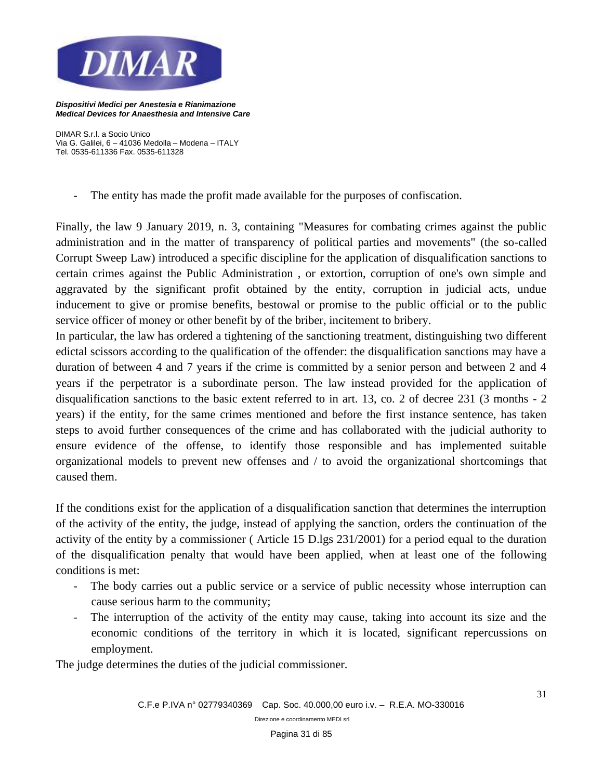

*DIMAR S.r.l. a Socio Unico Via G. Galilei, 6 – 41036 Medolla – Modena – ITALY Tel. 0535-611336 Fax. 0535-611328*

- The entity has made the profit made available for the purposes of confiscation.

Finally, the law 9 January 2019, n. 3, containing "Measures for combating crimes against the public administration and in the matter of transparency of political parties and movements" (the so-called Corrupt Sweep Law) introduced a specific discipline for the application of disqualification sanctions to certain crimes against the Public Administration , or extortion, corruption of one's own simple and aggravated by the significant profit obtained by the entity, corruption in judicial acts, undue inducement to give or promise benefits, bestowal or promise to the public official or to the public service officer of money or other benefit by of the briber, incitement to bribery.

In particular, the law has ordered a tightening of the sanctioning treatment, distinguishing two different edictal scissors according to the qualification of the offender: the disqualification sanctions may have a duration of between 4 and 7 years if the crime is committed by a senior person and between 2 and 4 years if the perpetrator is a subordinate person. The law instead provided for the application of disqualification sanctions to the basic extent referred to in art. 13, co. 2 of decree 231 (3 months - 2 years) if the entity, for the same crimes mentioned and before the first instance sentence, has taken steps to avoid further consequences of the crime and has collaborated with the judicial authority to ensure evidence of the offense, to identify those responsible and has implemented suitable organizational models to prevent new offenses and / to avoid the organizational shortcomings that caused them.

If the conditions exist for the application of a disqualification sanction that determines the interruption of the activity of the entity, the judge, instead of applying the sanction, orders the continuation of the activity of the entity by a commissioner ( Article 15 D.lgs 231/2001) for a period equal to the duration of the disqualification penalty that would have been applied, when at least one of the following conditions is met:

- The body carries out a public service or a service of public necessity whose interruption can cause serious harm to the community;
- The interruption of the activity of the entity may cause, taking into account its size and the economic conditions of the territory in which it is located, significant repercussions on employment.

The judge determines the duties of the judicial commissioner.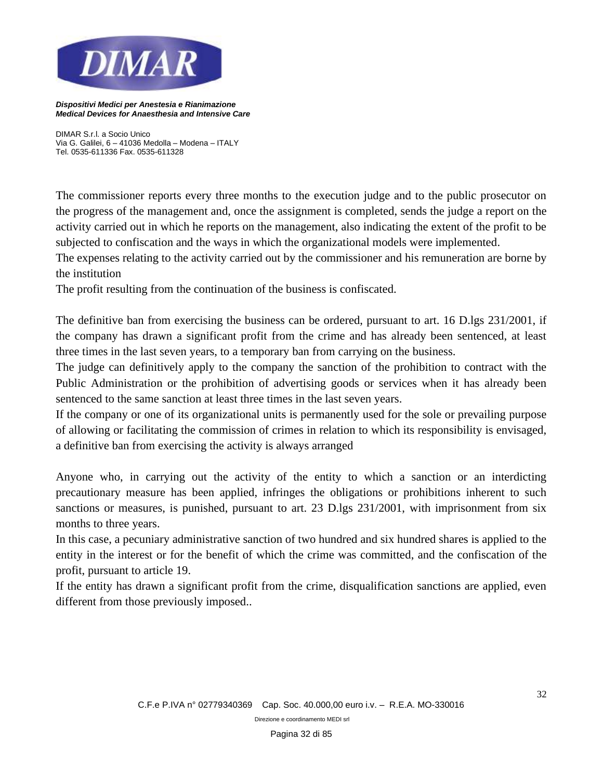

*DIMAR S.r.l. a Socio Unico Via G. Galilei, 6 – 41036 Medolla – Modena – ITALY Tel. 0535-611336 Fax. 0535-611328*

The commissioner reports every three months to the execution judge and to the public prosecutor on the progress of the management and, once the assignment is completed, sends the judge a report on the activity carried out in which he reports on the management, also indicating the extent of the profit to be subjected to confiscation and the ways in which the organizational models were implemented.

The expenses relating to the activity carried out by the commissioner and his remuneration are borne by the institution

The profit resulting from the continuation of the business is confiscated.

The definitive ban from exercising the business can be ordered, pursuant to art. 16 D.lgs 231/2001, if the company has drawn a significant profit from the crime and has already been sentenced, at least three times in the last seven years, to a temporary ban from carrying on the business.

The judge can definitively apply to the company the sanction of the prohibition to contract with the Public Administration or the prohibition of advertising goods or services when it has already been sentenced to the same sanction at least three times in the last seven years.

If the company or one of its organizational units is permanently used for the sole or prevailing purpose of allowing or facilitating the commission of crimes in relation to which its responsibility is envisaged, a definitive ban from exercising the activity is always arranged

Anyone who, in carrying out the activity of the entity to which a sanction or an interdicting precautionary measure has been applied, infringes the obligations or prohibitions inherent to such sanctions or measures, is punished, pursuant to art. 23 D.lgs 231/2001, with imprisonment from six months to three years.

In this case, a pecuniary administrative sanction of two hundred and six hundred shares is applied to the entity in the interest or for the benefit of which the crime was committed, and the confiscation of the profit, pursuant to article 19.

If the entity has drawn a significant profit from the crime, disqualification sanctions are applied, even different from those previously imposed..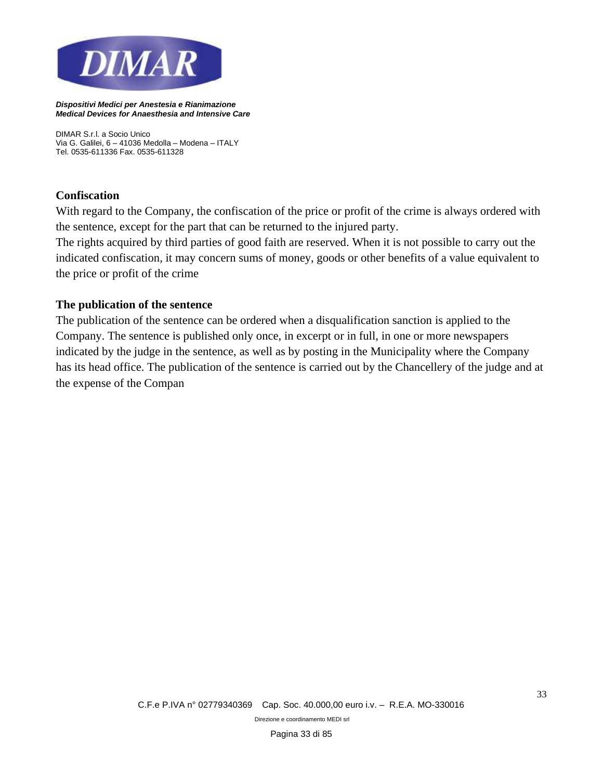

*DIMAR S.r.l. a Socio Unico Via G. Galilei, 6 – 41036 Medolla – Modena – ITALY Tel. 0535-611336 Fax. 0535-611328*

#### **Confiscation**

With regard to the Company, the confiscation of the price or profit of the crime is always ordered with the sentence, except for the part that can be returned to the injured party.

The rights acquired by third parties of good faith are reserved. When it is not possible to carry out the indicated confiscation, it may concern sums of money, goods or other benefits of a value equivalent to the price or profit of the crime

#### **The publication of the sentence**

The publication of the sentence can be ordered when a disqualification sanction is applied to the Company. The sentence is published only once, in excerpt or in full, in one or more newspapers indicated by the judge in the sentence, as well as by posting in the Municipality where the Company has its head office. The publication of the sentence is carried out by the Chancellery of the judge and at the expense of the Compan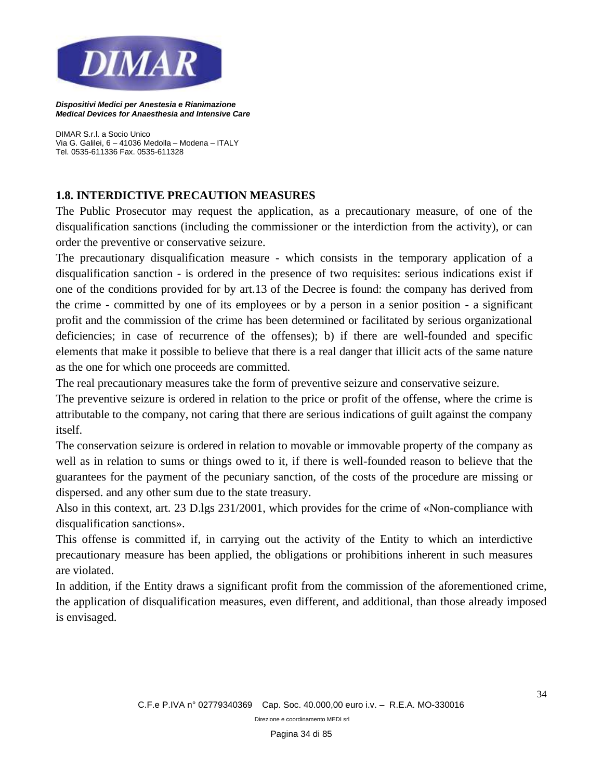

*DIMAR S.r.l. a Socio Unico Via G. Galilei, 6 – 41036 Medolla – Modena – ITALY Tel. 0535-611336 Fax. 0535-611328*

#### **1.8. INTERDICTIVE PRECAUTION MEASURES**

The Public Prosecutor may request the application, as a precautionary measure, of one of the disqualification sanctions (including the commissioner or the interdiction from the activity), or can order the preventive or conservative seizure.

The precautionary disqualification measure - which consists in the temporary application of a disqualification sanction - is ordered in the presence of two requisites: serious indications exist if one of the conditions provided for by art.13 of the Decree is found: the company has derived from the crime - committed by one of its employees or by a person in a senior position - a significant profit and the commission of the crime has been determined or facilitated by serious organizational deficiencies; in case of recurrence of the offenses); b) if there are well-founded and specific elements that make it possible to believe that there is a real danger that illicit acts of the same nature as the one for which one proceeds are committed.

The real precautionary measures take the form of preventive seizure and conservative seizure.

The preventive seizure is ordered in relation to the price or profit of the offense, where the crime is attributable to the company, not caring that there are serious indications of guilt against the company itself.

The conservation seizure is ordered in relation to movable or immovable property of the company as well as in relation to sums or things owed to it, if there is well-founded reason to believe that the guarantees for the payment of the pecuniary sanction, of the costs of the procedure are missing or dispersed. and any other sum due to the state treasury.

Also in this context, art. 23 D.lgs 231/2001, which provides for the crime of «Non-compliance with disqualification sanctions».

This offense is committed if, in carrying out the activity of the Entity to which an interdictive precautionary measure has been applied, the obligations or prohibitions inherent in such measures are violated.

In addition, if the Entity draws a significant profit from the commission of the aforementioned crime, the application of disqualification measures, even different, and additional, than those already imposed is envisaged.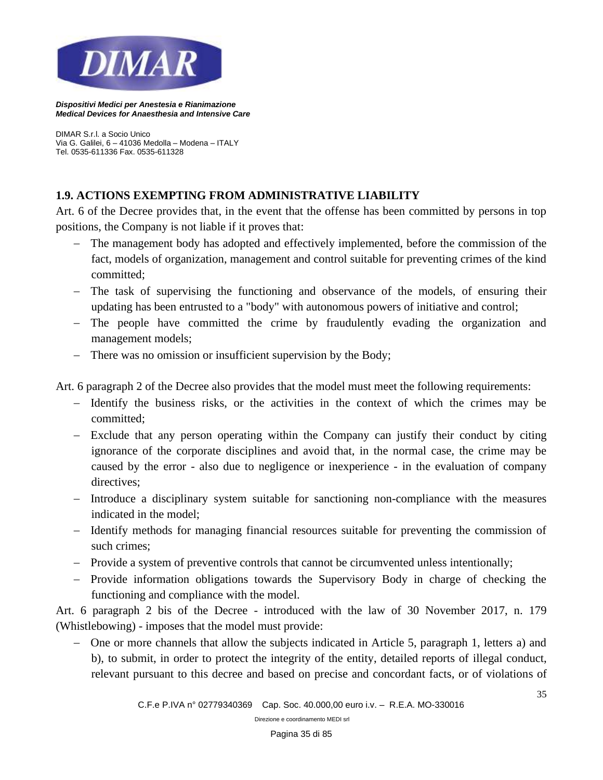

*DIMAR S.r.l. a Socio Unico Via G. Galilei, 6 – 41036 Medolla – Modena – ITALY Tel. 0535-611336 Fax. 0535-611328*

#### **1.9. ACTIONS EXEMPTING FROM ADMINISTRATIVE LIABILITY**

Art. 6 of the Decree provides that, in the event that the offense has been committed by persons in top positions, the Company is not liable if it proves that:

- − The management body has adopted and effectively implemented, before the commission of the fact, models of organization, management and control suitable for preventing crimes of the kind committed;
- − The task of supervising the functioning and observance of the models, of ensuring their updating has been entrusted to a "body" with autonomous powers of initiative and control;
- − The people have committed the crime by fraudulently evading the organization and management models;
- − There was no omission or insufficient supervision by the Body;

Art. 6 paragraph 2 of the Decree also provides that the model must meet the following requirements:

- − Identify the business risks, or the activities in the context of which the crimes may be committed;
- − Exclude that any person operating within the Company can justify their conduct by citing ignorance of the corporate disciplines and avoid that, in the normal case, the crime may be caused by the error - also due to negligence or inexperience - in the evaluation of company directives;
- − Introduce a disciplinary system suitable for sanctioning non-compliance with the measures indicated in the model;
- − Identify methods for managing financial resources suitable for preventing the commission of such crimes;
- − Provide a system of preventive controls that cannot be circumvented unless intentionally;
- − Provide information obligations towards the Supervisory Body in charge of checking the functioning and compliance with the model.

Art. 6 paragraph 2 bis of the Decree - introduced with the law of 30 November 2017, n. 179 (Whistlebowing) - imposes that the model must provide:

− One or more channels that allow the subjects indicated in Article 5, paragraph 1, letters a) and b), to submit, in order to protect the integrity of the entity, detailed reports of illegal conduct, relevant pursuant to this decree and based on precise and concordant facts, or of violations of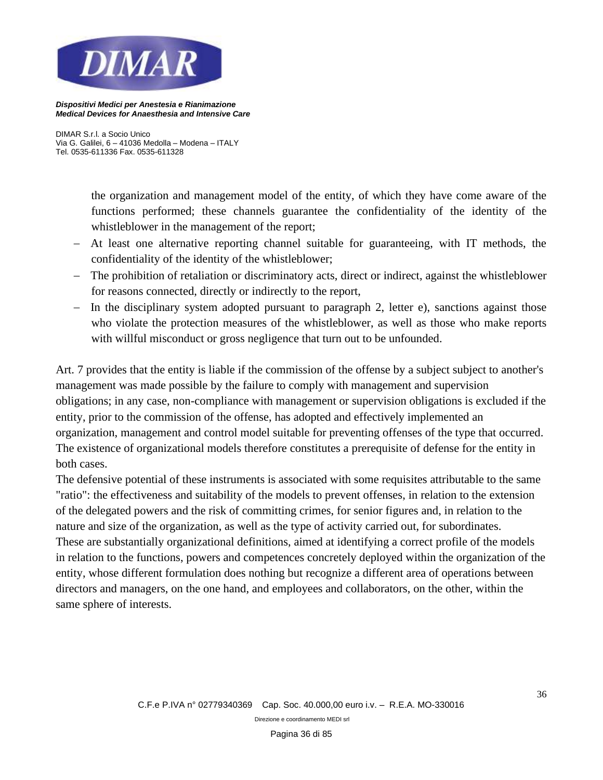

*DIMAR S.r.l. a Socio Unico Via G. Galilei, 6 – 41036 Medolla – Modena – ITALY Tel. 0535-611336 Fax. 0535-611328*

> the organization and management model of the entity, of which they have come aware of the functions performed; these channels guarantee the confidentiality of the identity of the whistleblower in the management of the report;

- − At least one alternative reporting channel suitable for guaranteeing, with IT methods, the confidentiality of the identity of the whistleblower;
- − The prohibition of retaliation or discriminatory acts, direct or indirect, against the whistleblower for reasons connected, directly or indirectly to the report,
- − In the disciplinary system adopted pursuant to paragraph 2, letter e), sanctions against those who violate the protection measures of the whistleblower, as well as those who make reports with willful misconduct or gross negligence that turn out to be unfounded.

Art. 7 provides that the entity is liable if the commission of the offense by a subject subject to another's management was made possible by the failure to comply with management and supervision obligations; in any case, non-compliance with management or supervision obligations is excluded if the entity, prior to the commission of the offense, has adopted and effectively implemented an organization, management and control model suitable for preventing offenses of the type that occurred. The existence of organizational models therefore constitutes a prerequisite of defense for the entity in both cases.

The defensive potential of these instruments is associated with some requisites attributable to the same "ratio": the effectiveness and suitability of the models to prevent offenses, in relation to the extension of the delegated powers and the risk of committing crimes, for senior figures and, in relation to the nature and size of the organization, as well as the type of activity carried out, for subordinates. These are substantially organizational definitions, aimed at identifying a correct profile of the models in relation to the functions, powers and competences concretely deployed within the organization of the entity, whose different formulation does nothing but recognize a different area of operations between directors and managers, on the one hand, and employees and collaborators, on the other, within the same sphere of interests.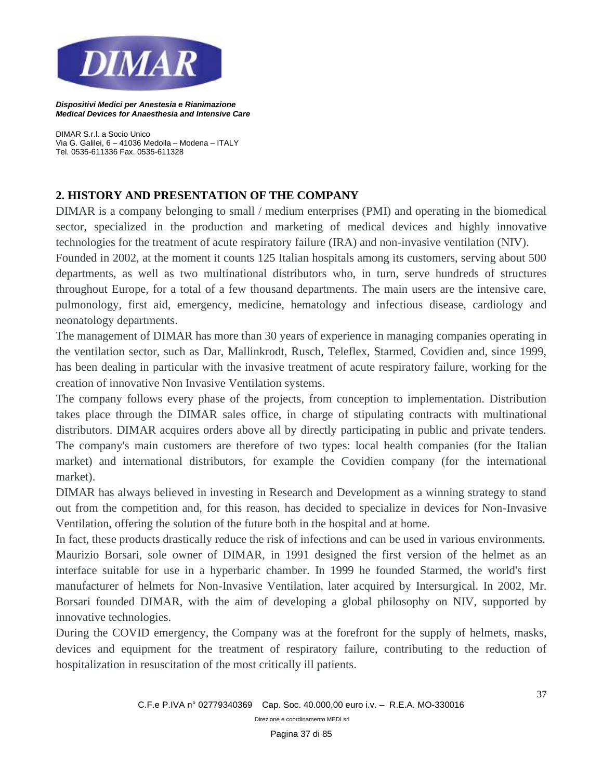

*DIMAR S.r.l. a Socio Unico Via G. Galilei, 6 – 41036 Medolla – Modena – ITALY Tel. 0535-611336 Fax. 0535-611328*

# **2. HISTORY AND PRESENTATION OF THE COMPANY**

DIMAR is a company belonging to small / medium enterprises (PMI) and operating in the biomedical sector, specialized in the production and marketing of medical devices and highly innovative technologies for the treatment of acute respiratory failure (IRA) and non-invasive ventilation (NIV).

Founded in 2002, at the moment it counts 125 Italian hospitals among its customers, serving about 500 departments, as well as two multinational distributors who, in turn, serve hundreds of structures throughout Europe, for a total of a few thousand departments. The main users are the intensive care, pulmonology, first aid, emergency, medicine, hematology and infectious disease, cardiology and neonatology departments.

The management of DIMAR has more than 30 years of experience in managing companies operating in the ventilation sector, such as Dar, Mallinkrodt, Rusch, Teleflex, Starmed, Covidien and, since 1999, has been dealing in particular with the invasive treatment of acute respiratory failure, working for the creation of innovative Non Invasive Ventilation systems.

The company follows every phase of the projects, from conception to implementation. Distribution takes place through the DIMAR sales office, in charge of stipulating contracts with multinational distributors. DIMAR acquires orders above all by directly participating in public and private tenders. The company's main customers are therefore of two types: local health companies (for the Italian market) and international distributors, for example the Covidien company (for the international market).

DIMAR has always believed in investing in Research and Development as a winning strategy to stand out from the competition and, for this reason, has decided to specialize in devices for Non-Invasive Ventilation, offering the solution of the future both in the hospital and at home.

In fact, these products drastically reduce the risk of infections and can be used in various environments. Maurizio Borsari, sole owner of DIMAR, in 1991 designed the first version of the helmet as an interface suitable for use in a hyperbaric chamber. In 1999 he founded Starmed, the world's first manufacturer of helmets for Non-Invasive Ventilation, later acquired by Intersurgical. In 2002, Mr. Borsari founded DIMAR, with the aim of developing a global philosophy on NIV, supported by innovative technologies.

During the COVID emergency, the Company was at the forefront for the supply of helmets, masks, devices and equipment for the treatment of respiratory failure, contributing to the reduction of hospitalization in resuscitation of the most critically ill patients.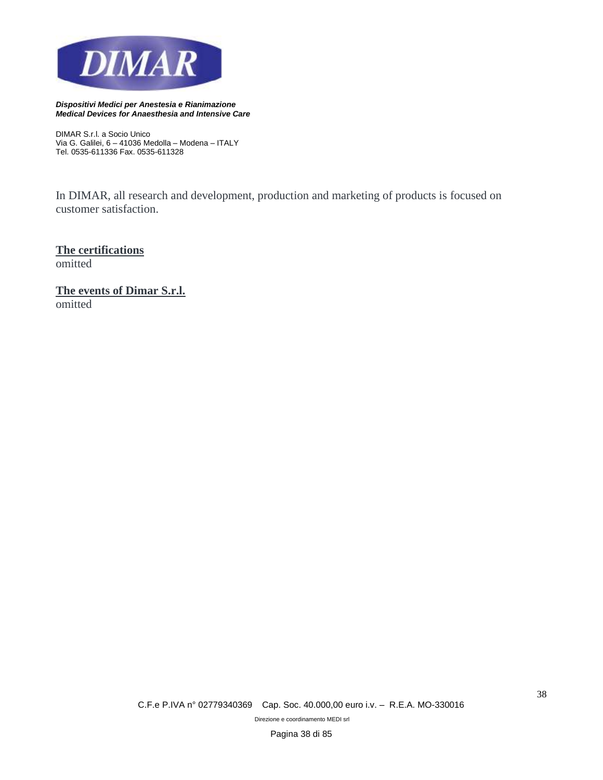

*DIMAR S.r.l. a Socio Unico Via G. Galilei, 6 – 41036 Medolla – Modena – ITALY Tel. 0535-611336 Fax. 0535-611328*

In DIMAR, all research and development, production and marketing of products is focused on customer satisfaction.

**The certifications** omitted

**The events of Dimar S.r.l.** omitted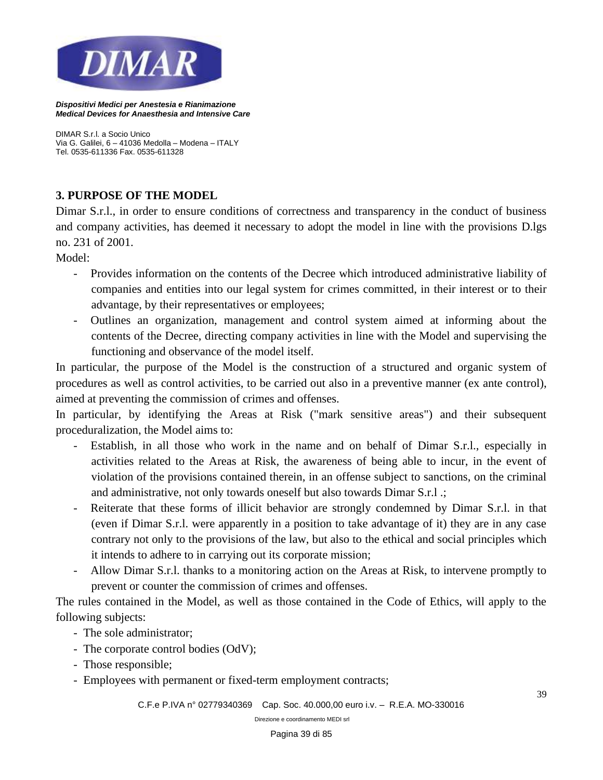

*DIMAR S.r.l. a Socio Unico Via G. Galilei, 6 – 41036 Medolla – Modena – ITALY Tel. 0535-611336 Fax. 0535-611328*

# **3. PURPOSE OF THE MODEL**

Dimar S.r.l., in order to ensure conditions of correctness and transparency in the conduct of business and company activities, has deemed it necessary to adopt the model in line with the provisions D.lgs no. 231 of 2001.

Model:

- Provides information on the contents of the Decree which introduced administrative liability of companies and entities into our legal system for crimes committed, in their interest or to their advantage, by their representatives or employees;
- Outlines an organization, management and control system aimed at informing about the contents of the Decree, directing company activities in line with the Model and supervising the functioning and observance of the model itself.

In particular, the purpose of the Model is the construction of a structured and organic system of procedures as well as control activities, to be carried out also in a preventive manner (ex ante control), aimed at preventing the commission of crimes and offenses.

In particular, by identifying the Areas at Risk ("mark sensitive areas") and their subsequent proceduralization, the Model aims to:

- Establish, in all those who work in the name and on behalf of Dimar S.r.l., especially in activities related to the Areas at Risk, the awareness of being able to incur, in the event of violation of the provisions contained therein, in an offense subject to sanctions, on the criminal and administrative, not only towards oneself but also towards Dimar S.r.l .;
- Reiterate that these forms of illicit behavior are strongly condemned by Dimar S.r.l. in that (even if Dimar S.r.l. were apparently in a position to take advantage of it) they are in any case contrary not only to the provisions of the law, but also to the ethical and social principles which it intends to adhere to in carrying out its corporate mission;
- Allow Dimar S.r.l. thanks to a monitoring action on the Areas at Risk, to intervene promptly to prevent or counter the commission of crimes and offenses.

The rules contained in the Model, as well as those contained in the Code of Ethics, will apply to the following subjects:

- The sole administrator;
- The corporate control bodies (OdV);
- Those responsible;
- Employees with permanent or fixed-term employment contracts;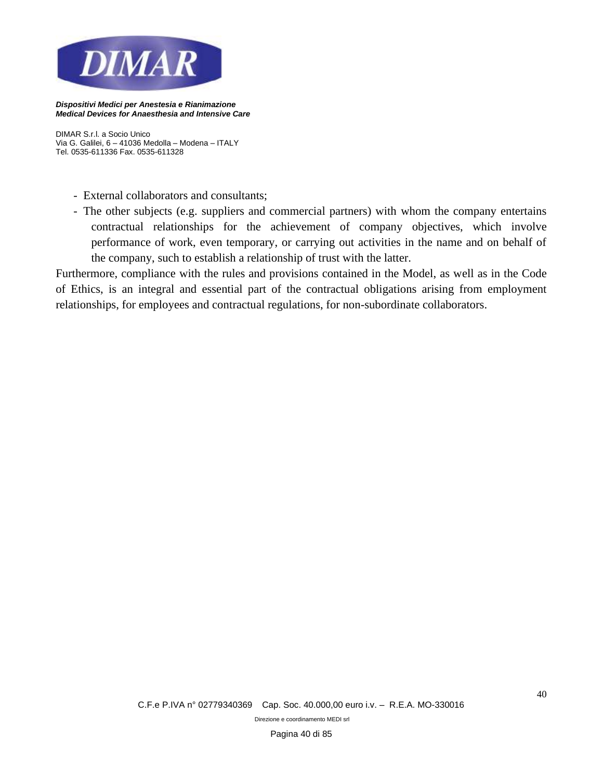

*DIMAR S.r.l. a Socio Unico Via G. Galilei, 6 – 41036 Medolla – Modena – ITALY Tel. 0535-611336 Fax. 0535-611328*

- External collaborators and consultants;
- The other subjects (e.g. suppliers and commercial partners) with whom the company entertains contractual relationships for the achievement of company objectives, which involve performance of work, even temporary, or carrying out activities in the name and on behalf of the company, such to establish a relationship of trust with the latter.

Furthermore, compliance with the rules and provisions contained in the Model, as well as in the Code of Ethics, is an integral and essential part of the contractual obligations arising from employment relationships, for employees and contractual regulations, for non-subordinate collaborators.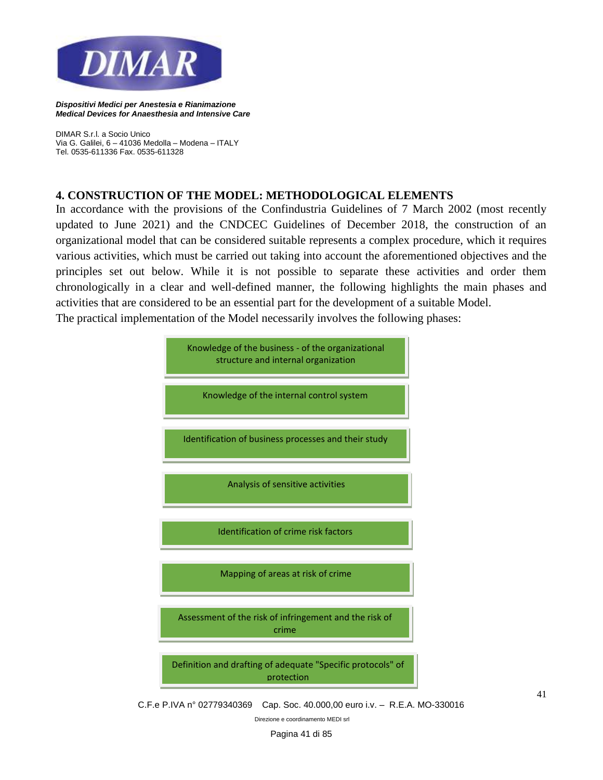

*DIMAR S.r.l. a Socio Unico Via G. Galilei, 6 – 41036 Medolla – Modena – ITALY Tel. 0535-611336 Fax. 0535-611328*

## **4. CONSTRUCTION OF THE MODEL: METHODOLOGICAL ELEMENTS**

In accordance with the provisions of the Confindustria Guidelines of 7 March 2002 (most recently updated to June 2021) and the CNDCEC Guidelines of December 2018, the construction of an organizational model that can be considered suitable represents a complex procedure, which it requires various activities, which must be carried out taking into account the aforementioned objectives and the principles set out below. While it is not possible to separate these activities and order them chronologically in a clear and well-defined manner, the following highlights the main phases and activities that are considered to be an essential part for the development of a suitable Model. The practical implementation of the Model necessarily involves the following phases:

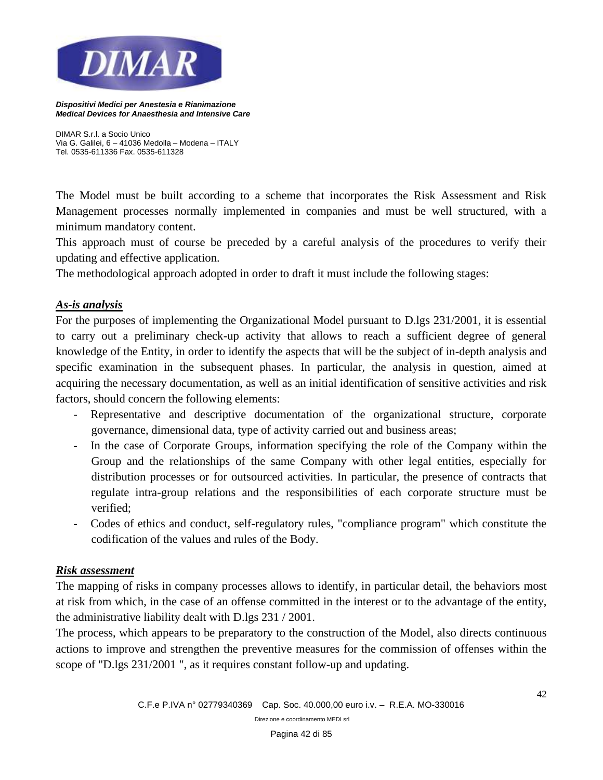

*DIMAR S.r.l. a Socio Unico Via G. Galilei, 6 – 41036 Medolla – Modena – ITALY Tel. 0535-611336 Fax. 0535-611328*

The Model must be built according to a scheme that incorporates the Risk Assessment and Risk Management processes normally implemented in companies and must be well structured, with a minimum mandatory content.

This approach must of course be preceded by a careful analysis of the procedures to verify their updating and effective application.

The methodological approach adopted in order to draft it must include the following stages:

### *As-is analysis*

For the purposes of implementing the Organizational Model pursuant to D.lgs 231/2001, it is essential to carry out a preliminary check-up activity that allows to reach a sufficient degree of general knowledge of the Entity, in order to identify the aspects that will be the subject of in-depth analysis and specific examination in the subsequent phases. In particular, the analysis in question, aimed at acquiring the necessary documentation, as well as an initial identification of sensitive activities and risk factors, should concern the following elements:

- Representative and descriptive documentation of the organizational structure, corporate governance, dimensional data, type of activity carried out and business areas;
- In the case of Corporate Groups, information specifying the role of the Company within the Group and the relationships of the same Company with other legal entities, especially for distribution processes or for outsourced activities. In particular, the presence of contracts that regulate intra-group relations and the responsibilities of each corporate structure must be verified;
- Codes of ethics and conduct, self-regulatory rules, "compliance program" which constitute the codification of the values and rules of the Body.

### *Risk assessment*

The mapping of risks in company processes allows to identify, in particular detail, the behaviors most at risk from which, in the case of an offense committed in the interest or to the advantage of the entity, the administrative liability dealt with D.lgs 231 / 2001.

The process, which appears to be preparatory to the construction of the Model, also directs continuous actions to improve and strengthen the preventive measures for the commission of offenses within the scope of "D.lgs 231/2001 ", as it requires constant follow-up and updating.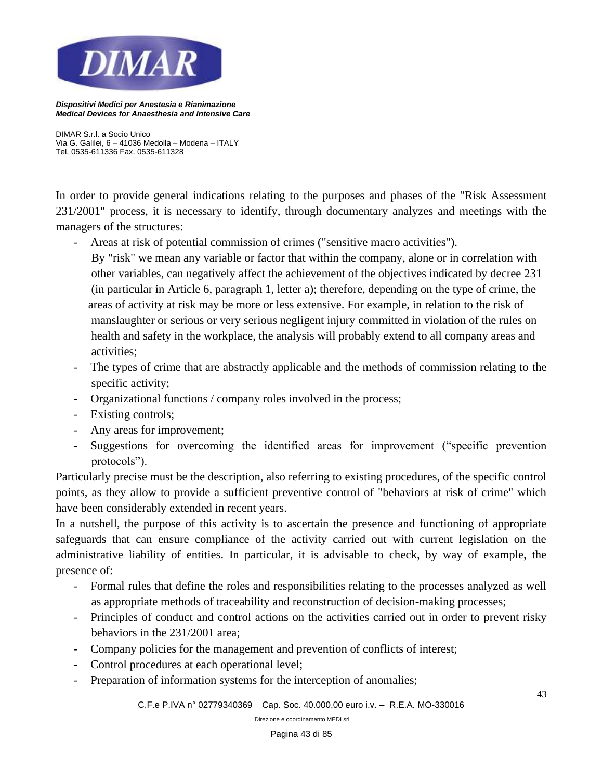

*DIMAR S.r.l. a Socio Unico Via G. Galilei, 6 – 41036 Medolla – Modena – ITALY Tel. 0535-611336 Fax. 0535-611328*

In order to provide general indications relating to the purposes and phases of the "Risk Assessment 231/2001" process, it is necessary to identify, through documentary analyzes and meetings with the managers of the structures:

- Areas at risk of potential commission of crimes ("sensitive macro activities").

 By "risk" we mean any variable or factor that within the company, alone or in correlation with other variables, can negatively affect the achievement of the objectives indicated by decree 231 (in particular in Article 6, paragraph 1, letter a); therefore, depending on the type of crime, the areas of activity at risk may be more or less extensive. For example, in relation to the risk of manslaughter or serious or very serious negligent injury committed in violation of the rules on health and safety in the workplace, the analysis will probably extend to all company areas and activities;

- The types of crime that are abstractly applicable and the methods of commission relating to the specific activity;
- Organizational functions / company roles involved in the process;
- Existing controls;
- Any areas for improvement;
- Suggestions for overcoming the identified areas for improvement ("specific prevention protocols").

Particularly precise must be the description, also referring to existing procedures, of the specific control points, as they allow to provide a sufficient preventive control of "behaviors at risk of crime" which have been considerably extended in recent years.

In a nutshell, the purpose of this activity is to ascertain the presence and functioning of appropriate safeguards that can ensure compliance of the activity carried out with current legislation on the administrative liability of entities. In particular, it is advisable to check, by way of example, the presence of:

- Formal rules that define the roles and responsibilities relating to the processes analyzed as well as appropriate methods of traceability and reconstruction of decision-making processes;
- Principles of conduct and control actions on the activities carried out in order to prevent risky behaviors in the 231/2001 area;
- Company policies for the management and prevention of conflicts of interest;
- Control procedures at each operational level;
- Preparation of information systems for the interception of anomalies;

*C.F.e P.IVA n° 02779340369 Cap. Soc. 40.000,00 euro i.v. – R.E.A. MO-330016*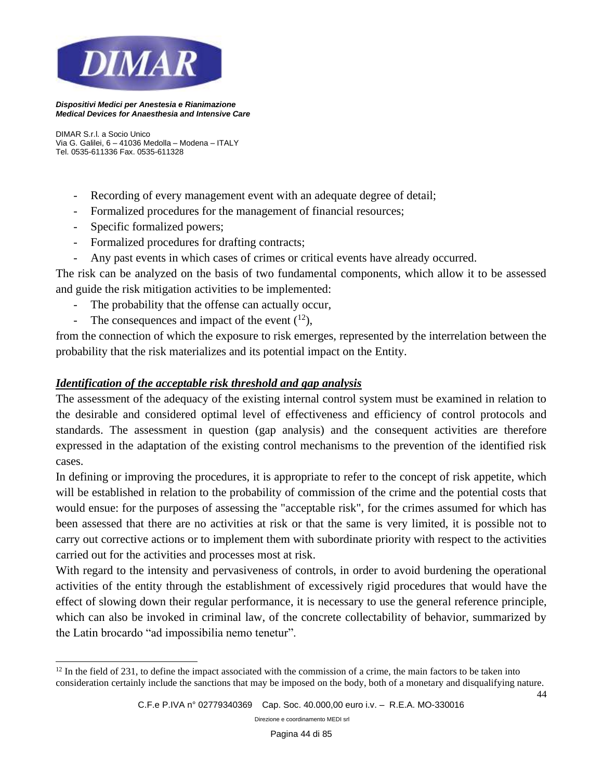

*DIMAR S.r.l. a Socio Unico Via G. Galilei, 6 – 41036 Medolla – Modena – ITALY Tel. 0535-611336 Fax. 0535-611328*

- Recording of every management event with an adequate degree of detail;
- Formalized procedures for the management of financial resources;
- Specific formalized powers;
- Formalized procedures for drafting contracts;
- Any past events in which cases of crimes or critical events have already occurred.

The risk can be analyzed on the basis of two fundamental components, which allow it to be assessed and guide the risk mitigation activities to be implemented:

- The probability that the offense can actually occur,
- The consequences and impact of the event  $(^{12})$ ,

from the connection of which the exposure to risk emerges, represented by the interrelation between the probability that the risk materializes and its potential impact on the Entity.

## *Identification of the acceptable risk threshold and gap analysis*

The assessment of the adequacy of the existing internal control system must be examined in relation to the desirable and considered optimal level of effectiveness and efficiency of control protocols and standards. The assessment in question (gap analysis) and the consequent activities are therefore expressed in the adaptation of the existing control mechanisms to the prevention of the identified risk cases.

In defining or improving the procedures, it is appropriate to refer to the concept of risk appetite, which will be established in relation to the probability of commission of the crime and the potential costs that would ensue: for the purposes of assessing the "acceptable risk", for the crimes assumed for which has been assessed that there are no activities at risk or that the same is very limited, it is possible not to carry out corrective actions or to implement them with subordinate priority with respect to the activities carried out for the activities and processes most at risk.

With regard to the intensity and pervasiveness of controls, in order to avoid burdening the operational activities of the entity through the establishment of excessively rigid procedures that would have the effect of slowing down their regular performance, it is necessary to use the general reference principle, which can also be invoked in criminal law, of the concrete collectability of behavior, summarized by the Latin brocardo "ad impossibilia nemo tenetur".

*Direzione e coordinamento MEDI srl*

44

 $12$  In the field of 231, to define the impact associated with the commission of a crime, the main factors to be taken into consideration certainly include the sanctions that may be imposed on the body, both of a monetary and disqualifying nature.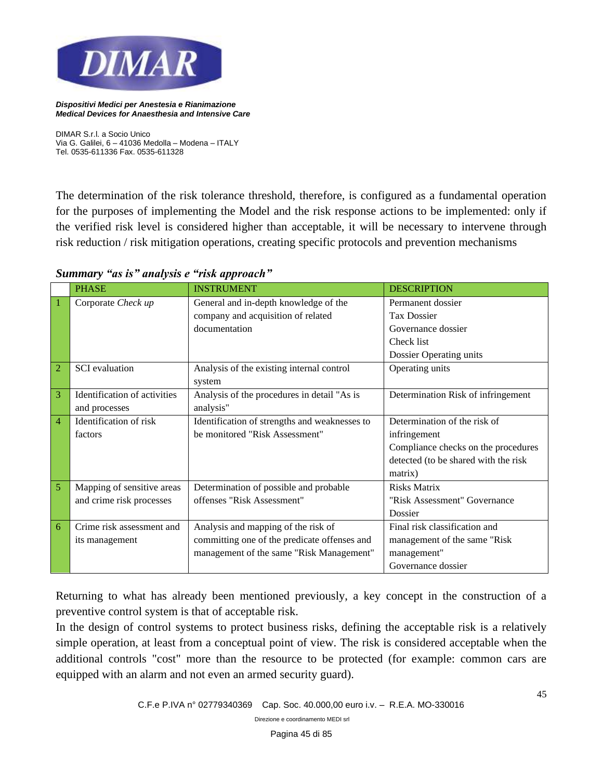

*DIMAR S.r.l. a Socio Unico Via G. Galilei, 6 – 41036 Medolla – Modena – ITALY Tel. 0535-611336 Fax. 0535-611328*

The determination of the risk tolerance threshold, therefore, is configured as a fundamental operation for the purposes of implementing the Model and the risk response actions to be implemented: only if the verified risk level is considered higher than acceptable, it will be necessary to intervene through risk reduction / risk mitigation operations, creating specific protocols and prevention mechanisms

|                | <b>PHASE</b>                 | <b>INSTRUMENT</b>                             | <b>DESCRIPTION</b>                   |
|----------------|------------------------------|-----------------------------------------------|--------------------------------------|
| 1              | Corporate Check up           | General and in-depth knowledge of the         | Permanent dossier                    |
|                |                              | company and acquisition of related            | <b>Tax Dossier</b>                   |
|                |                              | documentation                                 | Governance dossier                   |
|                |                              |                                               | Check list                           |
|                |                              |                                               | Dossier Operating units              |
| $\overline{2}$ | <b>SCI</b> evaluation        | Analysis of the existing internal control     | Operating units                      |
|                |                              | system                                        |                                      |
| 3              | Identification of activities | Analysis of the procedures in detail "As is   | Determination Risk of infringement   |
|                | and processes                | analysis"                                     |                                      |
| $\overline{4}$ | Identification of risk       | Identification of strengths and weaknesses to | Determination of the risk of         |
|                | factors                      | be monitored "Risk Assessment"                | infringement                         |
|                |                              |                                               | Compliance checks on the procedures  |
|                |                              |                                               | detected (to be shared with the risk |
|                |                              |                                               | matrix)                              |
| 5              | Mapping of sensitive areas   | Determination of possible and probable        | <b>Risks Matrix</b>                  |
|                | and crime risk processes     | offenses "Risk Assessment"                    | "Risk Assessment" Governance         |
|                |                              |                                               | Dossier                              |
| 6              | Crime risk assessment and    | Analysis and mapping of the risk of           | Final risk classification and        |
|                | its management               | committing one of the predicate offenses and  | management of the same "Risk"        |
|                |                              | management of the same "Risk Management"      | management"                          |
|                |                              |                                               | Governance dossier                   |

### *Summary "as is" analysis e "risk approach"*

Returning to what has already been mentioned previously, a key concept in the construction of a preventive control system is that of acceptable risk.

In the design of control systems to protect business risks, defining the acceptable risk is a relatively simple operation, at least from a conceptual point of view. The risk is considered acceptable when the additional controls "cost" more than the resource to be protected (for example: common cars are equipped with an alarm and not even an armed security guard).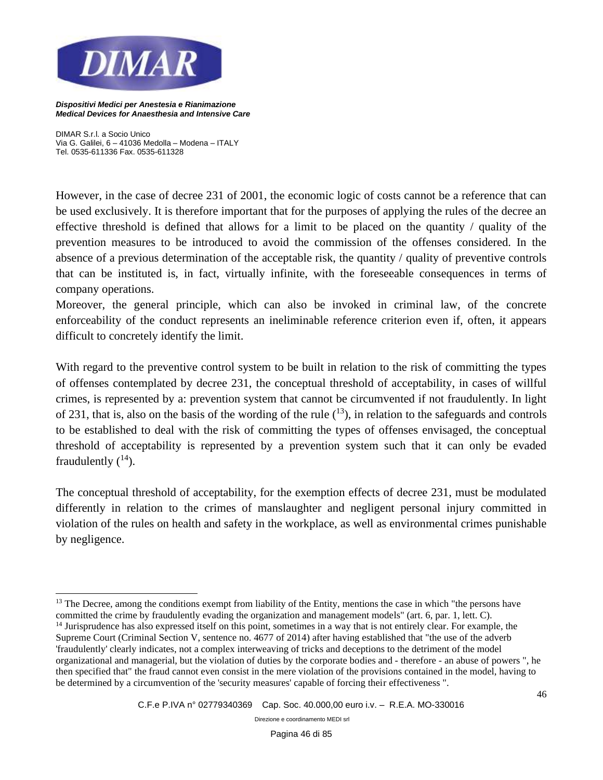

*DIMAR S.r.l. a Socio Unico Via G. Galilei, 6 – 41036 Medolla – Modena – ITALY Tel. 0535-611336 Fax. 0535-611328*

However, in the case of decree 231 of 2001, the economic logic of costs cannot be a reference that can be used exclusively. It is therefore important that for the purposes of applying the rules of the decree an effective threshold is defined that allows for a limit to be placed on the quantity / quality of the prevention measures to be introduced to avoid the commission of the offenses considered. In the absence of a previous determination of the acceptable risk, the quantity / quality of preventive controls that can be instituted is, in fact, virtually infinite, with the foreseeable consequences in terms of company operations.

Moreover, the general principle, which can also be invoked in criminal law, of the concrete enforceability of the conduct represents an ineliminable reference criterion even if, often, it appears difficult to concretely identify the limit.

With regard to the preventive control system to be built in relation to the risk of committing the types of offenses contemplated by decree 231, the conceptual threshold of acceptability, in cases of willful crimes, is represented by a: prevention system that cannot be circumvented if not fraudulently. In light of 231, that is, also on the basis of the wording of the rule  $(13)$ , in relation to the safeguards and controls to be established to deal with the risk of committing the types of offenses envisaged, the conceptual threshold of acceptability is represented by a prevention system such that it can only be evaded fraudulently  $(^{14})$ .

The conceptual threshold of acceptability, for the exemption effects of decree 231, must be modulated differently in relation to the crimes of manslaughter and negligent personal injury committed in violation of the rules on health and safety in the workplace, as well as environmental crimes punishable by negligence.

<sup>14</sup> Jurisprudence has also expressed itself on this point, sometimes in a way that is not entirely clear. For example, the Supreme Court (Criminal Section V, sentence no. 4677 of 2014) after having established that "the use of the adverb 'fraudulently' clearly indicates, not a complex interweaving of tricks and deceptions to the detriment of the model organizational and managerial, but the violation of duties by the corporate bodies and - therefore - an abuse of powers ", he then specified that" the fraud cannot even consist in the mere violation of the provisions contained in the model, having to be determined by a circumvention of the 'security measures' capable of forcing their effectiveness ".

<sup>&</sup>lt;sup>13</sup> The Decree, among the conditions exempt from liability of the Entity, mentions the case in which "the persons have committed the crime by fraudulently evading the organization and management models" (art. 6, par. 1, lett. C).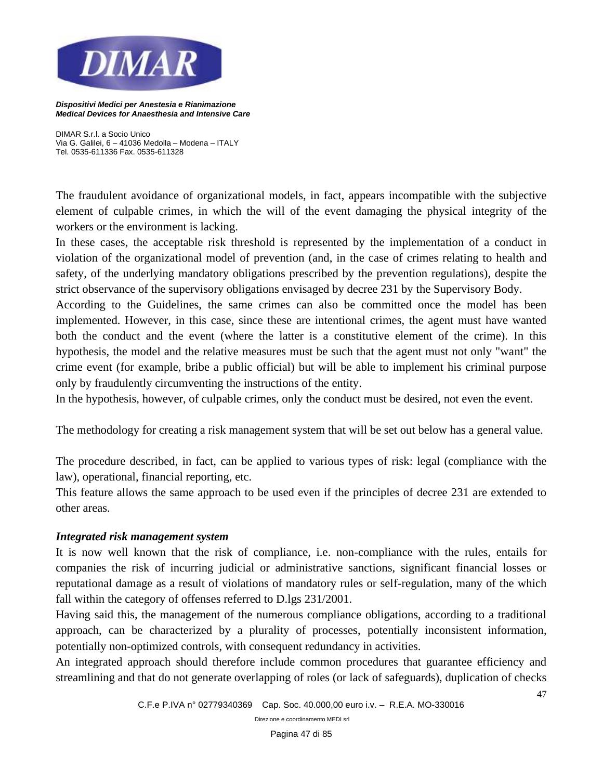

*DIMAR S.r.l. a Socio Unico Via G. Galilei, 6 – 41036 Medolla – Modena – ITALY Tel. 0535-611336 Fax. 0535-611328*

The fraudulent avoidance of organizational models, in fact, appears incompatible with the subjective element of culpable crimes, in which the will of the event damaging the physical integrity of the workers or the environment is lacking.

In these cases, the acceptable risk threshold is represented by the implementation of a conduct in violation of the organizational model of prevention (and, in the case of crimes relating to health and safety, of the underlying mandatory obligations prescribed by the prevention regulations), despite the strict observance of the supervisory obligations envisaged by decree 231 by the Supervisory Body.

According to the Guidelines, the same crimes can also be committed once the model has been implemented. However, in this case, since these are intentional crimes, the agent must have wanted both the conduct and the event (where the latter is a constitutive element of the crime). In this hypothesis, the model and the relative measures must be such that the agent must not only "want" the crime event (for example, bribe a public official) but will be able to implement his criminal purpose only by fraudulently circumventing the instructions of the entity.

In the hypothesis, however, of culpable crimes, only the conduct must be desired, not even the event.

The methodology for creating a risk management system that will be set out below has a general value.

The procedure described, in fact, can be applied to various types of risk: legal (compliance with the law), operational, financial reporting, etc.

This feature allows the same approach to be used even if the principles of decree 231 are extended to other areas.

### *Integrated risk management system*

It is now well known that the risk of compliance, i.e. non-compliance with the rules, entails for companies the risk of incurring judicial or administrative sanctions, significant financial losses or reputational damage as a result of violations of mandatory rules or self-regulation, many of the which fall within the category of offenses referred to D.lgs 231/2001.

Having said this, the management of the numerous compliance obligations, according to a traditional approach, can be characterized by a plurality of processes, potentially inconsistent information, potentially non-optimized controls, with consequent redundancy in activities.

An integrated approach should therefore include common procedures that guarantee efficiency and streamlining and that do not generate overlapping of roles (or lack of safeguards), duplication of checks

47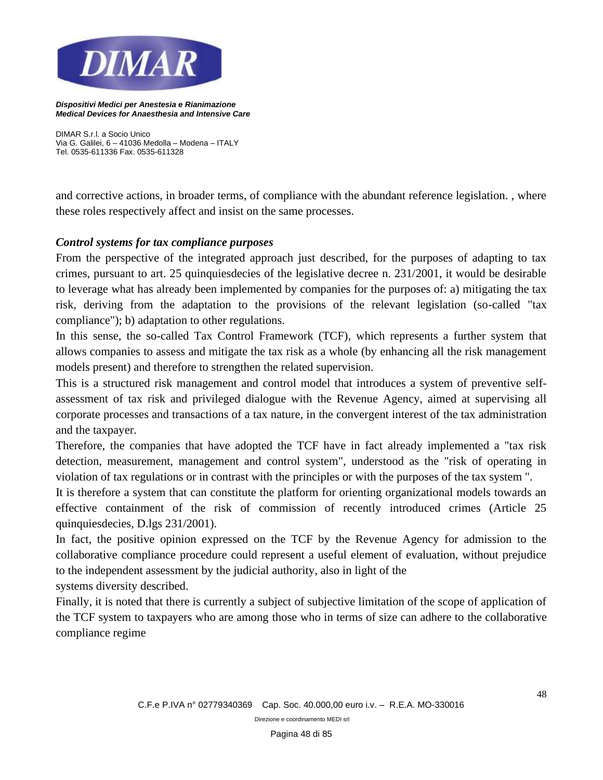

*DIMAR S.r.l. a Socio Unico Via G. Galilei, 6 – 41036 Medolla – Modena – ITALY Tel. 0535-611336 Fax. 0535-611328*

and corrective actions, in broader terms, of compliance with the abundant reference legislation. , where these roles respectively affect and insist on the same processes.

## *Control systems for tax compliance purposes*

From the perspective of the integrated approach just described, for the purposes of adapting to tax crimes, pursuant to art. 25 quinquiesdecies of the legislative decree n. 231/2001, it would be desirable to leverage what has already been implemented by companies for the purposes of: a) mitigating the tax risk, deriving from the adaptation to the provisions of the relevant legislation (so-called "tax compliance"); b) adaptation to other regulations.

In this sense, the so-called Tax Control Framework (TCF), which represents a further system that allows companies to assess and mitigate the tax risk as a whole (by enhancing all the risk management models present) and therefore to strengthen the related supervision.

This is a structured risk management and control model that introduces a system of preventive selfassessment of tax risk and privileged dialogue with the Revenue Agency, aimed at supervising all corporate processes and transactions of a tax nature, in the convergent interest of the tax administration and the taxpayer.

Therefore, the companies that have adopted the TCF have in fact already implemented a "tax risk detection, measurement, management and control system", understood as the "risk of operating in violation of tax regulations or in contrast with the principles or with the purposes of the tax system ".

It is therefore a system that can constitute the platform for orienting organizational models towards an effective containment of the risk of commission of recently introduced crimes (Article 25 quinquiesdecies, D.lgs 231/2001).

In fact, the positive opinion expressed on the TCF by the Revenue Agency for admission to the collaborative compliance procedure could represent a useful element of evaluation, without prejudice to the independent assessment by the judicial authority, also in light of the

systems diversity described.

Finally, it is noted that there is currently a subject of subjective limitation of the scope of application of the TCF system to taxpayers who are among those who in terms of size can adhere to the collaborative compliance regime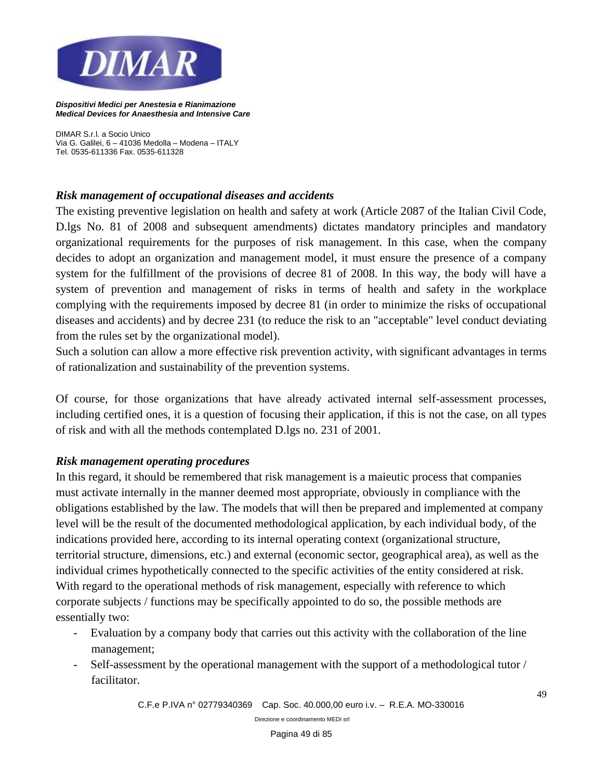

*DIMAR S.r.l. a Socio Unico Via G. Galilei, 6 – 41036 Medolla – Modena – ITALY Tel. 0535-611336 Fax. 0535-611328*

## *Risk management of occupational diseases and accidents*

The existing preventive legislation on health and safety at work (Article 2087 of the Italian Civil Code, D.lgs No. 81 of 2008 and subsequent amendments) dictates mandatory principles and mandatory organizational requirements for the purposes of risk management. In this case, when the company decides to adopt an organization and management model, it must ensure the presence of a company system for the fulfillment of the provisions of decree 81 of 2008. In this way, the body will have a system of prevention and management of risks in terms of health and safety in the workplace complying with the requirements imposed by decree 81 (in order to minimize the risks of occupational diseases and accidents) and by decree 231 (to reduce the risk to an "acceptable" level conduct deviating from the rules set by the organizational model).

Such a solution can allow a more effective risk prevention activity, with significant advantages in terms of rationalization and sustainability of the prevention systems.

Of course, for those organizations that have already activated internal self-assessment processes, including certified ones, it is a question of focusing their application, if this is not the case, on all types of risk and with all the methods contemplated D.lgs no. 231 of 2001.

### *Risk management operating procedures*

In this regard, it should be remembered that risk management is a maieutic process that companies must activate internally in the manner deemed most appropriate, obviously in compliance with the obligations established by the law. The models that will then be prepared and implemented at company level will be the result of the documented methodological application, by each individual body, of the indications provided here, according to its internal operating context (organizational structure, territorial structure, dimensions, etc.) and external (economic sector, geographical area), as well as the individual crimes hypothetically connected to the specific activities of the entity considered at risk. With regard to the operational methods of risk management, especially with reference to which corporate subjects / functions may be specifically appointed to do so, the possible methods are essentially two:

- Evaluation by a company body that carries out this activity with the collaboration of the line management;
- Self-assessment by the operational management with the support of a methodological tutor / facilitator.

*C.F.e P.IVA n° 02779340369 Cap. Soc. 40.000,00 euro i.v. – R.E.A. MO-330016*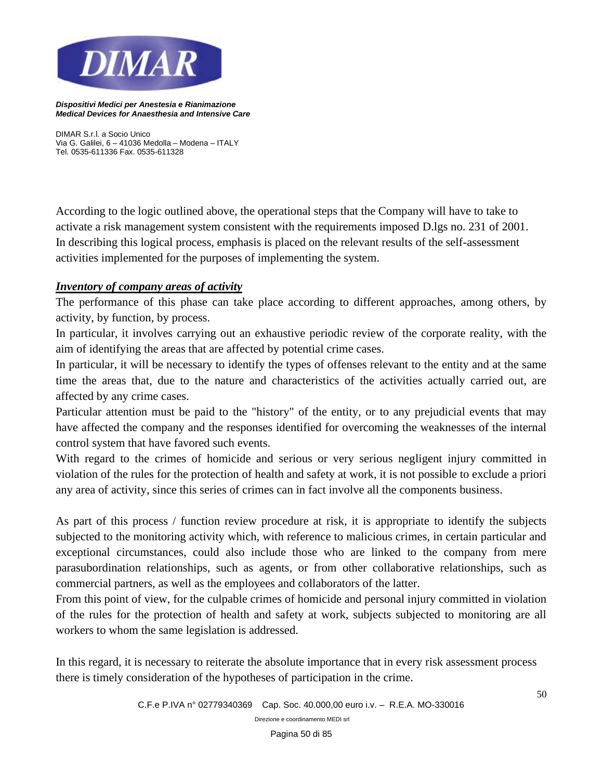

*DIMAR S.r.l. a Socio Unico Via G. Galilei, 6 – 41036 Medolla – Modena – ITALY Tel. 0535-611336 Fax. 0535-611328*

According to the logic outlined above, the operational steps that the Company will have to take to activate a risk management system consistent with the requirements imposed D.lgs no. 231 of 2001. In describing this logical process, emphasis is placed on the relevant results of the self-assessment activities implemented for the purposes of implementing the system.

# *Inventory of company areas of activity*

The performance of this phase can take place according to different approaches, among others, by activity, by function, by process.

In particular, it involves carrying out an exhaustive periodic review of the corporate reality, with the aim of identifying the areas that are affected by potential crime cases.

In particular, it will be necessary to identify the types of offenses relevant to the entity and at the same time the areas that, due to the nature and characteristics of the activities actually carried out, are affected by any crime cases.

Particular attention must be paid to the "history" of the entity, or to any prejudicial events that may have affected the company and the responses identified for overcoming the weaknesses of the internal control system that have favored such events.

With regard to the crimes of homicide and serious or very serious negligent injury committed in violation of the rules for the protection of health and safety at work, it is not possible to exclude a priori any area of activity, since this series of crimes can in fact involve all the components business.

As part of this process / function review procedure at risk, it is appropriate to identify the subjects subjected to the monitoring activity which, with reference to malicious crimes, in certain particular and exceptional circumstances, could also include those who are linked to the company from mere parasubordination relationships, such as agents, or from other collaborative relationships, such as commercial partners, as well as the employees and collaborators of the latter.

From this point of view, for the culpable crimes of homicide and personal injury committed in violation of the rules for the protection of health and safety at work, subjects subjected to monitoring are all workers to whom the same legislation is addressed.

In this regard, it is necessary to reiterate the absolute importance that in every risk assessment process there is timely consideration of the hypotheses of participation in the crime.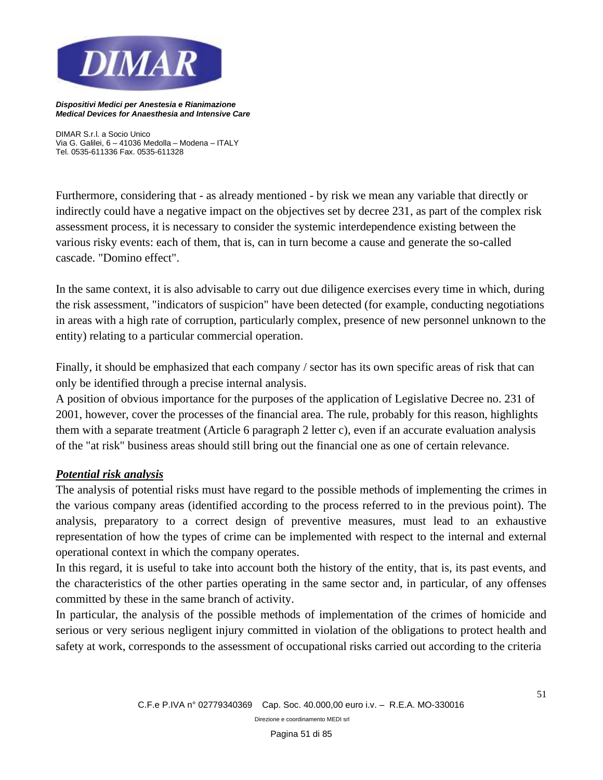

*DIMAR S.r.l. a Socio Unico Via G. Galilei, 6 – 41036 Medolla – Modena – ITALY Tel. 0535-611336 Fax. 0535-611328*

Furthermore, considering that - as already mentioned - by risk we mean any variable that directly or indirectly could have a negative impact on the objectives set by decree 231, as part of the complex risk assessment process, it is necessary to consider the systemic interdependence existing between the various risky events: each of them, that is, can in turn become a cause and generate the so-called cascade. "Domino effect".

In the same context, it is also advisable to carry out due diligence exercises every time in which, during the risk assessment, "indicators of suspicion" have been detected (for example, conducting negotiations in areas with a high rate of corruption, particularly complex, presence of new personnel unknown to the entity) relating to a particular commercial operation.

Finally, it should be emphasized that each company / sector has its own specific areas of risk that can only be identified through a precise internal analysis.

A position of obvious importance for the purposes of the application of Legislative Decree no. 231 of 2001, however, cover the processes of the financial area. The rule, probably for this reason, highlights them with a separate treatment (Article 6 paragraph 2 letter c), even if an accurate evaluation analysis of the "at risk" business areas should still bring out the financial one as one of certain relevance.

# *Potential risk analysis*

The analysis of potential risks must have regard to the possible methods of implementing the crimes in the various company areas (identified according to the process referred to in the previous point). The analysis, preparatory to a correct design of preventive measures, must lead to an exhaustive representation of how the types of crime can be implemented with respect to the internal and external operational context in which the company operates.

In this regard, it is useful to take into account both the history of the entity, that is, its past events, and the characteristics of the other parties operating in the same sector and, in particular, of any offenses committed by these in the same branch of activity.

In particular, the analysis of the possible methods of implementation of the crimes of homicide and serious or very serious negligent injury committed in violation of the obligations to protect health and safety at work, corresponds to the assessment of occupational risks carried out according to the criteria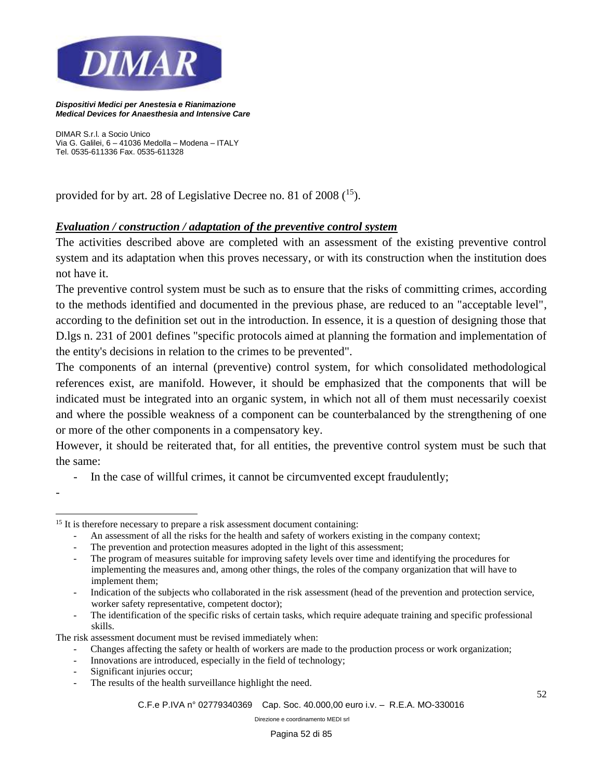

*DIMAR S.r.l. a Socio Unico Via G. Galilei, 6 – 41036 Medolla – Modena – ITALY Tel. 0535-611336 Fax. 0535-611328*

provided for by art. 28 of Legislative Decree no. 81 of 2008 (<sup>15</sup>).

# *Evaluation / construction / adaptation of the preventive control system*

The activities described above are completed with an assessment of the existing preventive control system and its adaptation when this proves necessary, or with its construction when the institution does not have it.

The preventive control system must be such as to ensure that the risks of committing crimes, according to the methods identified and documented in the previous phase, are reduced to an "acceptable level", according to the definition set out in the introduction. In essence, it is a question of designing those that D.lgs n. 231 of 2001 defines "specific protocols aimed at planning the formation and implementation of the entity's decisions in relation to the crimes to be prevented".

The components of an internal (preventive) control system, for which consolidated methodological references exist, are manifold. However, it should be emphasized that the components that will be indicated must be integrated into an organic system, in which not all of them must necessarily coexist and where the possible weakness of a component can be counterbalanced by the strengthening of one or more of the other components in a compensatory key.

However, it should be reiterated that, for all entities, the preventive control system must be such that the same:

- In the case of willful crimes, it cannot be circumvented except fraudulently;

- An assessment of all the risks for the health and safety of workers existing in the company context;
- The prevention and protection measures adopted in the light of this assessment;

The risk assessment document must be revised immediately when:

- Changes affecting the safety or health of workers are made to the production process or work organization;
- Innovations are introduced, especially in the field of technology;
- Significant injuries occur;

-

The results of the health surveillance highlight the need.

<sup>&</sup>lt;sup>15</sup> It is therefore necessary to prepare a risk assessment document containing:

<sup>-</sup> The program of measures suitable for improving safety levels over time and identifying the procedures for implementing the measures and, among other things, the roles of the company organization that will have to implement them;

<sup>-</sup> Indication of the subjects who collaborated in the risk assessment (head of the prevention and protection service, worker safety representative, competent doctor);

The identification of the specific risks of certain tasks, which require adequate training and specific professional skills.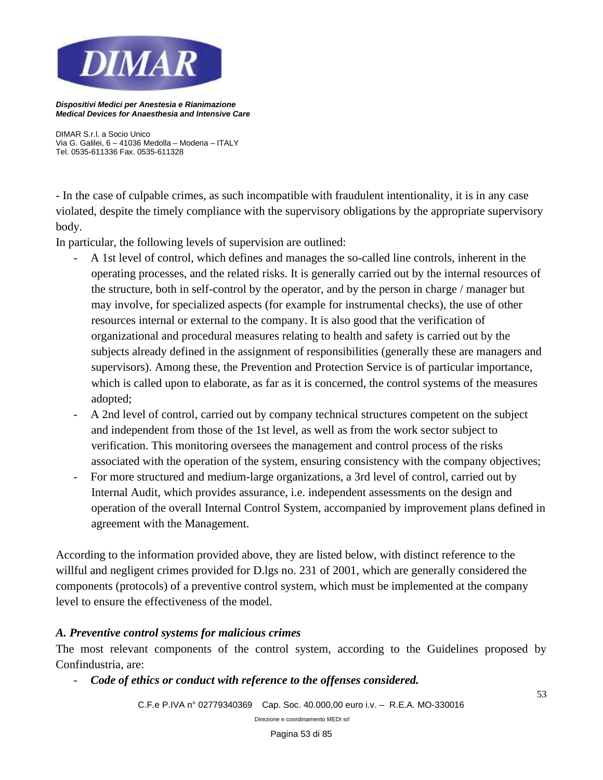

*DIMAR S.r.l. a Socio Unico Via G. Galilei, 6 – 41036 Medolla – Modena – ITALY Tel. 0535-611336 Fax. 0535-611328*

- In the case of culpable crimes, as such incompatible with fraudulent intentionality, it is in any case violated, despite the timely compliance with the supervisory obligations by the appropriate supervisory body.

In particular, the following levels of supervision are outlined:

- A 1st level of control, which defines and manages the so-called line controls, inherent in the operating processes, and the related risks. It is generally carried out by the internal resources of the structure, both in self-control by the operator, and by the person in charge / manager but may involve, for specialized aspects (for example for instrumental checks), the use of other resources internal or external to the company. It is also good that the verification of organizational and procedural measures relating to health and safety is carried out by the subjects already defined in the assignment of responsibilities (generally these are managers and supervisors). Among these, the Prevention and Protection Service is of particular importance, which is called upon to elaborate, as far as it is concerned, the control systems of the measures adopted;
- A 2nd level of control, carried out by company technical structures competent on the subject and independent from those of the 1st level, as well as from the work sector subject to verification. This monitoring oversees the management and control process of the risks associated with the operation of the system, ensuring consistency with the company objectives;
- For more structured and medium-large organizations, a 3rd level of control, carried out by Internal Audit, which provides assurance, i.e. independent assessments on the design and operation of the overall Internal Control System, accompanied by improvement plans defined in agreement with the Management.

According to the information provided above, they are listed below, with distinct reference to the willful and negligent crimes provided for D.lgs no. 231 of 2001, which are generally considered the components (protocols) of a preventive control system, which must be implemented at the company level to ensure the effectiveness of the model.

### *A. Preventive control systems for malicious crimes*

The most relevant components of the control system, according to the Guidelines proposed by Confindustria, are:

- *Code of ethics or conduct with reference to the offenses considered.*

*C.F.e P.IVA n° 02779340369 Cap. Soc. 40.000,00 euro i.v. – R.E.A. MO-330016* 

*Direzione e coordinamento MEDI srl*

53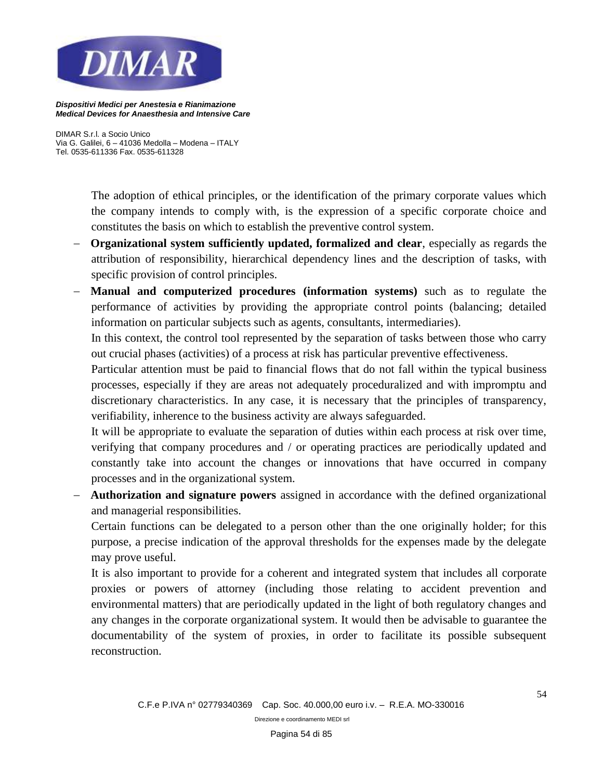

*DIMAR S.r.l. a Socio Unico Via G. Galilei, 6 – 41036 Medolla – Modena – ITALY Tel. 0535-611336 Fax. 0535-611328*

> The adoption of ethical principles, or the identification of the primary corporate values which the company intends to comply with, is the expression of a specific corporate choice and constitutes the basis on which to establish the preventive control system.

- − **Organizational system sufficiently updated, formalized and clear**, especially as regards the attribution of responsibility, hierarchical dependency lines and the description of tasks, with specific provision of control principles.
- **Manual and computerized procedures (information systems)** such as to regulate the performance of activities by providing the appropriate control points (balancing; detailed information on particular subjects such as agents, consultants, intermediaries).

In this context, the control tool represented by the separation of tasks between those who carry out crucial phases (activities) of a process at risk has particular preventive effectiveness.

Particular attention must be paid to financial flows that do not fall within the typical business processes, especially if they are areas not adequately proceduralized and with impromptu and discretionary characteristics. In any case, it is necessary that the principles of transparency, verifiability, inherence to the business activity are always safeguarded.

It will be appropriate to evaluate the separation of duties within each process at risk over time, verifying that company procedures and / or operating practices are periodically updated and constantly take into account the changes or innovations that have occurred in company processes and in the organizational system.

− **Authorization and signature powers** assigned in accordance with the defined organizational and managerial responsibilities.

Certain functions can be delegated to a person other than the one originally holder; for this purpose, a precise indication of the approval thresholds for the expenses made by the delegate may prove useful.

It is also important to provide for a coherent and integrated system that includes all corporate proxies or powers of attorney (including those relating to accident prevention and environmental matters) that are periodically updated in the light of both regulatory changes and any changes in the corporate organizational system. It would then be advisable to guarantee the documentability of the system of proxies, in order to facilitate its possible subsequent reconstruction.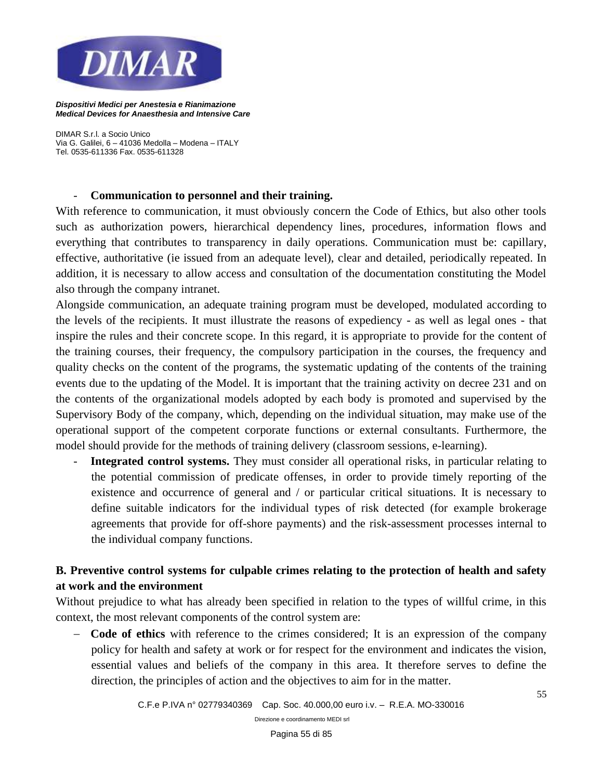

*DIMAR S.r.l. a Socio Unico Via G. Galilei, 6 – 41036 Medolla – Modena – ITALY Tel. 0535-611336 Fax. 0535-611328*

#### - **Communication to personnel and their training.**

With reference to communication, it must obviously concern the Code of Ethics, but also other tools such as authorization powers, hierarchical dependency lines, procedures, information flows and everything that contributes to transparency in daily operations. Communication must be: capillary, effective, authoritative (ie issued from an adequate level), clear and detailed, periodically repeated. In addition, it is necessary to allow access and consultation of the documentation constituting the Model also through the company intranet.

Alongside communication, an adequate training program must be developed, modulated according to the levels of the recipients. It must illustrate the reasons of expediency - as well as legal ones - that inspire the rules and their concrete scope. In this regard, it is appropriate to provide for the content of the training courses, their frequency, the compulsory participation in the courses, the frequency and quality checks on the content of the programs, the systematic updating of the contents of the training events due to the updating of the Model. It is important that the training activity on decree 231 and on the contents of the organizational models adopted by each body is promoted and supervised by the Supervisory Body of the company, which, depending on the individual situation, may make use of the operational support of the competent corporate functions or external consultants. Furthermore, the model should provide for the methods of training delivery (classroom sessions, e-learning).

- **Integrated control systems.** They must consider all operational risks, in particular relating to the potential commission of predicate offenses, in order to provide timely reporting of the existence and occurrence of general and / or particular critical situations. It is necessary to define suitable indicators for the individual types of risk detected (for example brokerage agreements that provide for off-shore payments) and the risk-assessment processes internal to the individual company functions.

# **B. Preventive control systems for culpable crimes relating to the protection of health and safety at work and the environment**

Without prejudice to what has already been specified in relation to the types of willful crime, in this context, the most relevant components of the control system are:

− **Code of ethics** with reference to the crimes considered; It is an expression of the company policy for health and safety at work or for respect for the environment and indicates the vision, essential values and beliefs of the company in this area. It therefore serves to define the direction, the principles of action and the objectives to aim for in the matter.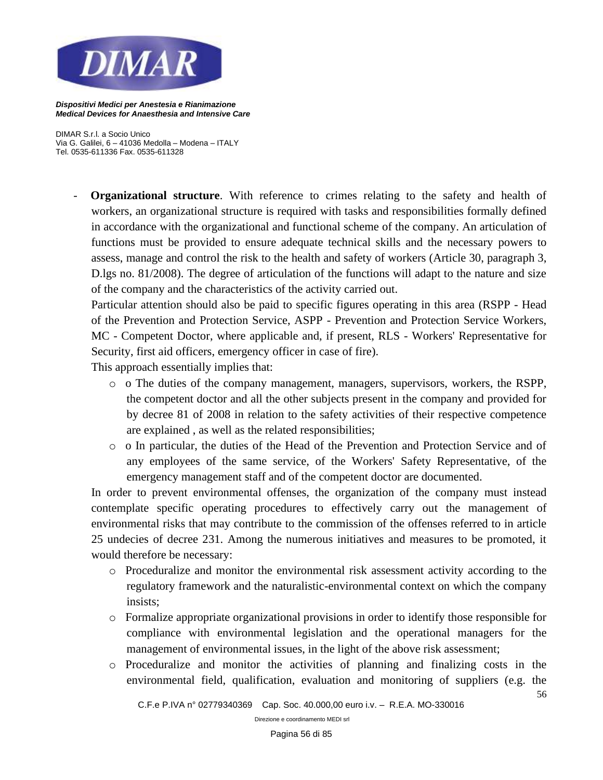

*DIMAR S.r.l. a Socio Unico Via G. Galilei, 6 – 41036 Medolla – Modena – ITALY Tel. 0535-611336 Fax. 0535-611328*

> **Organizational structure**. With reference to crimes relating to the safety and health of workers, an organizational structure is required with tasks and responsibilities formally defined in accordance with the organizational and functional scheme of the company. An articulation of functions must be provided to ensure adequate technical skills and the necessary powers to assess, manage and control the risk to the health and safety of workers (Article 30, paragraph 3, D.lgs no. 81/2008). The degree of articulation of the functions will adapt to the nature and size of the company and the characteristics of the activity carried out.

Particular attention should also be paid to specific figures operating in this area (RSPP - Head of the Prevention and Protection Service, ASPP - Prevention and Protection Service Workers, MC - Competent Doctor, where applicable and, if present, RLS - Workers' Representative for Security, first aid officers, emergency officer in case of fire).

This approach essentially implies that:

- o o The duties of the company management, managers, supervisors, workers, the RSPP, the competent doctor and all the other subjects present in the company and provided for by decree 81 of 2008 in relation to the safety activities of their respective competence are explained , as well as the related responsibilities;
- o o In particular, the duties of the Head of the Prevention and Protection Service and of any employees of the same service, of the Workers' Safety Representative, of the emergency management staff and of the competent doctor are documented.

In order to prevent environmental offenses, the organization of the company must instead contemplate specific operating procedures to effectively carry out the management of environmental risks that may contribute to the commission of the offenses referred to in article 25 undecies of decree 231. Among the numerous initiatives and measures to be promoted, it would therefore be necessary:

- o Proceduralize and monitor the environmental risk assessment activity according to the regulatory framework and the naturalistic-environmental context on which the company insists;
- o Formalize appropriate organizational provisions in order to identify those responsible for compliance with environmental legislation and the operational managers for the management of environmental issues, in the light of the above risk assessment;
- o Proceduralize and monitor the activities of planning and finalizing costs in the environmental field, qualification, evaluation and monitoring of suppliers (e.g. the

56

*C.F.e P.IVA n° 02779340369 Cap. Soc. 40.000,00 euro i.v. – R.E.A. MO-330016*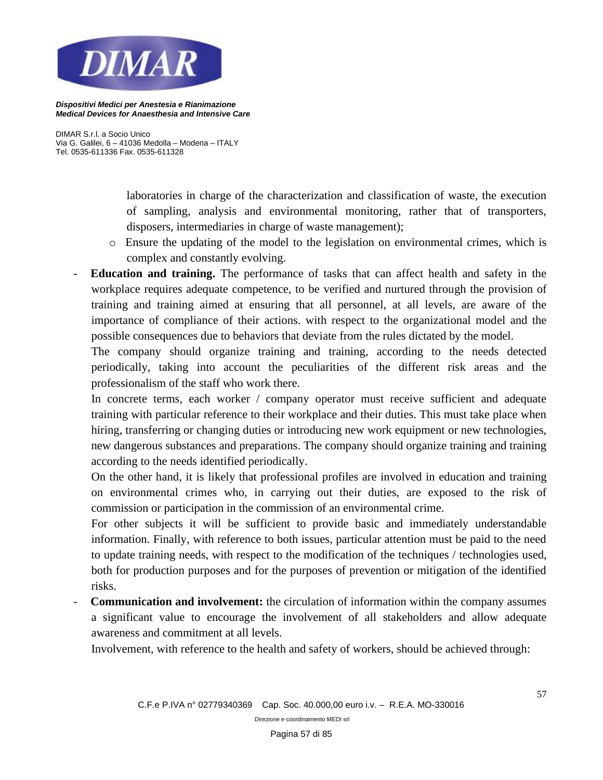

*DIMAR S.r.l. a Socio Unico Via G. Galilei, 6 – 41036 Medolla – Modena – ITALY Tel. 0535-611336 Fax. 0535-611328*

> laboratories in charge of the characterization and classification of waste, the execution of sampling, analysis and environmental monitoring, rather that of transporters, disposers, intermediaries in charge of waste management);

- o Ensure the updating of the model to the legislation on environmental crimes, which is complex and constantly evolving.
- **Education and training.** The performance of tasks that can affect health and safety in the workplace requires adequate competence, to be verified and nurtured through the provision of training and training aimed at ensuring that all personnel, at all levels, are aware of the importance of compliance of their actions. with respect to the organizational model and the possible consequences due to behaviors that deviate from the rules dictated by the model.

The company should organize training and training, according to the needs detected periodically, taking into account the peculiarities of the different risk areas and the professionalism of the staff who work there.

In concrete terms, each worker / company operator must receive sufficient and adequate training with particular reference to their workplace and their duties. This must take place when hiring, transferring or changing duties or introducing new work equipment or new technologies, new dangerous substances and preparations. The company should organize training and training according to the needs identified periodically.

On the other hand, it is likely that professional profiles are involved in education and training on environmental crimes who, in carrying out their duties, are exposed to the risk of commission or participation in the commission of an environmental crime.

For other subjects it will be sufficient to provide basic and immediately understandable information. Finally, with reference to both issues, particular attention must be paid to the need to update training needs, with respect to the modification of the techniques / technologies used, both for production purposes and for the purposes of prevention or mitigation of the identified risks.

- **Communication and involvement:** the circulation of information within the company assumes a significant value to encourage the involvement of all stakeholders and allow adequate awareness and commitment at all levels.

Involvement, with reference to the health and safety of workers, should be achieved through: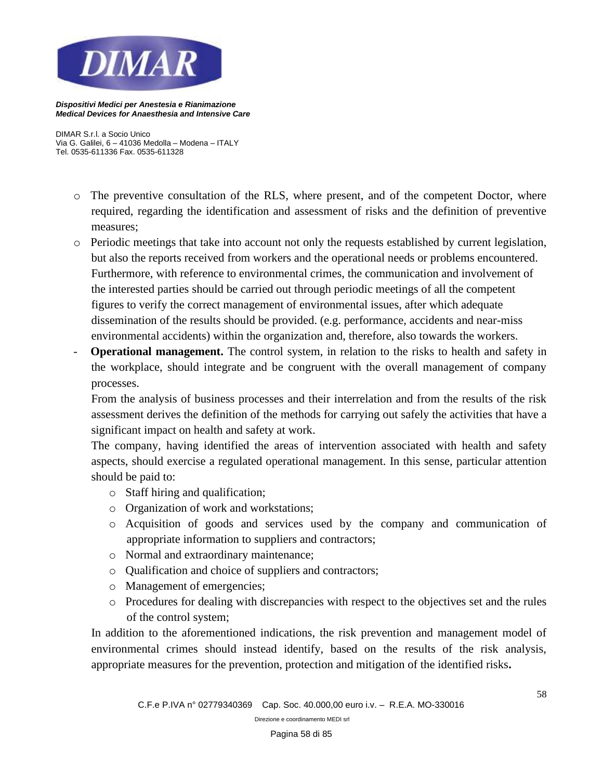

*DIMAR S.r.l. a Socio Unico Via G. Galilei, 6 – 41036 Medolla – Modena – ITALY Tel. 0535-611336 Fax. 0535-611328*

- o The preventive consultation of the RLS, where present, and of the competent Doctor, where required, regarding the identification and assessment of risks and the definition of preventive measures;
- o Periodic meetings that take into account not only the requests established by current legislation, but also the reports received from workers and the operational needs or problems encountered. Furthermore, with reference to environmental crimes, the communication and involvement of the interested parties should be carried out through periodic meetings of all the competent figures to verify the correct management of environmental issues, after which adequate dissemination of the results should be provided. (e.g. performance, accidents and near-miss environmental accidents) within the organization and, therefore, also towards the workers.
- **Operational management.** The control system, in relation to the risks to health and safety in the workplace, should integrate and be congruent with the overall management of company processes.

From the analysis of business processes and their interrelation and from the results of the risk assessment derives the definition of the methods for carrying out safely the activities that have a significant impact on health and safety at work.

The company, having identified the areas of intervention associated with health and safety aspects, should exercise a regulated operational management. In this sense, particular attention should be paid to:

- o Staff hiring and qualification;
- o Organization of work and workstations;
- o Acquisition of goods and services used by the company and communication of appropriate information to suppliers and contractors;
- o Normal and extraordinary maintenance;
- o Qualification and choice of suppliers and contractors;
- o Management of emergencies;
- o Procedures for dealing with discrepancies with respect to the objectives set and the rules of the control system;

In addition to the aforementioned indications, the risk prevention and management model of environmental crimes should instead identify, based on the results of the risk analysis, appropriate measures for the prevention, protection and mitigation of the identified risks**.**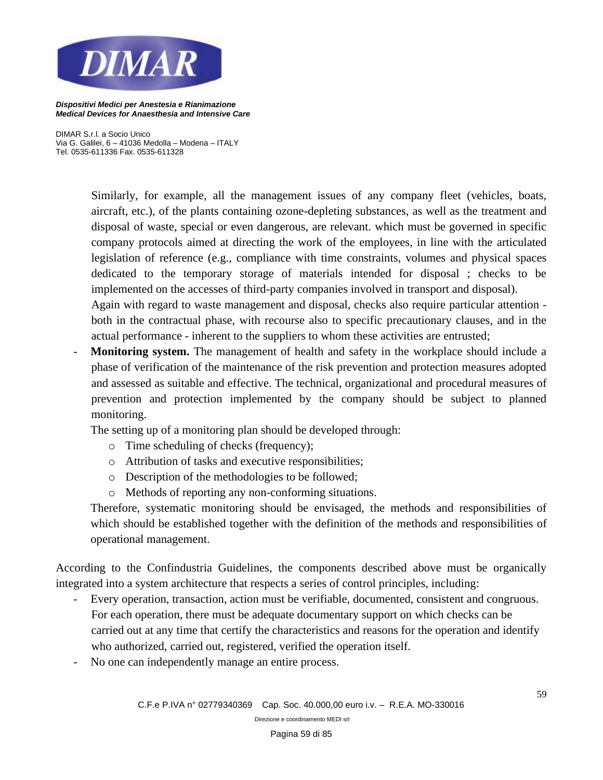

*DIMAR S.r.l. a Socio Unico Via G. Galilei, 6 – 41036 Medolla – Modena – ITALY Tel. 0535-611336 Fax. 0535-611328*

> Similarly, for example, all the management issues of any company fleet (vehicles, boats, aircraft, etc.), of the plants containing ozone-depleting substances, as well as the treatment and disposal of waste, special or even dangerous, are relevant. which must be governed in specific company protocols aimed at directing the work of the employees, in line with the articulated legislation of reference (e.g., compliance with time constraints, volumes and physical spaces dedicated to the temporary storage of materials intended for disposal ; checks to be implemented on the accesses of third-party companies involved in transport and disposal).

> Again with regard to waste management and disposal, checks also require particular attention both in the contractual phase, with recourse also to specific precautionary clauses, and in the actual performance - inherent to the suppliers to whom these activities are entrusted;

Monitoring system. The management of health and safety in the workplace should include a phase of verification of the maintenance of the risk prevention and protection measures adopted and assessed as suitable and effective. The technical, organizational and procedural measures of prevention and protection implemented by the company should be subject to planned monitoring.

The setting up of a monitoring plan should be developed through:

- o Time scheduling of checks (frequency);
- o Attribution of tasks and executive responsibilities;
- o Description of the methodologies to be followed;
- o Methods of reporting any non-conforming situations.

Therefore, systematic monitoring should be envisaged, the methods and responsibilities of which should be established together with the definition of the methods and responsibilities of operational management.

According to the Confindustria Guidelines, the components described above must be organically integrated into a system architecture that respects a series of control principles, including:

- Every operation, transaction, action must be verifiable, documented, consistent and congruous. For each operation, there must be adequate documentary support on which checks can be carried out at any time that certify the characteristics and reasons for the operation and identify who authorized, carried out, registered, verified the operation itself.
- No one can independently manage an entire process.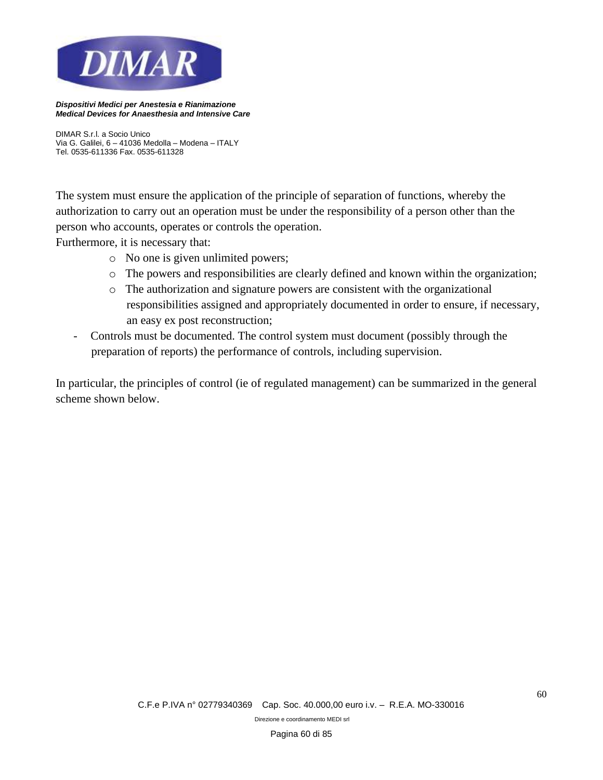

*DIMAR S.r.l. a Socio Unico Via G. Galilei, 6 – 41036 Medolla – Modena – ITALY Tel. 0535-611336 Fax. 0535-611328*

The system must ensure the application of the principle of separation of functions, whereby the authorization to carry out an operation must be under the responsibility of a person other than the person who accounts, operates or controls the operation.

Furthermore, it is necessary that:

- o No one is given unlimited powers;
- o The powers and responsibilities are clearly defined and known within the organization;
- o The authorization and signature powers are consistent with the organizational responsibilities assigned and appropriately documented in order to ensure, if necessary, an easy ex post reconstruction;
- Controls must be documented. The control system must document (possibly through the preparation of reports) the performance of controls, including supervision.

In particular, the principles of control (ie of regulated management) can be summarized in the general scheme shown below.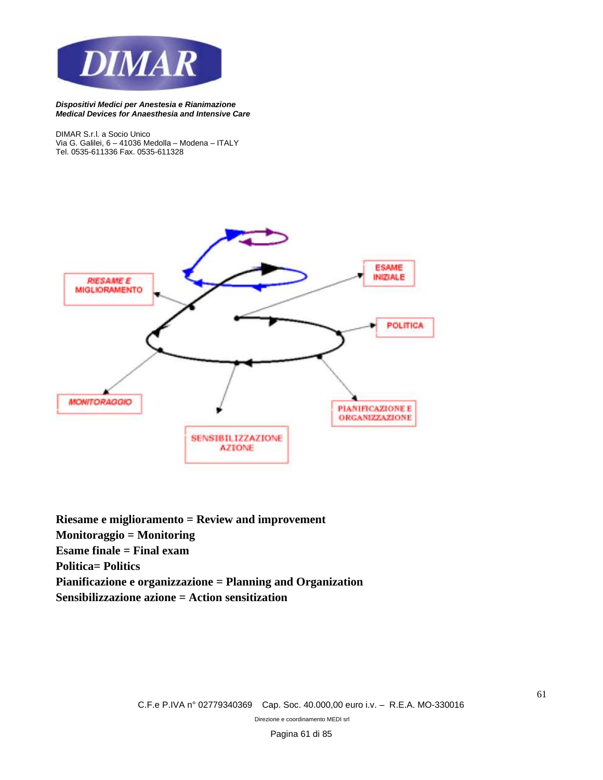

*DIMAR S.r.l. a Socio Unico Via G. Galilei, 6 – 41036 Medolla – Modena – ITALY Tel. 0535-611336 Fax. 0535-611328*



**Riesame e miglioramento = Review and improvement Monitoraggio = Monitoring Esame finale = Final exam Politica= Politics Pianificazione e organizzazione = Planning and Organization Sensibilizzazione azione = Action sensitization**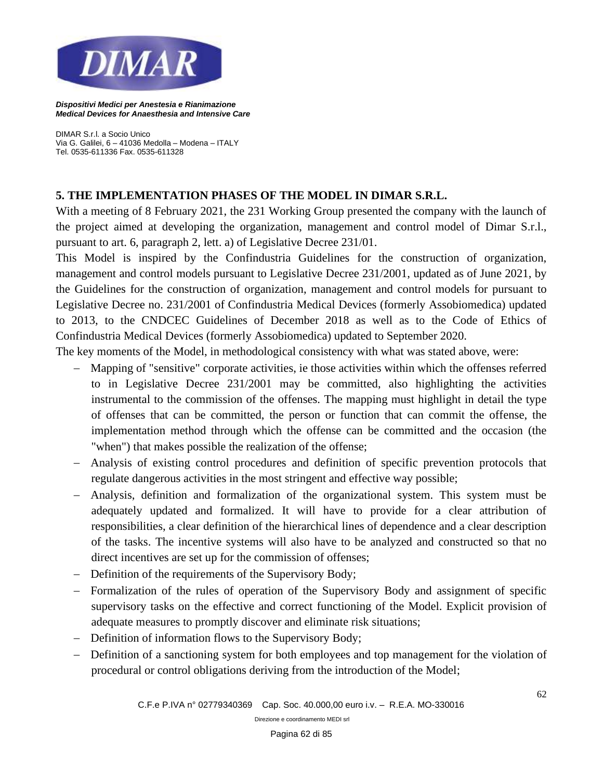

*DIMAR S.r.l. a Socio Unico Via G. Galilei, 6 – 41036 Medolla – Modena – ITALY Tel. 0535-611336 Fax. 0535-611328*

# **5. THE IMPLEMENTATION PHASES OF THE MODEL IN DIMAR S.R.L.**

With a meeting of 8 February 2021, the 231 Working Group presented the company with the launch of the project aimed at developing the organization, management and control model of Dimar S.r.l., pursuant to art. 6, paragraph 2, lett. a) of Legislative Decree 231/01.

This Model is inspired by the Confindustria Guidelines for the construction of organization, management and control models pursuant to Legislative Decree 231/2001, updated as of June 2021, by the Guidelines for the construction of organization, management and control models for pursuant to Legislative Decree no. 231/2001 of Confindustria Medical Devices (formerly Assobiomedica) updated to 2013, to the CNDCEC Guidelines of December 2018 as well as to the Code of Ethics of Confindustria Medical Devices (formerly Assobiomedica) updated to September 2020.

The key moments of the Model, in methodological consistency with what was stated above, were:

- − Mapping of "sensitive" corporate activities, ie those activities within which the offenses referred to in Legislative Decree 231/2001 may be committed, also highlighting the activities instrumental to the commission of the offenses. The mapping must highlight in detail the type of offenses that can be committed, the person or function that can commit the offense, the implementation method through which the offense can be committed and the occasion (the "when") that makes possible the realization of the offense;
- − Analysis of existing control procedures and definition of specific prevention protocols that regulate dangerous activities in the most stringent and effective way possible;
- − Analysis, definition and formalization of the organizational system. This system must be adequately updated and formalized. It will have to provide for a clear attribution of responsibilities, a clear definition of the hierarchical lines of dependence and a clear description of the tasks. The incentive systems will also have to be analyzed and constructed so that no direct incentives are set up for the commission of offenses;
- − Definition of the requirements of the Supervisory Body;
- − Formalization of the rules of operation of the Supervisory Body and assignment of specific supervisory tasks on the effective and correct functioning of the Model. Explicit provision of adequate measures to promptly discover and eliminate risk situations;
- − Definition of information flows to the Supervisory Body;
- − Definition of a sanctioning system for both employees and top management for the violation of procedural or control obligations deriving from the introduction of the Model;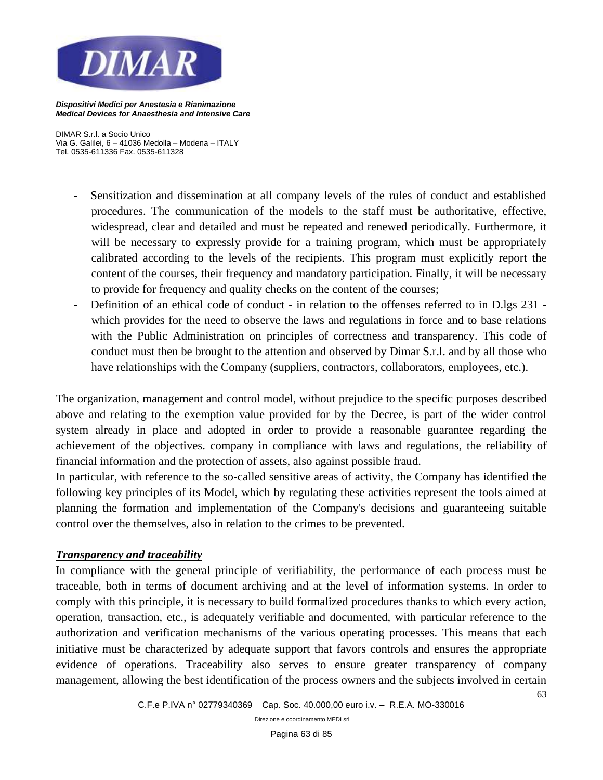

*DIMAR S.r.l. a Socio Unico Via G. Galilei, 6 – 41036 Medolla – Modena – ITALY Tel. 0535-611336 Fax. 0535-611328*

- Sensitization and dissemination at all company levels of the rules of conduct and established procedures. The communication of the models to the staff must be authoritative, effective, widespread, clear and detailed and must be repeated and renewed periodically. Furthermore, it will be necessary to expressly provide for a training program, which must be appropriately calibrated according to the levels of the recipients. This program must explicitly report the content of the courses, their frequency and mandatory participation. Finally, it will be necessary to provide for frequency and quality checks on the content of the courses;
- Definition of an ethical code of conduct in relation to the offenses referred to in D.lgs 231 which provides for the need to observe the laws and regulations in force and to base relations with the Public Administration on principles of correctness and transparency. This code of conduct must then be brought to the attention and observed by Dimar S.r.l. and by all those who have relationships with the Company (suppliers, contractors, collaborators, employees, etc.).

The organization, management and control model, without prejudice to the specific purposes described above and relating to the exemption value provided for by the Decree, is part of the wider control system already in place and adopted in order to provide a reasonable guarantee regarding the achievement of the objectives. company in compliance with laws and regulations, the reliability of financial information and the protection of assets, also against possible fraud.

In particular, with reference to the so-called sensitive areas of activity, the Company has identified the following key principles of its Model, which by regulating these activities represent the tools aimed at planning the formation and implementation of the Company's decisions and guaranteeing suitable control over the themselves, also in relation to the crimes to be prevented.

# *Transparency and traceability*

In compliance with the general principle of verifiability, the performance of each process must be traceable, both in terms of document archiving and at the level of information systems. In order to comply with this principle, it is necessary to build formalized procedures thanks to which every action, operation, transaction, etc., is adequately verifiable and documented, with particular reference to the authorization and verification mechanisms of the various operating processes. This means that each initiative must be characterized by adequate support that favors controls and ensures the appropriate evidence of operations. Traceability also serves to ensure greater transparency of company management, allowing the best identification of the process owners and the subjects involved in certain

63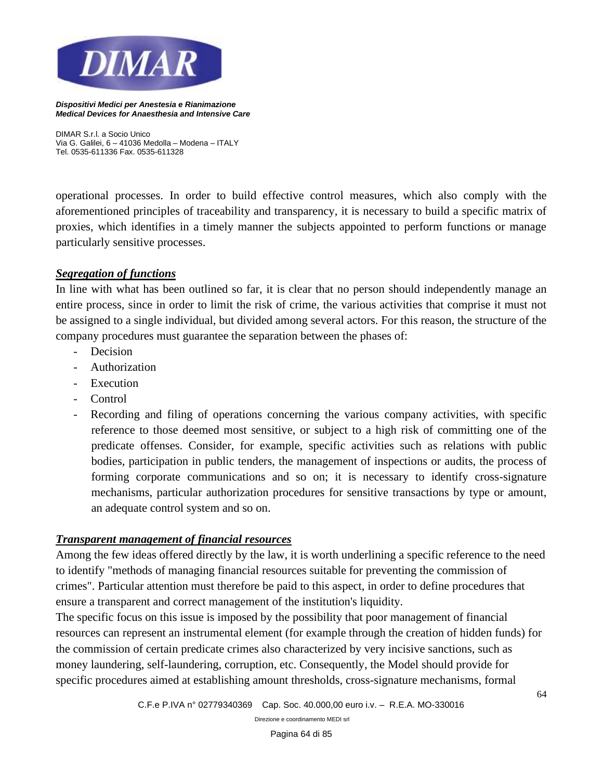

*DIMAR S.r.l. a Socio Unico Via G. Galilei, 6 – 41036 Medolla – Modena – ITALY Tel. 0535-611336 Fax. 0535-611328*

operational processes. In order to build effective control measures, which also comply with the aforementioned principles of traceability and transparency, it is necessary to build a specific matrix of proxies, which identifies in a timely manner the subjects appointed to perform functions or manage particularly sensitive processes.

### *Segregation of functions*

In line with what has been outlined so far, it is clear that no person should independently manage an entire process, since in order to limit the risk of crime, the various activities that comprise it must not be assigned to a single individual, but divided among several actors. For this reason, the structure of the company procedures must guarantee the separation between the phases of:

- Decision
- Authorization
- Execution
- Control
- Recording and filing of operations concerning the various company activities, with specific reference to those deemed most sensitive, or subject to a high risk of committing one of the predicate offenses. Consider, for example, specific activities such as relations with public bodies, participation in public tenders, the management of inspections or audits, the process of forming corporate communications and so on; it is necessary to identify cross-signature mechanisms, particular authorization procedures for sensitive transactions by type or amount, an adequate control system and so on.

### *Transparent management of financial resources*

Among the few ideas offered directly by the law, it is worth underlining a specific reference to the need to identify "methods of managing financial resources suitable for preventing the commission of crimes". Particular attention must therefore be paid to this aspect, in order to define procedures that ensure a transparent and correct management of the institution's liquidity.

The specific focus on this issue is imposed by the possibility that poor management of financial resources can represent an instrumental element (for example through the creation of hidden funds) for the commission of certain predicate crimes also characterized by very incisive sanctions, such as money laundering, self-laundering, corruption, etc. Consequently, the Model should provide for specific procedures aimed at establishing amount thresholds, cross-signature mechanisms, formal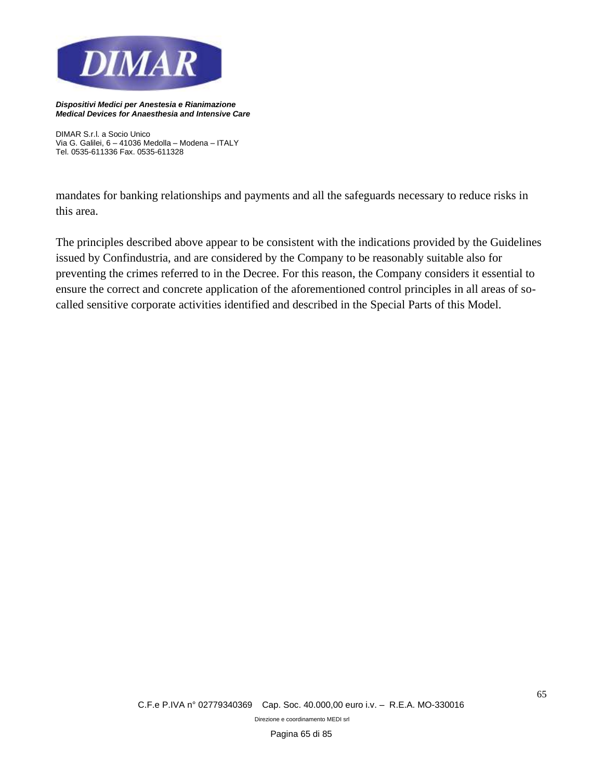

*DIMAR S.r.l. a Socio Unico Via G. Galilei, 6 – 41036 Medolla – Modena – ITALY Tel. 0535-611336 Fax. 0535-611328*

mandates for banking relationships and payments and all the safeguards necessary to reduce risks in this area.

The principles described above appear to be consistent with the indications provided by the Guidelines issued by Confindustria, and are considered by the Company to be reasonably suitable also for preventing the crimes referred to in the Decree. For this reason, the Company considers it essential to ensure the correct and concrete application of the aforementioned control principles in all areas of socalled sensitive corporate activities identified and described in the Special Parts of this Model.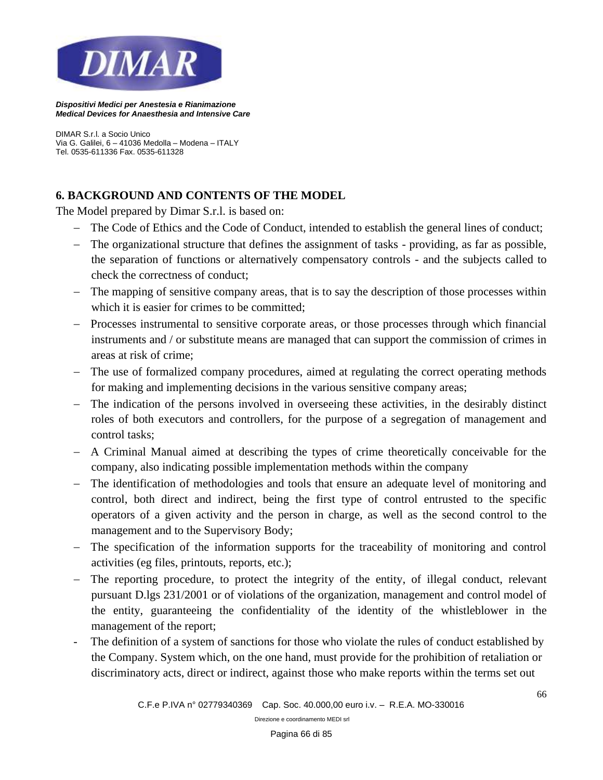

*DIMAR S.r.l. a Socio Unico Via G. Galilei, 6 – 41036 Medolla – Modena – ITALY Tel. 0535-611336 Fax. 0535-611328*

# **6. BACKGROUND AND CONTENTS OF THE MODEL**

The Model prepared by Dimar S.r.l. is based on:

- − The Code of Ethics and the Code of Conduct, intended to establish the general lines of conduct;
- − The organizational structure that defines the assignment of tasks providing, as far as possible, the separation of functions or alternatively compensatory controls - and the subjects called to check the correctness of conduct;
- − The mapping of sensitive company areas, that is to say the description of those processes within which it is easier for crimes to be committed;
- − Processes instrumental to sensitive corporate areas, or those processes through which financial instruments and / or substitute means are managed that can support the commission of crimes in areas at risk of crime;
- − The use of formalized company procedures, aimed at regulating the correct operating methods for making and implementing decisions in the various sensitive company areas;
- − The indication of the persons involved in overseeing these activities, in the desirably distinct roles of both executors and controllers, for the purpose of a segregation of management and control tasks;
- − A Criminal Manual aimed at describing the types of crime theoretically conceivable for the company, also indicating possible implementation methods within the company
- − The identification of methodologies and tools that ensure an adequate level of monitoring and control, both direct and indirect, being the first type of control entrusted to the specific operators of a given activity and the person in charge, as well as the second control to the management and to the Supervisory Body;
- − The specification of the information supports for the traceability of monitoring and control activities (eg files, printouts, reports, etc.);
- − The reporting procedure, to protect the integrity of the entity, of illegal conduct, relevant pursuant D.lgs 231/2001 or of violations of the organization, management and control model of the entity, guaranteeing the confidentiality of the identity of the whistleblower in the management of the report;
- The definition of a system of sanctions for those who violate the rules of conduct established by the Company. System which, on the one hand, must provide for the prohibition of retaliation or discriminatory acts, direct or indirect, against those who make reports within the terms set out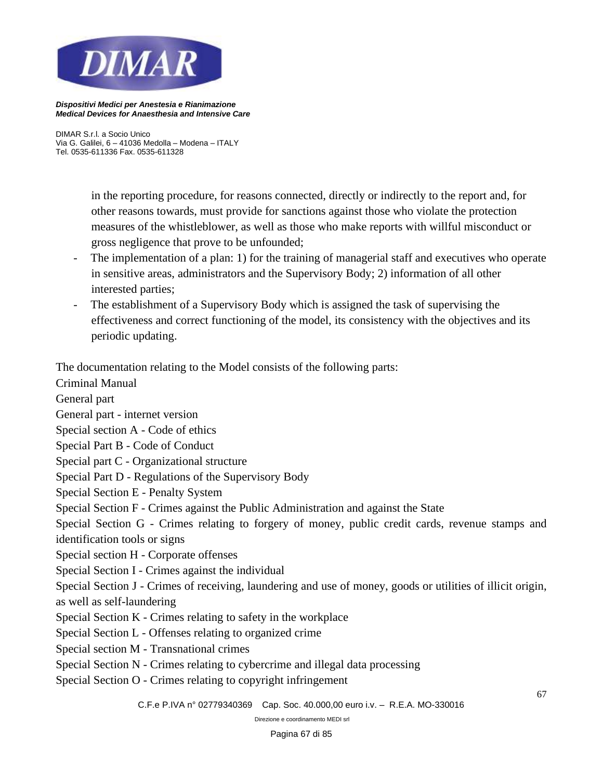

*DIMAR S.r.l. a Socio Unico Via G. Galilei, 6 – 41036 Medolla – Modena – ITALY Tel. 0535-611336 Fax. 0535-611328*

> in the reporting procedure, for reasons connected, directly or indirectly to the report and, for other reasons towards, must provide for sanctions against those who violate the protection measures of the whistleblower, as well as those who make reports with willful misconduct or gross negligence that prove to be unfounded;

- The implementation of a plan: 1) for the training of managerial staff and executives who operate in sensitive areas, administrators and the Supervisory Body; 2) information of all other interested parties;
- The establishment of a Supervisory Body which is assigned the task of supervising the effectiveness and correct functioning of the model, its consistency with the objectives and its periodic updating.

The documentation relating to the Model consists of the following parts:

Criminal Manual

General part

General part - internet version

Special section A - Code of ethics

Special Part B - Code of Conduct

Special part C - Organizational structure

Special Part D - Regulations of the Supervisory Body

Special Section E - Penalty System

Special Section F - Crimes against the Public Administration and against the State

Special Section G - Crimes relating to forgery of money, public credit cards, revenue stamps and identification tools or signs

Special section H - Corporate offenses

Special Section I - Crimes against the individual

Special Section J - Crimes of receiving, laundering and use of money, goods or utilities of illicit origin, as well as self-laundering

- Special Section K Crimes relating to safety in the workplace
- Special Section L Offenses relating to organized crime
- Special section M Transnational crimes
- Special Section N Crimes relating to cybercrime and illegal data processing
- Special Section O Crimes relating to copyright infringement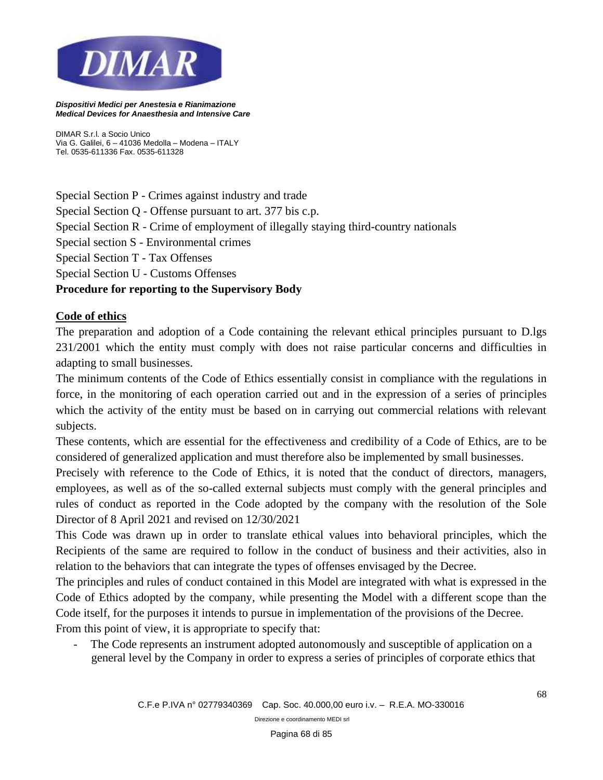

*DIMAR S.r.l. a Socio Unico Via G. Galilei, 6 – 41036 Medolla – Modena – ITALY Tel. 0535-611336 Fax. 0535-611328*

Special Section P - Crimes against industry and trade

Special Section Q - Offense pursuant to art. 377 bis c.p.

Special Section R - Crime of employment of illegally staying third-country nationals

Special section S - Environmental crimes

Special Section T - Tax Offenses

Special Section U - Customs Offenses

## **Procedure for reporting to the Supervisory Body**

## **Code of ethics**

The preparation and adoption of a Code containing the relevant ethical principles pursuant to D.lgs 231/2001 which the entity must comply with does not raise particular concerns and difficulties in adapting to small businesses.

The minimum contents of the Code of Ethics essentially consist in compliance with the regulations in force, in the monitoring of each operation carried out and in the expression of a series of principles which the activity of the entity must be based on in carrying out commercial relations with relevant subjects.

These contents, which are essential for the effectiveness and credibility of a Code of Ethics, are to be considered of generalized application and must therefore also be implemented by small businesses.

Precisely with reference to the Code of Ethics, it is noted that the conduct of directors, managers, employees, as well as of the so-called external subjects must comply with the general principles and rules of conduct as reported in the Code adopted by the company with the resolution of the Sole Director of 8 April 2021 and revised on 12/30/2021

This Code was drawn up in order to translate ethical values into behavioral principles, which the Recipients of the same are required to follow in the conduct of business and their activities, also in relation to the behaviors that can integrate the types of offenses envisaged by the Decree.

The principles and rules of conduct contained in this Model are integrated with what is expressed in the Code of Ethics adopted by the company, while presenting the Model with a different scope than the Code itself, for the purposes it intends to pursue in implementation of the provisions of the Decree. From this point of view, it is appropriate to specify that:

The Code represents an instrument adopted autonomously and susceptible of application on a general level by the Company in order to express a series of principles of corporate ethics that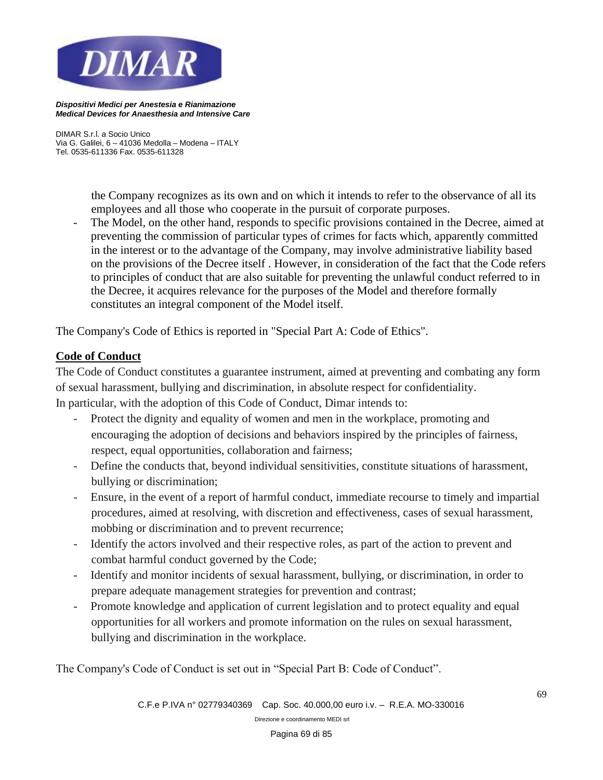

*DIMAR S.r.l. a Socio Unico Via G. Galilei, 6 – 41036 Medolla – Modena – ITALY Tel. 0535-611336 Fax. 0535-611328*

> the Company recognizes as its own and on which it intends to refer to the observance of all its employees and all those who cooperate in the pursuit of corporate purposes.

The Model, on the other hand, responds to specific provisions contained in the Decree, aimed at preventing the commission of particular types of crimes for facts which, apparently committed in the interest or to the advantage of the Company, may involve administrative liability based on the provisions of the Decree itself . However, in consideration of the fact that the Code refers to principles of conduct that are also suitable for preventing the unlawful conduct referred to in the Decree, it acquires relevance for the purposes of the Model and therefore formally constitutes an integral component of the Model itself.

The Company's Code of Ethics is reported in "Special Part A: Code of Ethics".

## **Code of Conduct**

The Code of Conduct constitutes a guarantee instrument, aimed at preventing and combating any form of sexual harassment, bullying and discrimination, in absolute respect for confidentiality. In particular, with the adoption of this Code of Conduct, Dimar intends to:

- Protect the dignity and equality of women and men in the workplace, promoting and encouraging the adoption of decisions and behaviors inspired by the principles of fairness, respect, equal opportunities, collaboration and fairness;
- Define the conducts that, beyond individual sensitivities, constitute situations of harassment, bullying or discrimination;
- Ensure, in the event of a report of harmful conduct, immediate recourse to timely and impartial procedures, aimed at resolving, with discretion and effectiveness, cases of sexual harassment, mobbing or discrimination and to prevent recurrence;
- Identify the actors involved and their respective roles, as part of the action to prevent and combat harmful conduct governed by the Code;
- Identify and monitor incidents of sexual harassment, bullying, or discrimination, in order to prepare adequate management strategies for prevention and contrast;
- Promote knowledge and application of current legislation and to protect equality and equal opportunities for all workers and promote information on the rules on sexual harassment, bullying and discrimination in the workplace.

The Company's Code of Conduct is set out in "Special Part B: Code of Conduct".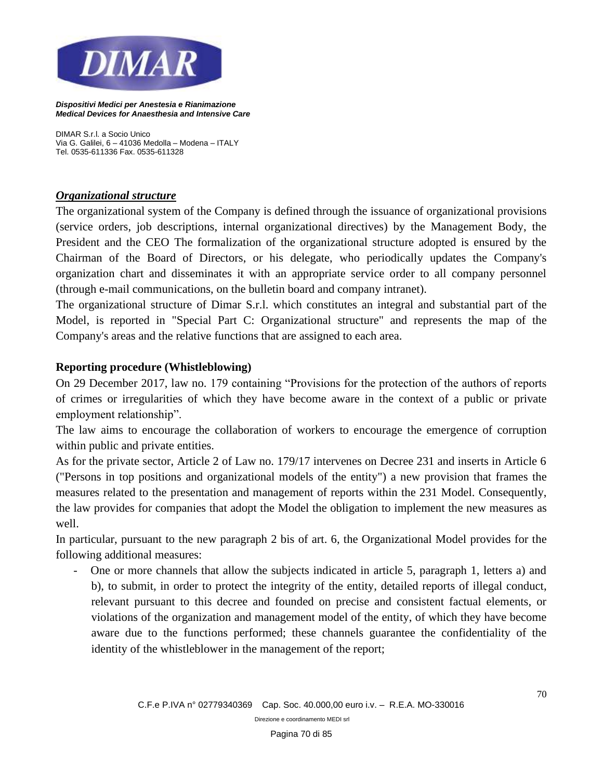

*DIMAR S.r.l. a Socio Unico Via G. Galilei, 6 – 41036 Medolla – Modena – ITALY Tel. 0535-611336 Fax. 0535-611328*

## *Organizational structure*

The organizational system of the Company is defined through the issuance of organizational provisions (service orders, job descriptions, internal organizational directives) by the Management Body, the President and the CEO The formalization of the organizational structure adopted is ensured by the Chairman of the Board of Directors, or his delegate, who periodically updates the Company's organization chart and disseminates it with an appropriate service order to all company personnel (through e-mail communications, on the bulletin board and company intranet).

The organizational structure of Dimar S.r.l. which constitutes an integral and substantial part of the Model, is reported in "Special Part C: Organizational structure" and represents the map of the Company's areas and the relative functions that are assigned to each area.

## **Reporting procedure (Whistleblowing)**

On 29 December 2017, law no. 179 containing "Provisions for the protection of the authors of reports of crimes or irregularities of which they have become aware in the context of a public or private employment relationship".

The law aims to encourage the collaboration of workers to encourage the emergence of corruption within public and private entities.

As for the private sector, Article 2 of Law no. 179/17 intervenes on Decree 231 and inserts in Article 6 ("Persons in top positions and organizational models of the entity") a new provision that frames the measures related to the presentation and management of reports within the 231 Model. Consequently, the law provides for companies that adopt the Model the obligation to implement the new measures as well.

In particular, pursuant to the new paragraph 2 bis of art. 6, the Organizational Model provides for the following additional measures:

- One or more channels that allow the subjects indicated in article 5, paragraph 1, letters a) and b), to submit, in order to protect the integrity of the entity, detailed reports of illegal conduct, relevant pursuant to this decree and founded on precise and consistent factual elements, or violations of the organization and management model of the entity, of which they have become aware due to the functions performed; these channels guarantee the confidentiality of the identity of the whistleblower in the management of the report;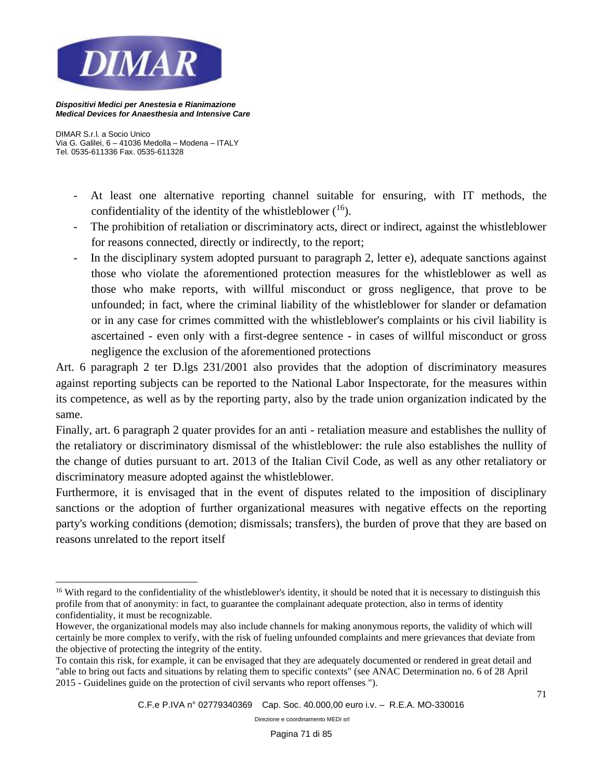

*DIMAR S.r.l. a Socio Unico Via G. Galilei, 6 – 41036 Medolla – Modena – ITALY Tel. 0535-611336 Fax. 0535-611328*

- At least one alternative reporting channel suitable for ensuring, with IT methods, the confidentiality of the identity of the whistleblower  $(16)$ .
- The prohibition of retaliation or discriminatory acts, direct or indirect, against the whistleblower for reasons connected, directly or indirectly, to the report;
- In the disciplinary system adopted pursuant to paragraph 2, letter e), adequate sanctions against those who violate the aforementioned protection measures for the whistleblower as well as those who make reports, with willful misconduct or gross negligence, that prove to be unfounded; in fact, where the criminal liability of the whistleblower for slander or defamation or in any case for crimes committed with the whistleblower's complaints or his civil liability is ascertained - even only with a first-degree sentence - in cases of willful misconduct or gross negligence the exclusion of the aforementioned protections

Art. 6 paragraph 2 ter D.lgs 231/2001 also provides that the adoption of discriminatory measures against reporting subjects can be reported to the National Labor Inspectorate, for the measures within its competence, as well as by the reporting party, also by the trade union organization indicated by the same.

Finally, art. 6 paragraph 2 quater provides for an anti - retaliation measure and establishes the nullity of the retaliatory or discriminatory dismissal of the whistleblower: the rule also establishes the nullity of the change of duties pursuant to art. 2013 of the Italian Civil Code, as well as any other retaliatory or discriminatory measure adopted against the whistleblower.

Furthermore, it is envisaged that in the event of disputes related to the imposition of disciplinary sanctions or the adoption of further organizational measures with negative effects on the reporting party's working conditions (demotion; dismissals; transfers), the burden of prove that they are based on reasons unrelated to the report itself

<sup>&</sup>lt;sup>16</sup> With regard to the confidentiality of the whistleblower's identity, it should be noted that it is necessary to distinguish this profile from that of anonymity: in fact, to guarantee the complainant adequate protection, also in terms of identity confidentiality, it must be recognizable.

However, the organizational models may also include channels for making anonymous reports, the validity of which will certainly be more complex to verify, with the risk of fueling unfounded complaints and mere grievances that deviate from the objective of protecting the integrity of the entity.

To contain this risk, for example, it can be envisaged that they are adequately documented or rendered in great detail and "able to bring out facts and situations by relating them to specific contexts" (see ANAC Determination no. 6 of 28 April 2015 - Guidelines guide on the protection of civil servants who report offenses ").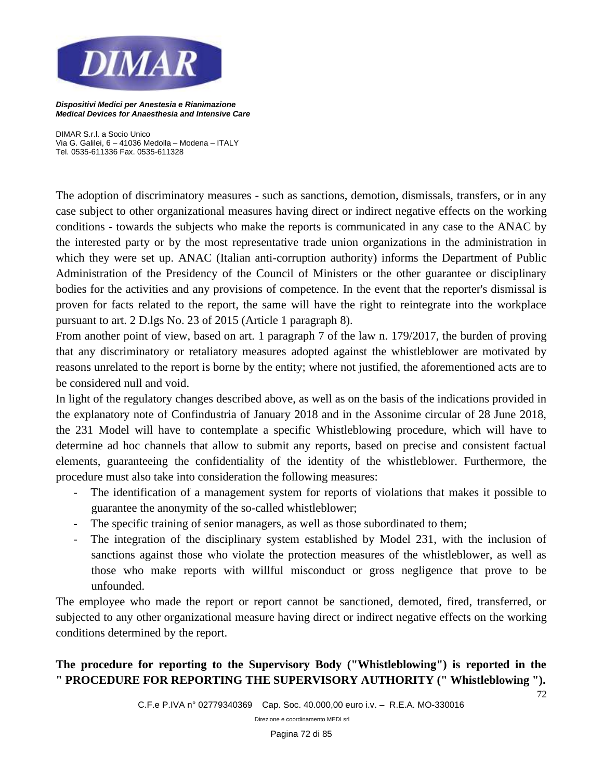

*DIMAR S.r.l. a Socio Unico Via G. Galilei, 6 – 41036 Medolla – Modena – ITALY Tel. 0535-611336 Fax. 0535-611328*

The adoption of discriminatory measures - such as sanctions, demotion, dismissals, transfers, or in any case subject to other organizational measures having direct or indirect negative effects on the working conditions - towards the subjects who make the reports is communicated in any case to the ANAC by the interested party or by the most representative trade union organizations in the administration in which they were set up. ANAC (Italian anti-corruption authority) informs the Department of Public Administration of the Presidency of the Council of Ministers or the other guarantee or disciplinary bodies for the activities and any provisions of competence. In the event that the reporter's dismissal is proven for facts related to the report, the same will have the right to reintegrate into the workplace pursuant to art. 2 D.lgs No. 23 of 2015 (Article 1 paragraph 8).

From another point of view, based on art. 1 paragraph 7 of the law n. 179/2017, the burden of proving that any discriminatory or retaliatory measures adopted against the whistleblower are motivated by reasons unrelated to the report is borne by the entity; where not justified, the aforementioned acts are to be considered null and void.

In light of the regulatory changes described above, as well as on the basis of the indications provided in the explanatory note of Confindustria of January 2018 and in the Assonime circular of 28 June 2018, the 231 Model will have to contemplate a specific Whistleblowing procedure, which will have to determine ad hoc channels that allow to submit any reports, based on precise and consistent factual elements, guaranteeing the confidentiality of the identity of the whistleblower. Furthermore, the procedure must also take into consideration the following measures:

- The identification of a management system for reports of violations that makes it possible to guarantee the anonymity of the so-called whistleblower;
- The specific training of senior managers, as well as those subordinated to them;
- The integration of the disciplinary system established by Model 231, with the inclusion of sanctions against those who violate the protection measures of the whistleblower, as well as those who make reports with willful misconduct or gross negligence that prove to be unfounded.

The employee who made the report or report cannot be sanctioned, demoted, fired, transferred, or subjected to any other organizational measure having direct or indirect negative effects on the working conditions determined by the report.

**The procedure for reporting to the Supervisory Body ("Whistleblowing") is reported in the " PROCEDURE FOR REPORTING THE SUPERVISORY AUTHORITY (" Whistleblowing ").** 

*C.F.e P.IVA n° 02779340369 Cap. Soc. 40.000,00 euro i.v. – R.E.A. MO-330016* 

*Direzione e coordinamento MEDI srl*

72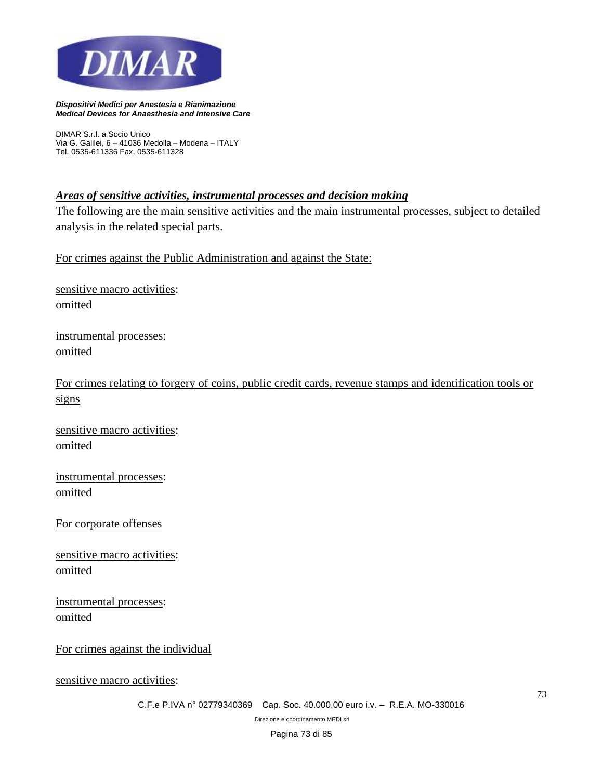

*DIMAR S.r.l. a Socio Unico Via G. Galilei, 6 – 41036 Medolla – Modena – ITALY Tel. 0535-611336 Fax. 0535-611328*

#### *Areas of sensitive activities, instrumental processes and decision making*

The following are the main sensitive activities and the main instrumental processes, subject to detailed analysis in the related special parts.

For crimes against the Public Administration and against the State:

sensitive macro activities: omitted

instrumental processes: omitted

For crimes relating to forgery of coins, public credit cards, revenue stamps and identification tools or signs

sensitive macro activities: omitted

instrumental processes: omitted

For corporate offenses

sensitive macro activities: omitted

instrumental processes: omitted

For crimes against the individual

sensitive macro activities:

*C.F.e P.IVA n° 02779340369 Cap. Soc. 40.000,00 euro i.v. – R.E.A. MO-330016* 

*Direzione e coordinamento MEDI srl*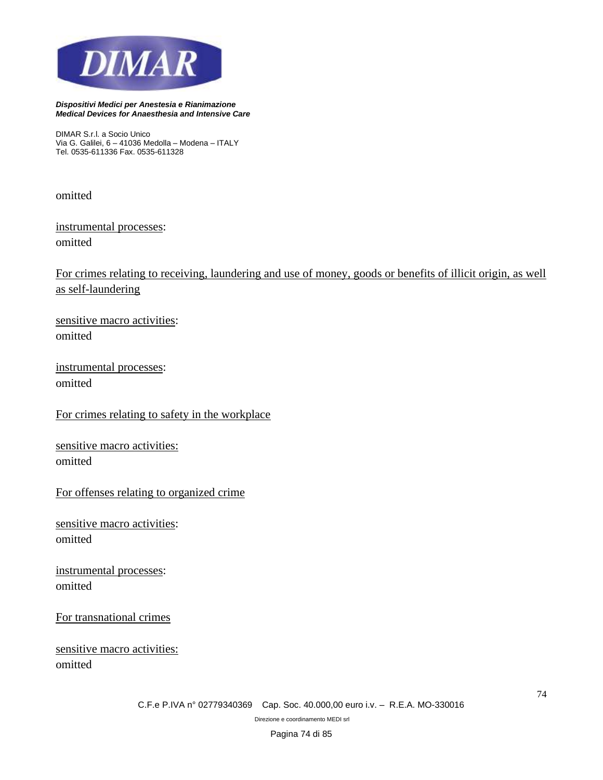

*DIMAR S.r.l. a Socio Unico Via G. Galilei, 6 – 41036 Medolla – Modena – ITALY Tel. 0535-611336 Fax. 0535-611328*

omitted

instrumental processes: omitted

For crimes relating to receiving, laundering and use of money, goods or benefits of illicit origin, as well as self-laundering

sensitive macro activities: omitted

instrumental processes: omitted

For crimes relating to safety in the workplace

sensitive macro activities: omitted

For offenses relating to organized crime

sensitive macro activities: omitted

instrumental processes: omitted

For transnational crimes

sensitive macro activities: omitted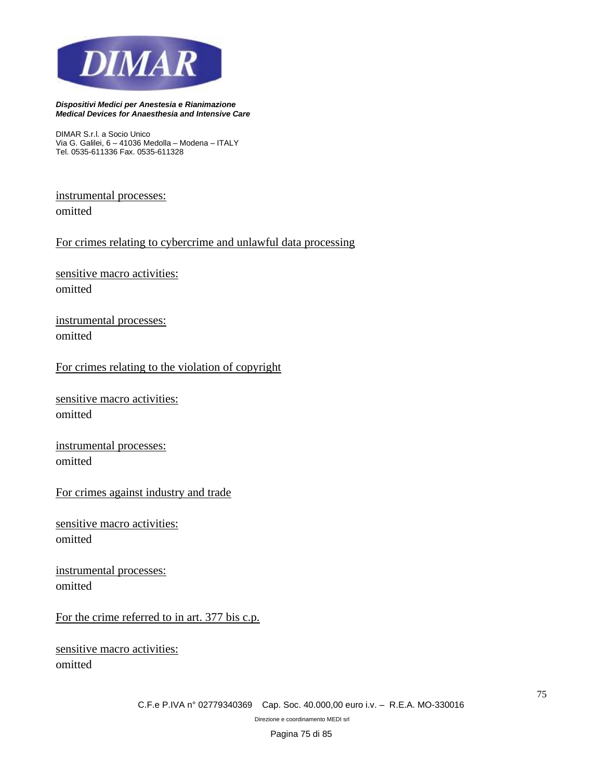

*DIMAR S.r.l. a Socio Unico Via G. Galilei, 6 – 41036 Medolla – Modena – ITALY Tel. 0535-611336 Fax. 0535-611328*

instrumental processes: omitted

For crimes relating to cybercrime and unlawful data processing

sensitive macro activities: omitted

instrumental processes: omitted

For crimes relating to the violation of copyright

sensitive macro activities: omitted

instrumental processes: omitted

For crimes against industry and trade

sensitive macro activities: omitted

instrumental processes: omitted

For the crime referred to in art. 377 bis c.p.

sensitive macro activities: omitted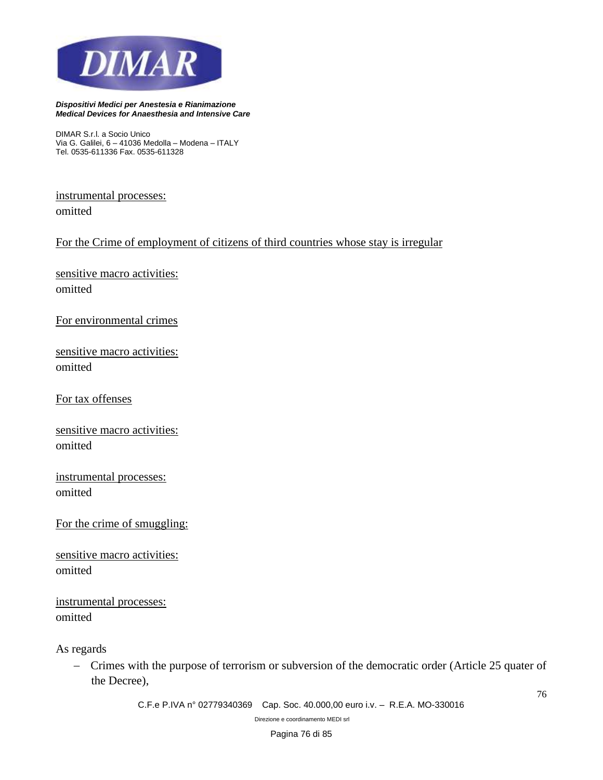

*DIMAR S.r.l. a Socio Unico Via G. Galilei, 6 – 41036 Medolla – Modena – ITALY Tel. 0535-611336 Fax. 0535-611328*

instrumental processes: omitted

For the Crime of employment of citizens of third countries whose stay is irregular

sensitive macro activities: omitted

For environmental crimes

sensitive macro activities: omitted

For tax offenses

sensitive macro activities: omitted

instrumental processes: omitted

For the crime of smuggling:

sensitive macro activities: omitted

instrumental processes: omitted

As regards

− Crimes with the purpose of terrorism or subversion of the democratic order (Article 25 quater of the Decree),

*C.F.e P.IVA n° 02779340369 Cap. Soc. 40.000,00 euro i.v. – R.E.A. MO-330016* 

*Direzione e coordinamento MEDI srl*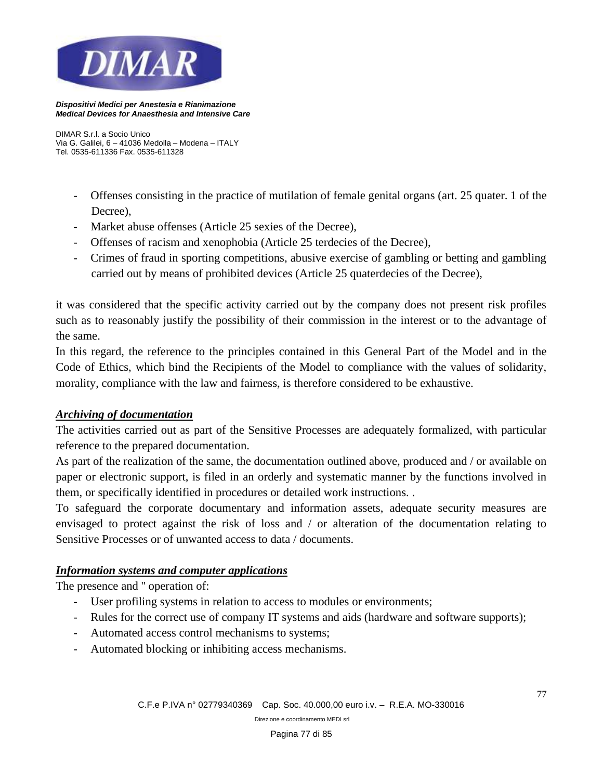

*DIMAR S.r.l. a Socio Unico Via G. Galilei, 6 – 41036 Medolla – Modena – ITALY Tel. 0535-611336 Fax. 0535-611328*

- Offenses consisting in the practice of mutilation of female genital organs (art. 25 quater. 1 of the Decree),
- Market abuse offenses (Article 25 sexies of the Decree),
- Offenses of racism and xenophobia (Article 25 terdecies of the Decree),
- Crimes of fraud in sporting competitions, abusive exercise of gambling or betting and gambling carried out by means of prohibited devices (Article 25 quaterdecies of the Decree),

it was considered that the specific activity carried out by the company does not present risk profiles such as to reasonably justify the possibility of their commission in the interest or to the advantage of the same.

In this regard, the reference to the principles contained in this General Part of the Model and in the Code of Ethics, which bind the Recipients of the Model to compliance with the values of solidarity, morality, compliance with the law and fairness, is therefore considered to be exhaustive.

## *Archiving of documentation*

The activities carried out as part of the Sensitive Processes are adequately formalized, with particular reference to the prepared documentation.

As part of the realization of the same, the documentation outlined above, produced and / or available on paper or electronic support, is filed in an orderly and systematic manner by the functions involved in them, or specifically identified in procedures or detailed work instructions. .

To safeguard the corporate documentary and information assets, adequate security measures are envisaged to protect against the risk of loss and / or alteration of the documentation relating to Sensitive Processes or of unwanted access to data / documents.

## *Information systems and computer applications*

The presence and '' operation of:

- User profiling systems in relation to access to modules or environments;
- Rules for the correct use of company IT systems and aids (hardware and software supports);
- Automated access control mechanisms to systems;
- Automated blocking or inhibiting access mechanisms.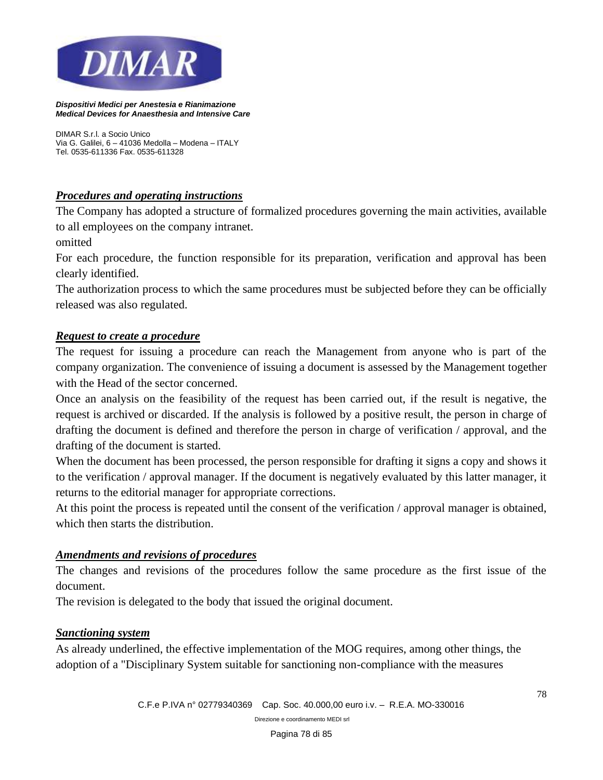

*DIMAR S.r.l. a Socio Unico Via G. Galilei, 6 – 41036 Medolla – Modena – ITALY Tel. 0535-611336 Fax. 0535-611328*

## *Procedures and operating instructions*

The Company has adopted a structure of formalized procedures governing the main activities, available to all employees on the company intranet.

omitted

For each procedure, the function responsible for its preparation, verification and approval has been clearly identified.

The authorization process to which the same procedures must be subjected before they can be officially released was also regulated.

## *Request to create a procedure*

The request for issuing a procedure can reach the Management from anyone who is part of the company organization. The convenience of issuing a document is assessed by the Management together with the Head of the sector concerned.

Once an analysis on the feasibility of the request has been carried out, if the result is negative, the request is archived or discarded. If the analysis is followed by a positive result, the person in charge of drafting the document is defined and therefore the person in charge of verification / approval, and the drafting of the document is started.

When the document has been processed, the person responsible for drafting it signs a copy and shows it to the verification / approval manager. If the document is negatively evaluated by this latter manager, it returns to the editorial manager for appropriate corrections.

At this point the process is repeated until the consent of the verification / approval manager is obtained, which then starts the distribution.

## *Amendments and revisions of procedures*

The changes and revisions of the procedures follow the same procedure as the first issue of the document.

The revision is delegated to the body that issued the original document.

## *Sanctioning system*

As already underlined, the effective implementation of the MOG requires, among other things, the adoption of a "Disciplinary System suitable for sanctioning non-compliance with the measures

*Direzione e coordinamento MEDI srl*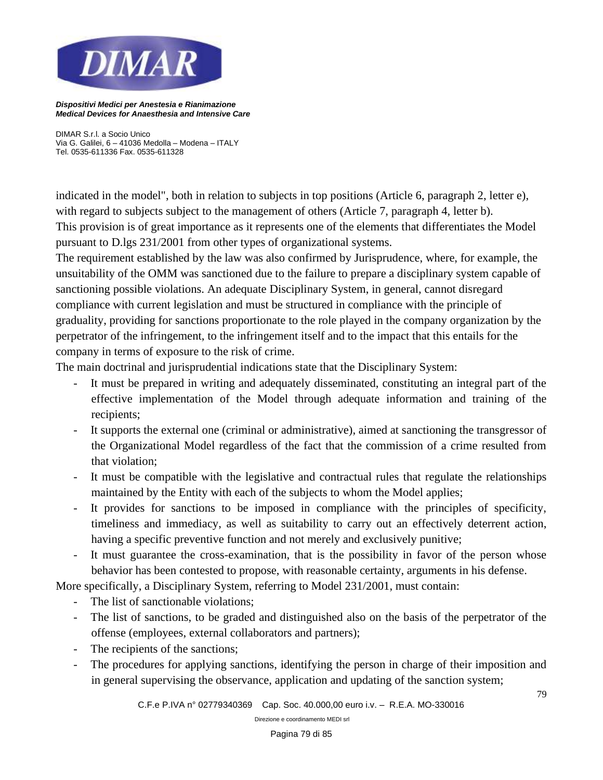

*DIMAR S.r.l. a Socio Unico Via G. Galilei, 6 – 41036 Medolla – Modena – ITALY Tel. 0535-611336 Fax. 0535-611328*

indicated in the model", both in relation to subjects in top positions (Article 6, paragraph 2, letter e), with regard to subjects subject to the management of others (Article 7, paragraph 4, letter b). This provision is of great importance as it represents one of the elements that differentiates the Model pursuant to D.lgs 231/2001 from other types of organizational systems.

The requirement established by the law was also confirmed by Jurisprudence, where, for example, the unsuitability of the OMM was sanctioned due to the failure to prepare a disciplinary system capable of sanctioning possible violations. An adequate Disciplinary System, in general, cannot disregard compliance with current legislation and must be structured in compliance with the principle of graduality, providing for sanctions proportionate to the role played in the company organization by the perpetrator of the infringement, to the infringement itself and to the impact that this entails for the company in terms of exposure to the risk of crime.

The main doctrinal and jurisprudential indications state that the Disciplinary System:

- It must be prepared in writing and adequately disseminated, constituting an integral part of the effective implementation of the Model through adequate information and training of the recipients;
- It supports the external one (criminal or administrative), aimed at sanctioning the transgressor of the Organizational Model regardless of the fact that the commission of a crime resulted from that violation;
- It must be compatible with the legislative and contractual rules that regulate the relationships maintained by the Entity with each of the subjects to whom the Model applies;
- It provides for sanctions to be imposed in compliance with the principles of specificity, timeliness and immediacy, as well as suitability to carry out an effectively deterrent action, having a specific preventive function and not merely and exclusively punitive;
- It must guarantee the cross-examination, that is the possibility in favor of the person whose behavior has been contested to propose, with reasonable certainty, arguments in his defense.

More specifically, a Disciplinary System, referring to Model 231/2001, must contain:

- The list of sanctionable violations:
- The list of sanctions, to be graded and distinguished also on the basis of the perpetrator of the offense (employees, external collaborators and partners);
- The recipients of the sanctions;
- The procedures for applying sanctions, identifying the person in charge of their imposition and in general supervising the observance, application and updating of the sanction system;

*C.F.e P.IVA n° 02779340369 Cap. Soc. 40.000,00 euro i.v. – R.E.A. MO-330016* 

*Direzione e coordinamento MEDI srl*

79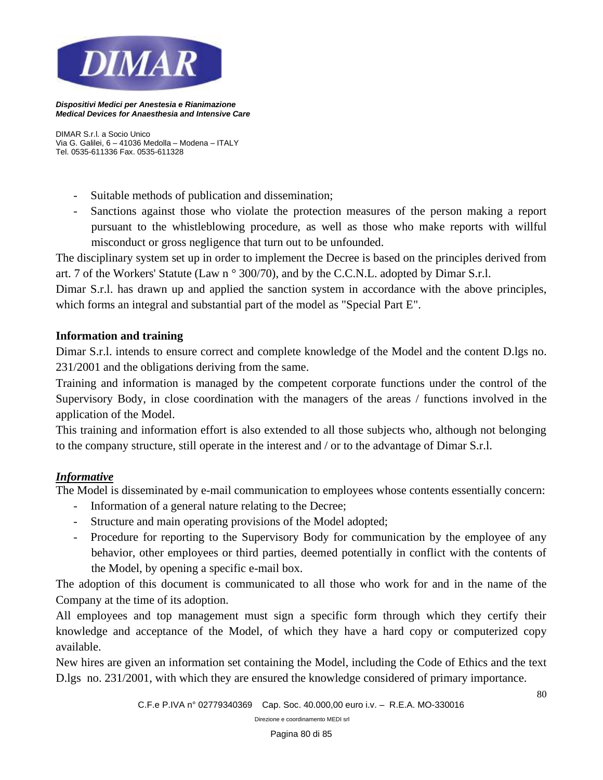

*DIMAR S.r.l. a Socio Unico Via G. Galilei, 6 – 41036 Medolla – Modena – ITALY Tel. 0535-611336 Fax. 0535-611328*

- Suitable methods of publication and dissemination;
- Sanctions against those who violate the protection measures of the person making a report pursuant to the whistleblowing procedure, as well as those who make reports with willful misconduct or gross negligence that turn out to be unfounded.

The disciplinary system set up in order to implement the Decree is based on the principles derived from art. 7 of the Workers' Statute (Law n ° 300/70), and by the C.C.N.L. adopted by Dimar S.r.l.

Dimar S.r.l. has drawn up and applied the sanction system in accordance with the above principles, which forms an integral and substantial part of the model as "Special Part E".

## **Information and training**

Dimar S.r.l. intends to ensure correct and complete knowledge of the Model and the content D.lgs no. 231/2001 and the obligations deriving from the same.

Training and information is managed by the competent corporate functions under the control of the Supervisory Body, in close coordination with the managers of the areas / functions involved in the application of the Model.

This training and information effort is also extended to all those subjects who, although not belonging to the company structure, still operate in the interest and / or to the advantage of Dimar S.r.l.

#### *Informative*

The Model is disseminated by e-mail communication to employees whose contents essentially concern:

- Information of a general nature relating to the Decree;
- Structure and main operating provisions of the Model adopted;
- Procedure for reporting to the Supervisory Body for communication by the employee of any behavior, other employees or third parties, deemed potentially in conflict with the contents of the Model, by opening a specific e-mail box.

The adoption of this document is communicated to all those who work for and in the name of the Company at the time of its adoption.

All employees and top management must sign a specific form through which they certify their knowledge and acceptance of the Model, of which they have a hard copy or computerized copy available.

New hires are given an information set containing the Model, including the Code of Ethics and the text D.lgs no. 231/2001, with which they are ensured the knowledge considered of primary importance.

80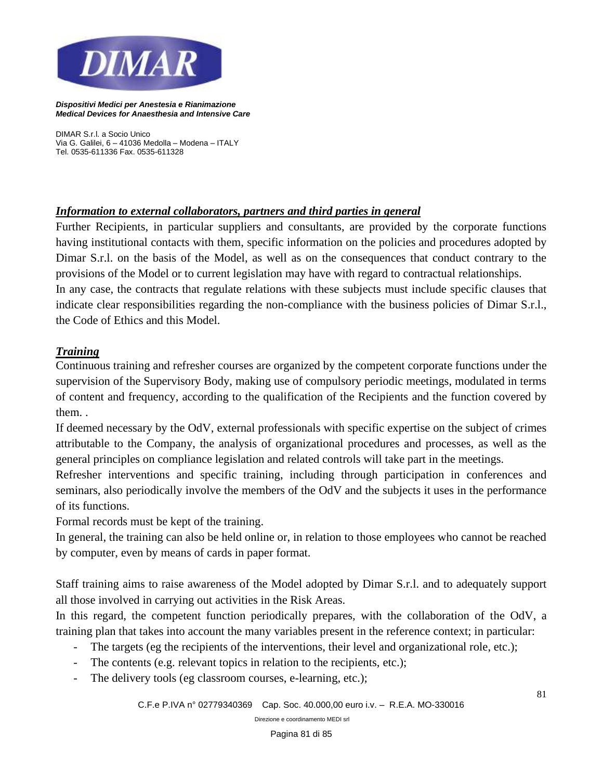

*DIMAR S.r.l. a Socio Unico Via G. Galilei, 6 – 41036 Medolla – Modena – ITALY Tel. 0535-611336 Fax. 0535-611328*

## *Information to external collaborators, partners and third parties in general*

Further Recipients, in particular suppliers and consultants, are provided by the corporate functions having institutional contacts with them, specific information on the policies and procedures adopted by Dimar S.r.l. on the basis of the Model, as well as on the consequences that conduct contrary to the provisions of the Model or to current legislation may have with regard to contractual relationships. In any case, the contracts that regulate relations with these subjects must include specific clauses that indicate clear responsibilities regarding the non-compliance with the business policies of Dimar S.r.l., the Code of Ethics and this Model.

# *Training*

Continuous training and refresher courses are organized by the competent corporate functions under the supervision of the Supervisory Body, making use of compulsory periodic meetings, modulated in terms of content and frequency, according to the qualification of the Recipients and the function covered by them. .

If deemed necessary by the OdV, external professionals with specific expertise on the subject of crimes attributable to the Company, the analysis of organizational procedures and processes, as well as the general principles on compliance legislation and related controls will take part in the meetings.

Refresher interventions and specific training, including through participation in conferences and seminars, also periodically involve the members of the OdV and the subjects it uses in the performance of its functions.

Formal records must be kept of the training.

In general, the training can also be held online or, in relation to those employees who cannot be reached by computer, even by means of cards in paper format.

Staff training aims to raise awareness of the Model adopted by Dimar S.r.l. and to adequately support all those involved in carrying out activities in the Risk Areas.

In this regard, the competent function periodically prepares, with the collaboration of the OdV, a training plan that takes into account the many variables present in the reference context; in particular:

- The targets (eg the recipients of the interventions, their level and organizational role, etc.);
- The contents (e.g. relevant topics in relation to the recipients, etc.);
- The delivery tools (eg classroom courses, e-learning, etc.);

81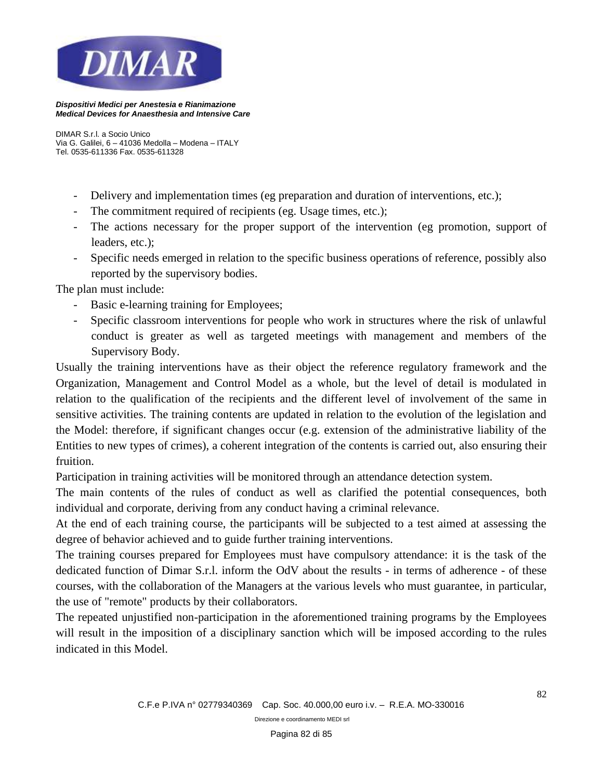

*DIMAR S.r.l. a Socio Unico Via G. Galilei, 6 – 41036 Medolla – Modena – ITALY Tel. 0535-611336 Fax. 0535-611328*

- Delivery and implementation times (eg preparation and duration of interventions, etc.);
- The commitment required of recipients (eg. Usage times, etc.);
- The actions necessary for the proper support of the intervention (eg promotion, support of leaders, etc.);
- Specific needs emerged in relation to the specific business operations of reference, possibly also reported by the supervisory bodies.

The plan must include:

- Basic e-learning training for Employees;
- Specific classroom interventions for people who work in structures where the risk of unlawful conduct is greater as well as targeted meetings with management and members of the Supervisory Body.

Usually the training interventions have as their object the reference regulatory framework and the Organization, Management and Control Model as a whole, but the level of detail is modulated in relation to the qualification of the recipients and the different level of involvement of the same in sensitive activities. The training contents are updated in relation to the evolution of the legislation and the Model: therefore, if significant changes occur (e.g. extension of the administrative liability of the Entities to new types of crimes), a coherent integration of the contents is carried out, also ensuring their fruition.

Participation in training activities will be monitored through an attendance detection system.

The main contents of the rules of conduct as well as clarified the potential consequences, both individual and corporate, deriving from any conduct having a criminal relevance.

At the end of each training course, the participants will be subjected to a test aimed at assessing the degree of behavior achieved and to guide further training interventions.

The training courses prepared for Employees must have compulsory attendance: it is the task of the dedicated function of Dimar S.r.l. inform the OdV about the results - in terms of adherence - of these courses, with the collaboration of the Managers at the various levels who must guarantee, in particular, the use of "remote" products by their collaborators.

The repeated unjustified non-participation in the aforementioned training programs by the Employees will result in the imposition of a disciplinary sanction which will be imposed according to the rules indicated in this Model.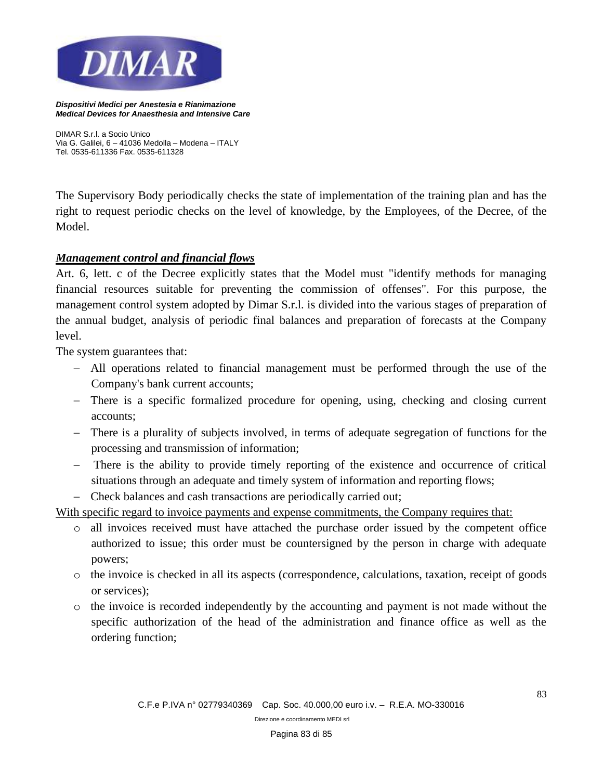

*DIMAR S.r.l. a Socio Unico Via G. Galilei, 6 – 41036 Medolla – Modena – ITALY Tel. 0535-611336 Fax. 0535-611328*

The Supervisory Body periodically checks the state of implementation of the training plan and has the right to request periodic checks on the level of knowledge, by the Employees, of the Decree, of the Model.

#### *Management control and financial flows*

Art. 6, lett. c of the Decree explicitly states that the Model must "identify methods for managing financial resources suitable for preventing the commission of offenses". For this purpose, the management control system adopted by Dimar S.r.l. is divided into the various stages of preparation of the annual budget, analysis of periodic final balances and preparation of forecasts at the Company level.

The system guarantees that:

- − All operations related to financial management must be performed through the use of the Company's bank current accounts;
- − There is a specific formalized procedure for opening, using, checking and closing current accounts;
- − There is a plurality of subjects involved, in terms of adequate segregation of functions for the processing and transmission of information;
- − There is the ability to provide timely reporting of the existence and occurrence of critical situations through an adequate and timely system of information and reporting flows;
- − Check balances and cash transactions are periodically carried out;

With specific regard to invoice payments and expense commitments, the Company requires that:

- o all invoices received must have attached the purchase order issued by the competent office authorized to issue; this order must be countersigned by the person in charge with adequate powers;
- o the invoice is checked in all its aspects (correspondence, calculations, taxation, receipt of goods or services);
- o the invoice is recorded independently by the accounting and payment is not made without the specific authorization of the head of the administration and finance office as well as the ordering function;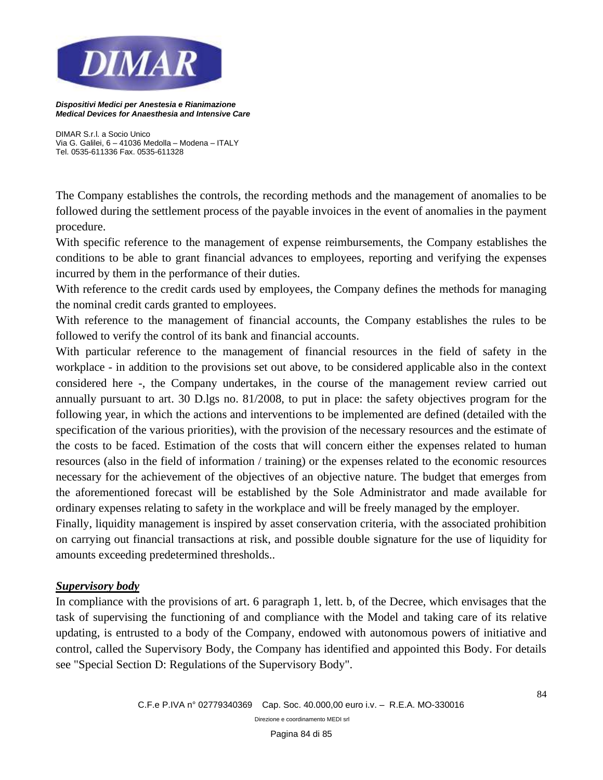

*DIMAR S.r.l. a Socio Unico Via G. Galilei, 6 – 41036 Medolla – Modena – ITALY Tel. 0535-611336 Fax. 0535-611328*

The Company establishes the controls, the recording methods and the management of anomalies to be followed during the settlement process of the payable invoices in the event of anomalies in the payment procedure.

With specific reference to the management of expense reimbursements, the Company establishes the conditions to be able to grant financial advances to employees, reporting and verifying the expenses incurred by them in the performance of their duties.

With reference to the credit cards used by employees, the Company defines the methods for managing the nominal credit cards granted to employees.

With reference to the management of financial accounts, the Company establishes the rules to be followed to verify the control of its bank and financial accounts.

With particular reference to the management of financial resources in the field of safety in the workplace - in addition to the provisions set out above, to be considered applicable also in the context considered here -, the Company undertakes, in the course of the management review carried out annually pursuant to art. 30 D.lgs no. 81/2008, to put in place: the safety objectives program for the following year, in which the actions and interventions to be implemented are defined (detailed with the specification of the various priorities), with the provision of the necessary resources and the estimate of the costs to be faced. Estimation of the costs that will concern either the expenses related to human resources (also in the field of information / training) or the expenses related to the economic resources necessary for the achievement of the objectives of an objective nature. The budget that emerges from the aforementioned forecast will be established by the Sole Administrator and made available for ordinary expenses relating to safety in the workplace and will be freely managed by the employer.

Finally, liquidity management is inspired by asset conservation criteria, with the associated prohibition on carrying out financial transactions at risk, and possible double signature for the use of liquidity for amounts exceeding predetermined thresholds..

#### *Supervisory body*

In compliance with the provisions of art. 6 paragraph 1, lett. b, of the Decree, which envisages that the task of supervising the functioning of and compliance with the Model and taking care of its relative updating, is entrusted to a body of the Company, endowed with autonomous powers of initiative and control, called the Supervisory Body, the Company has identified and appointed this Body. For details see "Special Section D: Regulations of the Supervisory Body".